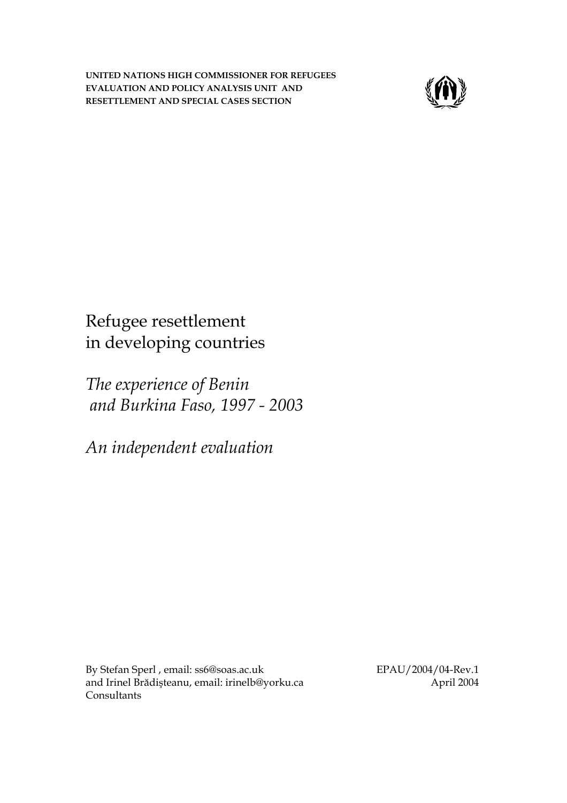**UNITED NATIONS HIGH COMMISSIONER FOR REFUGEES EVALUATION AND POLICY ANALYSIS UNIT AND RESETTLEMENT AND SPECIAL CASES SECTION**



Refugee resettlement in developing countries

*The experience of Benin and Burkina Faso, 1997 - 2003* 

*An independent evaluation* 

By Stefan Sperl , email: [ss6@soas.ac.uk](mailto:ss6@soas.ac.uk)  and Irinel Brădişteanu, email: [irinelb@yorku.ca](mailto:irinelb@yorku.ca) Consultants

EPAU/2004/04-Rev.1 April 2004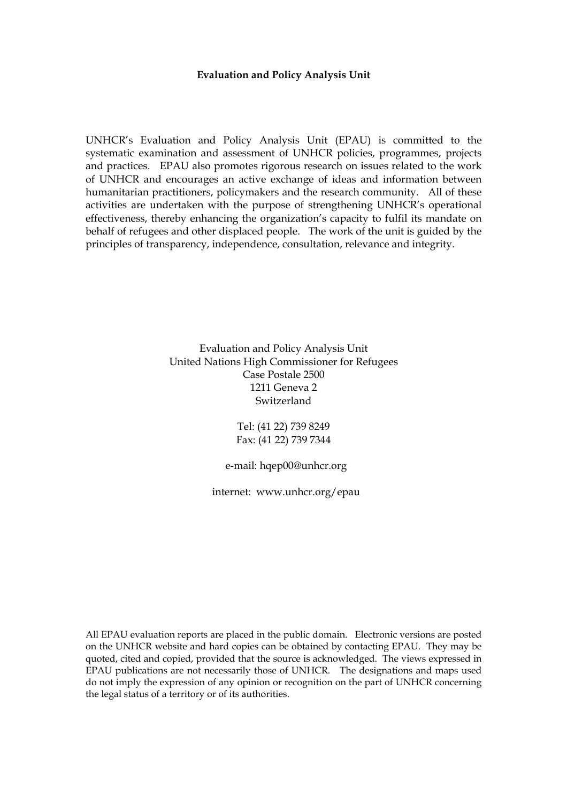#### **Evaluation and Policy Analysis Unit**

UNHCR's Evaluation and Policy Analysis Unit (EPAU) is committed to the systematic examination and assessment of UNHCR policies, programmes, projects and practices. EPAU also promotes rigorous research on issues related to the work of UNHCR and encourages an active exchange of ideas and information between humanitarian practitioners, policymakers and the research community. All of these activities are undertaken with the purpose of strengthening UNHCR's operational effectiveness, thereby enhancing the organization's capacity to fulfil its mandate on behalf of refugees and other displaced people. The work of the unit is guided by the principles of transparency, independence, consultation, relevance and integrity.

> Evaluation and Policy Analysis Unit United Nations High Commissioner for Refugees Case Postale 2500 1211 Geneva 2 Switzerland

> > Tel: (41 22) 739 8249 Fax: (41 22) 739 7344

e-mail: [hqep00@unhcr.](mailto:hqep00@unhcr.org)org

internet: [www.unhcr.](http://www.unhcr.org/epau)org/epau

All EPAU evaluation reports are placed in the public domain. Electronic versions are posted on the UNHCR website and hard copies can be obtained by contacting EPAU. They may be quoted, cited and copied, provided that the source is acknowledged. The views expressed in EPAU publications are not necessarily those of UNHCR. The designations and maps used do not imply the expression of any opinion or recognition on the part of UNHCR concerning the legal status of a territory or of its authorities.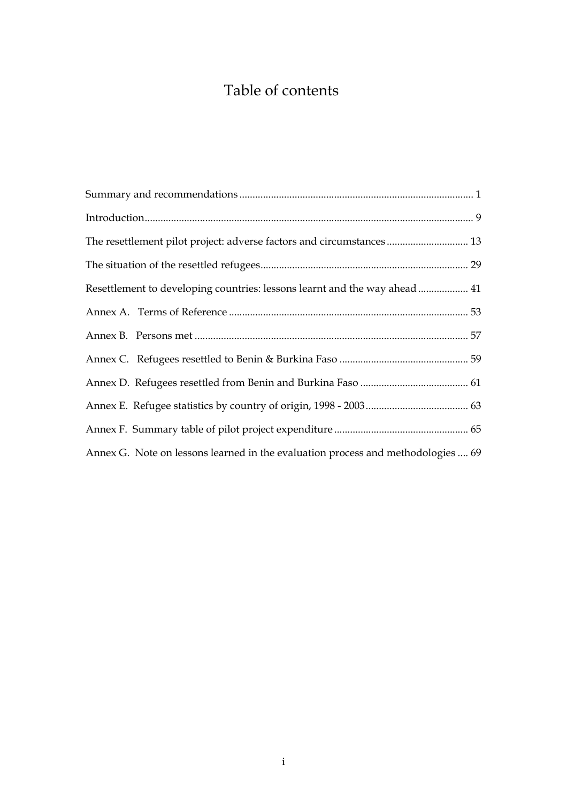# Table of contents

| The resettlement pilot project: adverse factors and circumstances 13             |
|----------------------------------------------------------------------------------|
|                                                                                  |
| Resettlement to developing countries: lessons learnt and the way ahead 41        |
|                                                                                  |
|                                                                                  |
|                                                                                  |
|                                                                                  |
|                                                                                  |
|                                                                                  |
| Annex G. Note on lessons learned in the evaluation process and methodologies  69 |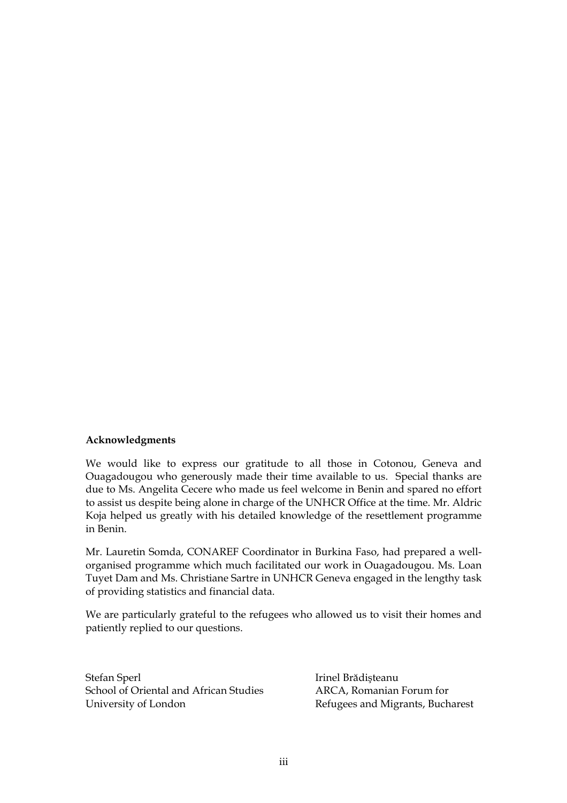#### **Acknowledgments**

We would like to express our gratitude to all those in Cotonou, Geneva and Ouagadougou who generously made their time available to us. Special thanks are due to Ms. Angelita Cecere who made us feel welcome in Benin and spared no effort to assist us despite being alone in charge of the UNHCR Office at the time. Mr. Aldric Koja helped us greatly with his detailed knowledge of the resettlement programme in Benin.

Mr. Lauretin Somda, CONAREF Coordinator in Burkina Faso, had prepared a wellorganised programme which much facilitated our work in Ouagadougou. Ms. Loan Tuyet Dam and Ms. Christiane Sartre in UNHCR Geneva engaged in the lengthy task of providing statistics and financial data.

We are particularly grateful to the refugees who allowed us to visit their homes and patiently replied to our questions.

Stefan Sperl School of Oriental and African Studies University of London

Irinel Brădişteanu ARCA, Romanian Forum for Refugees and Migrants, Bucharest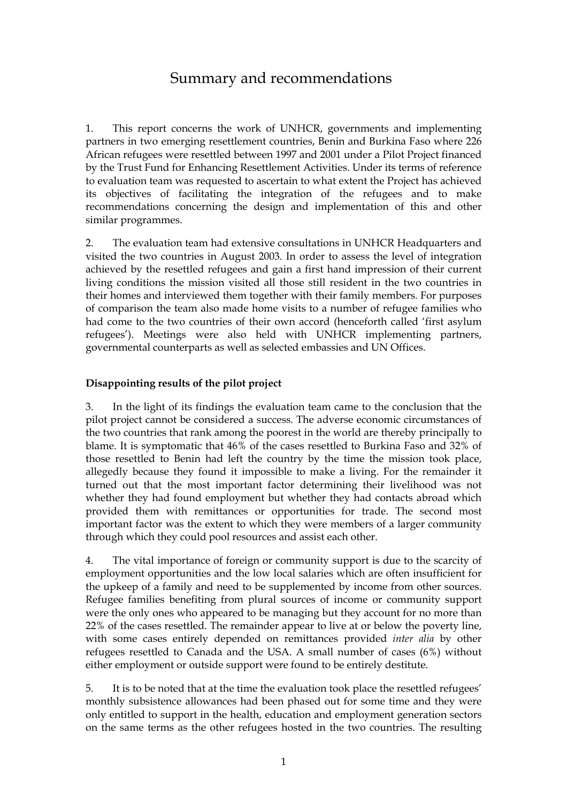## Summary and recommendations

1. This report concerns the work of UNHCR, governments and implementing partners in two emerging resettlement countries, Benin and Burkina Faso where 226 African refugees were resettled between 1997 and 2001 under a Pilot Project financed by the Trust Fund for Enhancing Resettlement Activities. Under its terms of reference to evaluation team was requested to ascertain to what extent the Project has achieved its objectives of facilitating the integration of the refugees and to make recommendations concerning the design and implementation of this and other similar programmes.

2. The evaluation team had extensive consultations in UNHCR Headquarters and visited the two countries in August 2003. In order to assess the level of integration achieved by the resettled refugees and gain a first hand impression of their current living conditions the mission visited all those still resident in the two countries in their homes and interviewed them together with their family members. For purposes of comparison the team also made home visits to a number of refugee families who had come to the two countries of their own accord (henceforth called 'first asylum refugees'). Meetings were also held with UNHCR implementing partners, governmental counterparts as well as selected embassies and UN Offices.

### **Disappointing results of the pilot project**

3. In the light of its findings the evaluation team came to the conclusion that the pilot project cannot be considered a success. The adverse economic circumstances of the two countries that rank among the poorest in the world are thereby principally to blame. It is symptomatic that 46% of the cases resettled to Burkina Faso and 32% of those resettled to Benin had left the country by the time the mission took place, allegedly because they found it impossible to make a living. For the remainder it turned out that the most important factor determining their livelihood was not whether they had found employment but whether they had contacts abroad which provided them with remittances or opportunities for trade. The second most important factor was the extent to which they were members of a larger community through which they could pool resources and assist each other.

4. The vital importance of foreign or community support is due to the scarcity of employment opportunities and the low local salaries which are often insufficient for the upkeep of a family and need to be supplemented by income from other sources. Refugee families benefiting from plural sources of income or community support were the only ones who appeared to be managing but they account for no more than 22% of the cases resettled. The remainder appear to live at or below the poverty line, with some cases entirely depended on remittances provided *inter alia* by other refugees resettled to Canada and the USA. A small number of cases (6%) without either employment or outside support were found to be entirely destitute.

5. It is to be noted that at the time the evaluation took place the resettled refugees' monthly subsistence allowances had been phased out for some time and they were only entitled to support in the health, education and employment generation sectors on the same terms as the other refugees hosted in the two countries. The resulting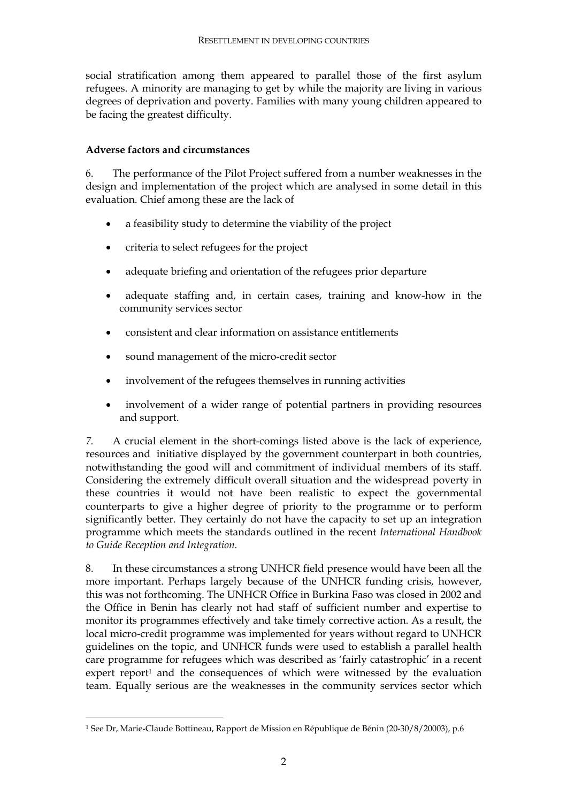social stratification among them appeared to parallel those of the first asylum refugees. A minority are managing to get by while the majority are living in various degrees of deprivation and poverty. Families with many young children appeared to be facing the greatest difficulty.

### **Adverse factors and circumstances**

6. The performance of the Pilot Project suffered from a number weaknesses in the design and implementation of the project which are analysed in some detail in this evaluation. Chief among these are the lack of

- a feasibility study to determine the viability of the project
- criteria to select refugees for the project
- adequate briefing and orientation of the refugees prior departure
- adequate staffing and, in certain cases, training and know-how in the community services sector
- consistent and clear information on assistance entitlements
- sound management of the micro-credit sector
- involvement of the refugees themselves in running activities
- involvement of a wider range of potential partners in providing resources and support.

*7.* A crucial element in the short-comings listed above is the lack of experience, resources and initiative displayed by the government counterpart in both countries, notwithstanding the good will and commitment of individual members of its staff. Considering the extremely difficult overall situation and the widespread poverty in these countries it would not have been realistic to expect the governmental counterparts to give a higher degree of priority to the programme or to perform significantly better. They certainly do not have the capacity to set up an integration programme which meets the standards outlined in the recent *International Handbook to Guide Reception and Integration.*

8. In these circumstances a strong UNHCR field presence would have been all the more important. Perhaps largely because of the UNHCR funding crisis, however, this was not forthcoming. The UNHCR Office in Burkina Faso was closed in 2002 and the Office in Benin has clearly not had staff of sufficient number and expertise to monitor its programmes effectively and take timely corrective action. As a result, the local micro-credit programme was implemented for years without regard to UNHCR guidelines on the topic, and UNHCR funds were used to establish a parallel health care programme for refugees which was described as 'fairly catastrophic' in a recent expert report<sup>1</sup> and the consequences of which were witnessed by the evaluation team. Equally serious are the weaknesses in the community services sector which

<sup>1</sup> See Dr, Marie-Claude Bottineau, Rapport de Mission en République de Bénin (20-30/8/20003), p.6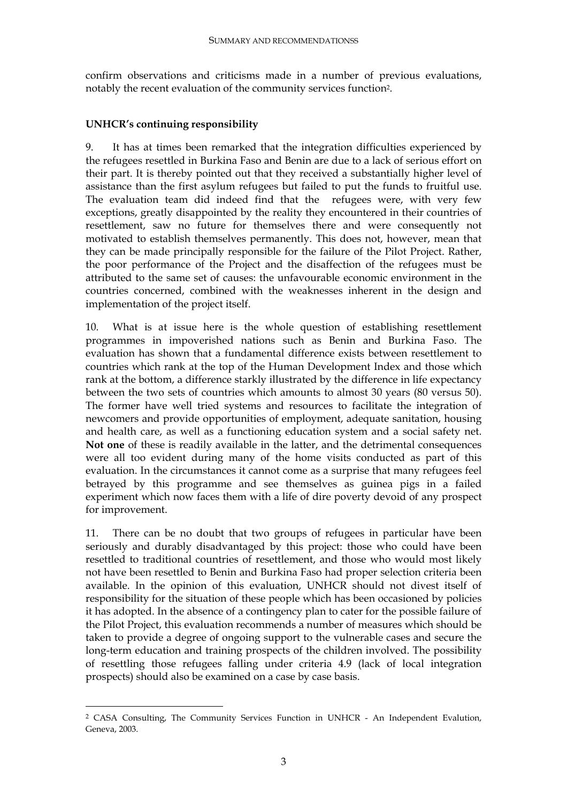confirm observations and criticisms made in a number of previous evaluations, notably the recent evaluation of the community services function2.

## **UNHCR's continuing responsibility**

9. It has at times been remarked that the integration difficulties experienced by the refugees resettled in Burkina Faso and Benin are due to a lack of serious effort on their part. It is thereby pointed out that they received a substantially higher level of assistance than the first asylum refugees but failed to put the funds to fruitful use. The evaluation team did indeed find that the refugees were, with very few exceptions, greatly disappointed by the reality they encountered in their countries of resettlement, saw no future for themselves there and were consequently not motivated to establish themselves permanently. This does not, however, mean that they can be made principally responsible for the failure of the Pilot Project. Rather, the poor performance of the Project and the disaffection of the refugees must be attributed to the same set of causes: the unfavourable economic environment in the countries concerned, combined with the weaknesses inherent in the design and implementation of the project itself.

10. What is at issue here is the whole question of establishing resettlement programmes in impoverished nations such as Benin and Burkina Faso. The evaluation has shown that a fundamental difference exists between resettlement to countries which rank at the top of the Human Development Index and those which rank at the bottom, a difference starkly illustrated by the difference in life expectancy between the two sets of countries which amounts to almost 30 years (80 versus 50). The former have well tried systems and resources to facilitate the integration of newcomers and provide opportunities of employment, adequate sanitation, housing and health care, as well as a functioning education system and a social safety net. **Not one** of these is readily available in the latter, and the detrimental consequences were all too evident during many of the home visits conducted as part of this evaluation. In the circumstances it cannot come as a surprise that many refugees feel betrayed by this programme and see themselves as guinea pigs in a failed experiment which now faces them with a life of dire poverty devoid of any prospect for improvement.

11. There can be no doubt that two groups of refugees in particular have been seriously and durably disadvantaged by this project: those who could have been resettled to traditional countries of resettlement, and those who would most likely not have been resettled to Benin and Burkina Faso had proper selection criteria been available. In the opinion of this evaluation, UNHCR should not divest itself of responsibility for the situation of these people which has been occasioned by policies it has adopted. In the absence of a contingency plan to cater for the possible failure of the Pilot Project, this evaluation recommends a number of measures which should be taken to provide a degree of ongoing support to the vulnerable cases and secure the long-term education and training prospects of the children involved. The possibility of resettling those refugees falling under criteria 4.9 (lack of local integration prospects) should also be examined on a case by case basis.

<sup>2</sup> CASA Consulting, The Community Services Function in UNHCR - An Independent Evalution, Geneva, 2003.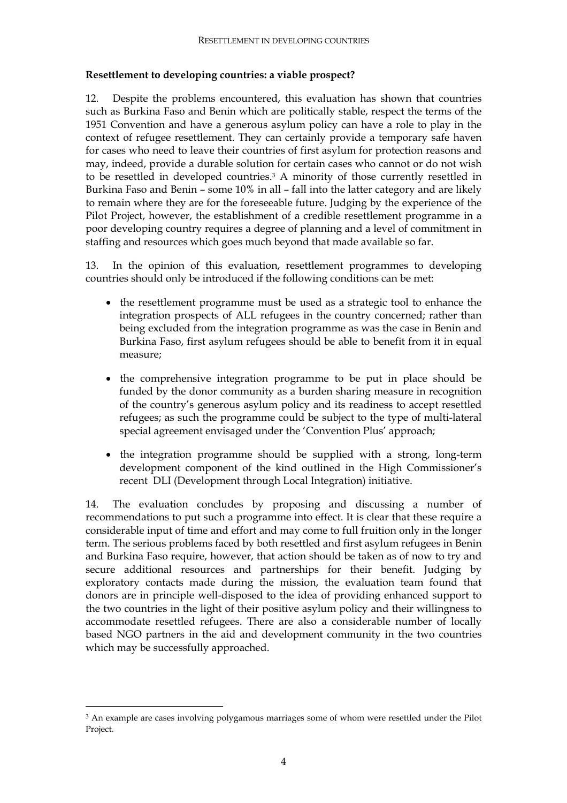#### **Resettlement to developing countries: a viable prospect?**

12. Despite the problems encountered, this evaluation has shown that countries such as Burkina Faso and Benin which are politically stable, respect the terms of the 1951 Convention and have a generous asylum policy can have a role to play in the context of refugee resettlement. They can certainly provide a temporary safe haven for cases who need to leave their countries of first asylum for protection reasons and may, indeed, provide a durable solution for certain cases who cannot or do not wish to be resettled in developed countries.3 A minority of those currently resettled in Burkina Faso and Benin – some 10% in all – fall into the latter category and are likely to remain where they are for the foreseeable future. Judging by the experience of the Pilot Project, however, the establishment of a credible resettlement programme in a poor developing country requires a degree of planning and a level of commitment in staffing and resources which goes much beyond that made available so far.

13. In the opinion of this evaluation, resettlement programmes to developing countries should only be introduced if the following conditions can be met:

- the resettlement programme must be used as a strategic tool to enhance the integration prospects of ALL refugees in the country concerned; rather than being excluded from the integration programme as was the case in Benin and Burkina Faso, first asylum refugees should be able to benefit from it in equal measure;
- the comprehensive integration programme to be put in place should be funded by the donor community as a burden sharing measure in recognition of the country's generous asylum policy and its readiness to accept resettled refugees; as such the programme could be subject to the type of multi-lateral special agreement envisaged under the 'Convention Plus' approach;
- the integration programme should be supplied with a strong, long-term development component of the kind outlined in the High Commissioner's recent DLI (Development through Local Integration) initiative.

14. The evaluation concludes by proposing and discussing a number of recommendations to put such a programme into effect. It is clear that these require a considerable input of time and effort and may come to full fruition only in the longer term. The serious problems faced by both resettled and first asylum refugees in Benin and Burkina Faso require, however, that action should be taken as of now to try and secure additional resources and partnerships for their benefit. Judging by exploratory contacts made during the mission, the evaluation team found that donors are in principle well-disposed to the idea of providing enhanced support to the two countries in the light of their positive asylum policy and their willingness to accommodate resettled refugees. There are also a considerable number of locally based NGO partners in the aid and development community in the two countries which may be successfully approached.

<sup>&</sup>lt;sup>3</sup> An example are cases involving polygamous marriages some of whom were resettled under the Pilot Project.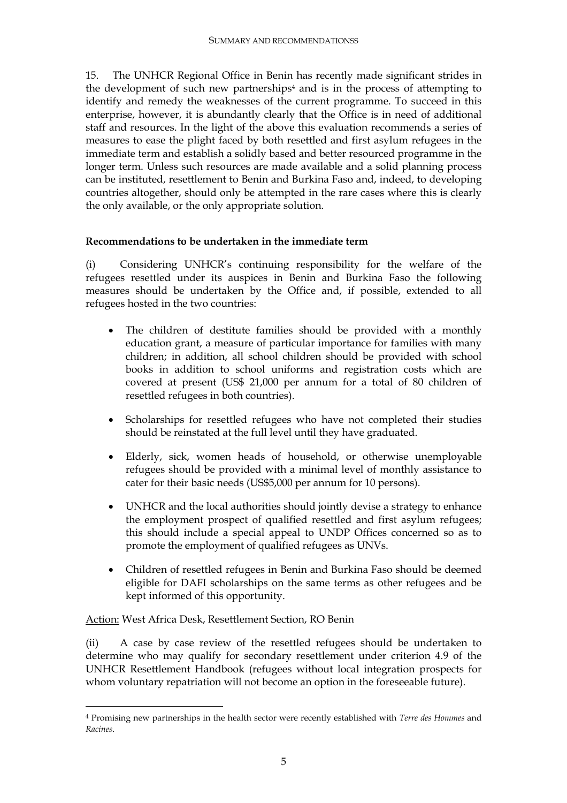15. The UNHCR Regional Office in Benin has recently made significant strides in the development of such new partnerships<sup>4</sup> and is in the process of attempting to identify and remedy the weaknesses of the current programme. To succeed in this enterprise, however, it is abundantly clearly that the Office is in need of additional staff and resources. In the light of the above this evaluation recommends a series of measures to ease the plight faced by both resettled and first asylum refugees in the immediate term and establish a solidly based and better resourced programme in the longer term. Unless such resources are made available and a solid planning process can be instituted, resettlement to Benin and Burkina Faso and, indeed, to developing countries altogether, should only be attempted in the rare cases where this is clearly the only available, or the only appropriate solution.

#### **Recommendations to be undertaken in the immediate term**

(i) Considering UNHCR's continuing responsibility for the welfare of the refugees resettled under its auspices in Benin and Burkina Faso the following measures should be undertaken by the Office and, if possible, extended to all refugees hosted in the two countries:

- The children of destitute families should be provided with a monthly education grant, a measure of particular importance for families with many children; in addition, all school children should be provided with school books in addition to school uniforms and registration costs which are covered at present (US\$ 21,000 per annum for a total of 80 children of resettled refugees in both countries).
- Scholarships for resettled refugees who have not completed their studies should be reinstated at the full level until they have graduated.
- Elderly, sick, women heads of household, or otherwise unemployable refugees should be provided with a minimal level of monthly assistance to cater for their basic needs (US\$5,000 per annum for 10 persons).
- UNHCR and the local authorities should jointly devise a strategy to enhance the employment prospect of qualified resettled and first asylum refugees; this should include a special appeal to UNDP Offices concerned so as to promote the employment of qualified refugees as UNVs.
- Children of resettled refugees in Benin and Burkina Faso should be deemed eligible for DAFI scholarships on the same terms as other refugees and be kept informed of this opportunity.

Action: West Africa Desk, Resettlement Section, RO Benin

 $\overline{a}$ 

(ii) A case by case review of the resettled refugees should be undertaken to determine who may qualify for secondary resettlement under criterion 4.9 of the UNHCR Resettlement Handbook (refugees without local integration prospects for whom voluntary repatriation will not become an option in the foreseeable future).

<sup>4</sup> Promising new partnerships in the health sector were recently established with *Terre des Hommes* and *Racines*.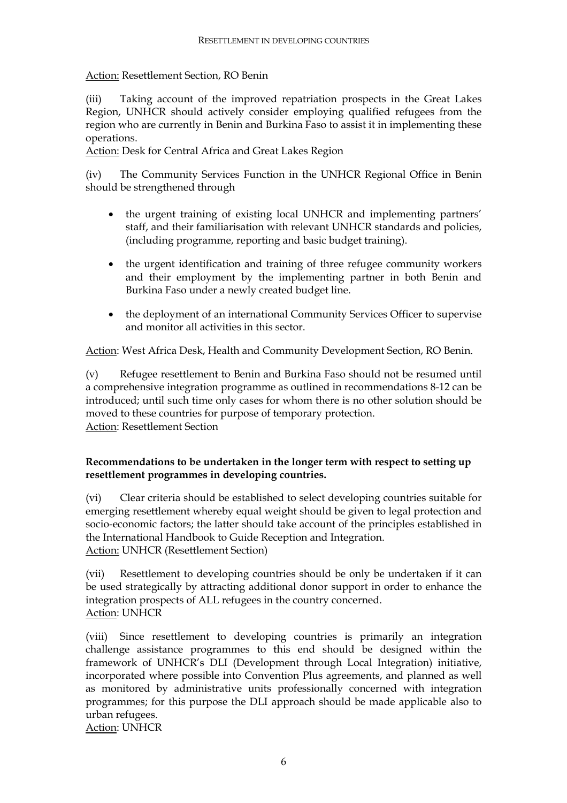## Action: Resettlement Section, RO Benin

(iii) Taking account of the improved repatriation prospects in the Great Lakes Region, UNHCR should actively consider employing qualified refugees from the region who are currently in Benin and Burkina Faso to assist it in implementing these operations.

Action: Desk for Central Africa and Great Lakes Region

(iv) The Community Services Function in the UNHCR Regional Office in Benin should be strengthened through

- the urgent training of existing local UNHCR and implementing partners' staff, and their familiarisation with relevant UNHCR standards and policies, (including programme, reporting and basic budget training).
- the urgent identification and training of three refugee community workers and their employment by the implementing partner in both Benin and Burkina Faso under a newly created budget line.
- the deployment of an international Community Services Officer to supervise and monitor all activities in this sector.

Action: West Africa Desk, Health and Community Development Section, RO Benin.

(v) Refugee resettlement to Benin and Burkina Faso should not be resumed until a comprehensive integration programme as outlined in recommendations 8-12 can be introduced; until such time only cases for whom there is no other solution should be moved to these countries for purpose of temporary protection. Action: Resettlement Section

### **Recommendations to be undertaken in the longer term with respect to setting up resettlement programmes in developing countries.**

(vi) Clear criteria should be established to select developing countries suitable for emerging resettlement whereby equal weight should be given to legal protection and socio-economic factors; the latter should take account of the principles established in the International Handbook to Guide Reception and Integration. Action: UNHCR (Resettlement Section)

(vii) Resettlement to developing countries should be only be undertaken if it can be used strategically by attracting additional donor support in order to enhance the integration prospects of ALL refugees in the country concerned. Action: UNHCR

(viii) Since resettlement to developing countries is primarily an integration challenge assistance programmes to this end should be designed within the framework of UNHCR's DLI (Development through Local Integration) initiative, incorporated where possible into Convention Plus agreements, and planned as well as monitored by administrative units professionally concerned with integration programmes; for this purpose the DLI approach should be made applicable also to urban refugees.

Action: UNHCR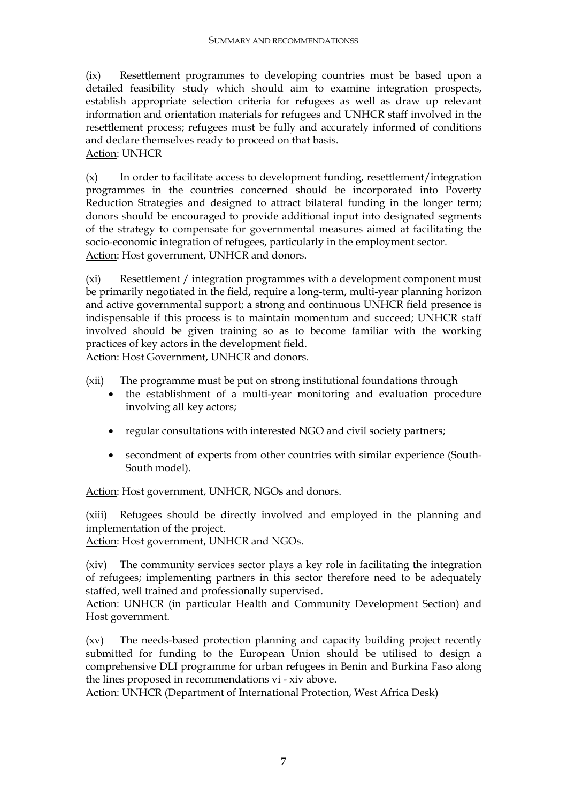(ix) Resettlement programmes to developing countries must be based upon a detailed feasibility study which should aim to examine integration prospects, establish appropriate selection criteria for refugees as well as draw up relevant information and orientation materials for refugees and UNHCR staff involved in the resettlement process; refugees must be fully and accurately informed of conditions and declare themselves ready to proceed on that basis. Action: UNHCR

(x) In order to facilitate access to development funding, resettlement/integration programmes in the countries concerned should be incorporated into Poverty Reduction Strategies and designed to attract bilateral funding in the longer term; donors should be encouraged to provide additional input into designated segments of the strategy to compensate for governmental measures aimed at facilitating the socio-economic integration of refugees, particularly in the employment sector. Action: Host government, UNHCR and donors.

(xi) Resettlement / integration programmes with a development component must be primarily negotiated in the field, require a long-term, multi-year planning horizon and active governmental support; a strong and continuous UNHCR field presence is indispensable if this process is to maintain momentum and succeed; UNHCR staff involved should be given training so as to become familiar with the working practices of key actors in the development field.

Action: Host Government, UNHCR and donors.

- (xii) The programme must be put on strong institutional foundations through
	- the establishment of a multi-year monitoring and evaluation procedure involving all key actors;
	- regular consultations with interested NGO and civil society partners;
	- secondment of experts from other countries with similar experience (South-South model).

Action: Host government, UNHCR, NGOs and donors.

(xiii) Refugees should be directly involved and employed in the planning and implementation of the project.

Action: Host government, UNHCR and NGOs.

(xiv) The community services sector plays a key role in facilitating the integration of refugees; implementing partners in this sector therefore need to be adequately staffed, well trained and professionally supervised.

Action: UNHCR (in particular Health and Community Development Section) and Host government.

(xv) The needs-based protection planning and capacity building project recently submitted for funding to the European Union should be utilised to design a comprehensive DLI programme for urban refugees in Benin and Burkina Faso along the lines proposed in recommendations vi - xiv above.

Action: UNHCR (Department of International Protection, West Africa Desk)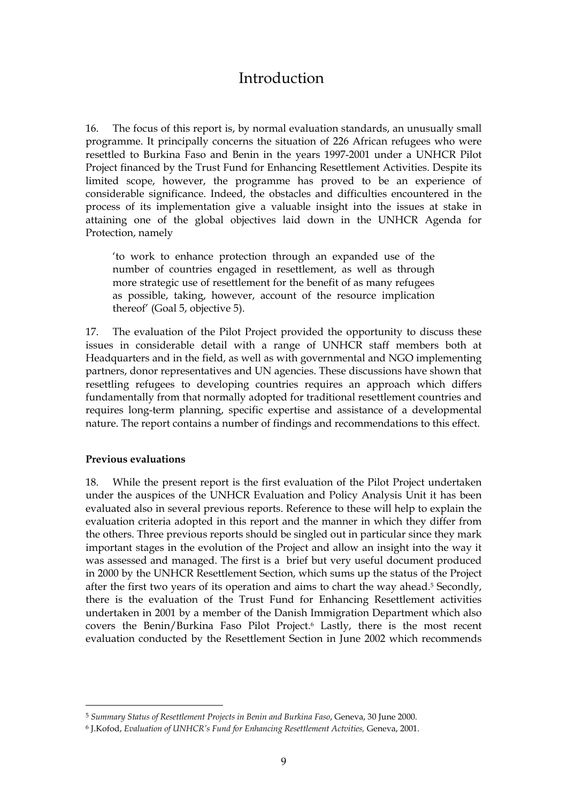## Introduction

16. The focus of this report is, by normal evaluation standards, an unusually small programme. It principally concerns the situation of 226 African refugees who were resettled to Burkina Faso and Benin in the years 1997-2001 under a UNHCR Pilot Project financed by the Trust Fund for Enhancing Resettlement Activities. Despite its limited scope, however, the programme has proved to be an experience of considerable significance. Indeed, the obstacles and difficulties encountered in the process of its implementation give a valuable insight into the issues at stake in attaining one of the global objectives laid down in the UNHCR Agenda for Protection, namely

'to work to enhance protection through an expanded use of the number of countries engaged in resettlement, as well as through more strategic use of resettlement for the benefit of as many refugees as possible, taking, however, account of the resource implication thereof' (Goal 5, objective 5).

17. The evaluation of the Pilot Project provided the opportunity to discuss these issues in considerable detail with a range of UNHCR staff members both at Headquarters and in the field, as well as with governmental and NGO implementing partners, donor representatives and UN agencies. These discussions have shown that resettling refugees to developing countries requires an approach which differs fundamentally from that normally adopted for traditional resettlement countries and requires long-term planning, specific expertise and assistance of a developmental nature. The report contains a number of findings and recommendations to this effect.

#### **Previous evaluations**

 $\overline{a}$ 

18. While the present report is the first evaluation of the Pilot Project undertaken under the auspices of the UNHCR Evaluation and Policy Analysis Unit it has been evaluated also in several previous reports. Reference to these will help to explain the evaluation criteria adopted in this report and the manner in which they differ from the others. Three previous reports should be singled out in particular since they mark important stages in the evolution of the Project and allow an insight into the way it was assessed and managed. The first is a brief but very useful document produced in 2000 by the UNHCR Resettlement Section, which sums up the status of the Project after the first two years of its operation and aims to chart the way ahead.5 Secondly, there is the evaluation of the Trust Fund for Enhancing Resettlement activities undertaken in 2001 by a member of the Danish Immigration Department which also covers the Benin/Burkina Faso Pilot Project.6 Lastly, there is the most recent evaluation conducted by the Resettlement Section in June 2002 which recommends

<sup>5</sup> *Summary Status of Resettlement Projects in Benin and Burkina Faso*, Geneva, 30 June 2000.

<sup>6</sup> J.Kofod, *Evaluation of UNHCR's Fund for Enhancing Resettlement Actvities,* Geneva, 2001.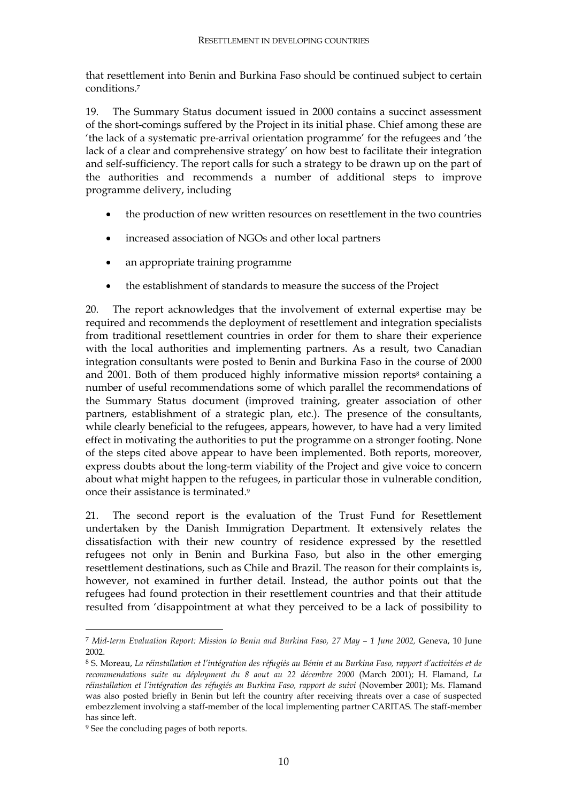that resettlement into Benin and Burkina Faso should be continued subject to certain conditions.7

19. The Summary Status document issued in 2000 contains a succinct assessment of the short-comings suffered by the Project in its initial phase. Chief among these are 'the lack of a systematic pre-arrival orientation programme' for the refugees and 'the lack of a clear and comprehensive strategy' on how best to facilitate their integration and self-sufficiency. The report calls for such a strategy to be drawn up on the part of the authorities and recommends a number of additional steps to improve programme delivery, including

- the production of new written resources on resettlement in the two countries
- increased association of NGOs and other local partners
- an appropriate training programme
- the establishment of standards to measure the success of the Project

20. The report acknowledges that the involvement of external expertise may be required and recommends the deployment of resettlement and integration specialists from traditional resettlement countries in order for them to share their experience with the local authorities and implementing partners. As a result, two Canadian integration consultants were posted to Benin and Burkina Faso in the course of 2000 and 2001. Both of them produced highly informative mission reports<sup>8</sup> containing a number of useful recommendations some of which parallel the recommendations of the Summary Status document (improved training, greater association of other partners, establishment of a strategic plan, etc.). The presence of the consultants, while clearly beneficial to the refugees, appears, however, to have had a very limited effect in motivating the authorities to put the programme on a stronger footing. None of the steps cited above appear to have been implemented. Both reports, moreover, express doubts about the long-term viability of the Project and give voice to concern about what might happen to the refugees, in particular those in vulnerable condition, once their assistance is terminated.9

21. The second report is the evaluation of the Trust Fund for Resettlement undertaken by the Danish Immigration Department. It extensively relates the dissatisfaction with their new country of residence expressed by the resettled refugees not only in Benin and Burkina Faso, but also in the other emerging resettlement destinations, such as Chile and Brazil. The reason for their complaints is, however, not examined in further detail. Instead, the author points out that the refugees had found protection in their resettlement countries and that their attitude resulted from 'disappointment at what they perceived to be a lack of possibility to

 $\ddot{\phantom{a}}$ 

<sup>7</sup> *Mid-term Evaluation Report: Mission to Benin and Burkina Faso, 27 May – 1 June 2002,* Geneva, 10 June 2002.

<sup>8</sup> S. Moreau, *La réinstallation et l'intégration des réfugiés au Bénin et au Burkina Faso, rapport d'activitées et de recommendations suite au déployment du 8 aout au 22 décembre 2000* (March 2001); H. Flamand, *La réinstallation et l'intégration des réfugiés au Burkina Faso, rapport de suivi* (November 2001); Ms. Flamand was also posted briefly in Benin but left the country after receiving threats over a case of suspected embezzlement involving a staff-member of the local implementing partner CARITAS. The staff-member has since left.

<sup>9</sup> See the concluding pages of both reports.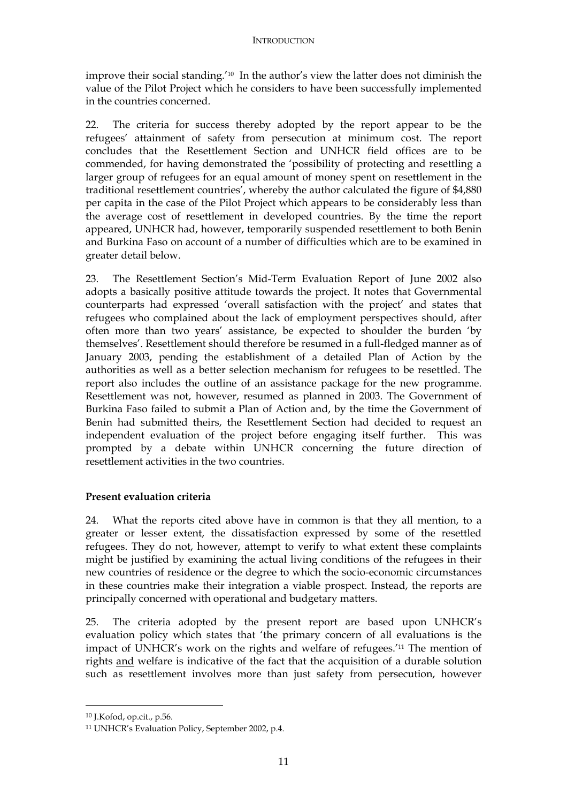improve their social standing.'10 In the author's view the latter does not diminish the value of the Pilot Project which he considers to have been successfully implemented in the countries concerned.

22. The criteria for success thereby adopted by the report appear to be the refugees' attainment of safety from persecution at minimum cost. The report concludes that the Resettlement Section and UNHCR field offices are to be commended, for having demonstrated the 'possibility of protecting and resettling a larger group of refugees for an equal amount of money spent on resettlement in the traditional resettlement countries', whereby the author calculated the figure of \$4,880 per capita in the case of the Pilot Project which appears to be considerably less than the average cost of resettlement in developed countries. By the time the report appeared, UNHCR had, however, temporarily suspended resettlement to both Benin and Burkina Faso on account of a number of difficulties which are to be examined in greater detail below.

23. The Resettlement Section's Mid-Term Evaluation Report of June 2002 also adopts a basically positive attitude towards the project. It notes that Governmental counterparts had expressed 'overall satisfaction with the project' and states that refugees who complained about the lack of employment perspectives should, after often more than two years' assistance, be expected to shoulder the burden 'by themselves'. Resettlement should therefore be resumed in a full-fledged manner as of January 2003, pending the establishment of a detailed Plan of Action by the authorities as well as a better selection mechanism for refugees to be resettled. The report also includes the outline of an assistance package for the new programme. Resettlement was not, however, resumed as planned in 2003. The Government of Burkina Faso failed to submit a Plan of Action and, by the time the Government of Benin had submitted theirs, the Resettlement Section had decided to request an independent evaluation of the project before engaging itself further. This was prompted by a debate within UNHCR concerning the future direction of resettlement activities in the two countries.

#### **Present evaluation criteria**

24. What the reports cited above have in common is that they all mention, to a greater or lesser extent, the dissatisfaction expressed by some of the resettled refugees. They do not, however, attempt to verify to what extent these complaints might be justified by examining the actual living conditions of the refugees in their new countries of residence or the degree to which the socio-economic circumstances in these countries make their integration a viable prospect. Instead, the reports are principally concerned with operational and budgetary matters.

25. The criteria adopted by the present report are based upon UNHCR's evaluation policy which states that 'the primary concern of all evaluations is the impact of UNHCR's work on the rights and welfare of refugees.'11 The mention of rights and welfare is indicative of the fact that the acquisition of a durable solution such as resettlement involves more than just safety from persecution, however

<sup>10</sup> J.Kofod, op.cit., p.56.

<sup>11</sup> UNHCR's Evaluation Policy, September 2002, p.4.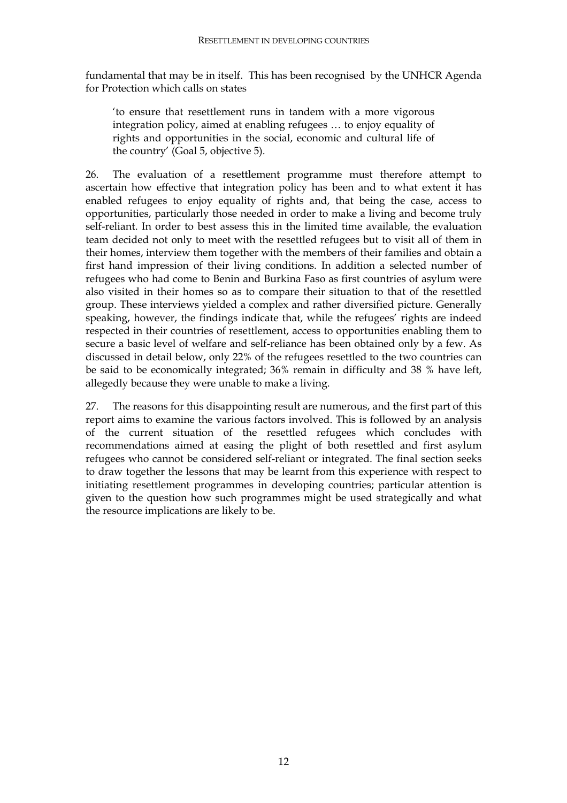fundamental that may be in itself. This has been recognised by the UNHCR Agenda for Protection which calls on states

'to ensure that resettlement runs in tandem with a more vigorous integration policy, aimed at enabling refugees … to enjoy equality of rights and opportunities in the social, economic and cultural life of the country' (Goal 5, objective 5).

26. The evaluation of a resettlement programme must therefore attempt to ascertain how effective that integration policy has been and to what extent it has enabled refugees to enjoy equality of rights and, that being the case, access to opportunities, particularly those needed in order to make a living and become truly self-reliant. In order to best assess this in the limited time available, the evaluation team decided not only to meet with the resettled refugees but to visit all of them in their homes, interview them together with the members of their families and obtain a first hand impression of their living conditions. In addition a selected number of refugees who had come to Benin and Burkina Faso as first countries of asylum were also visited in their homes so as to compare their situation to that of the resettled group. These interviews yielded a complex and rather diversified picture. Generally speaking, however, the findings indicate that, while the refugees' rights are indeed respected in their countries of resettlement, access to opportunities enabling them to secure a basic level of welfare and self-reliance has been obtained only by a few. As discussed in detail below, only 22% of the refugees resettled to the two countries can be said to be economically integrated; 36% remain in difficulty and 38 % have left, allegedly because they were unable to make a living.

27. The reasons for this disappointing result are numerous, and the first part of this report aims to examine the various factors involved. This is followed by an analysis of the current situation of the resettled refugees which concludes with recommendations aimed at easing the plight of both resettled and first asylum refugees who cannot be considered self-reliant or integrated. The final section seeks to draw together the lessons that may be learnt from this experience with respect to initiating resettlement programmes in developing countries; particular attention is given to the question how such programmes might be used strategically and what the resource implications are likely to be.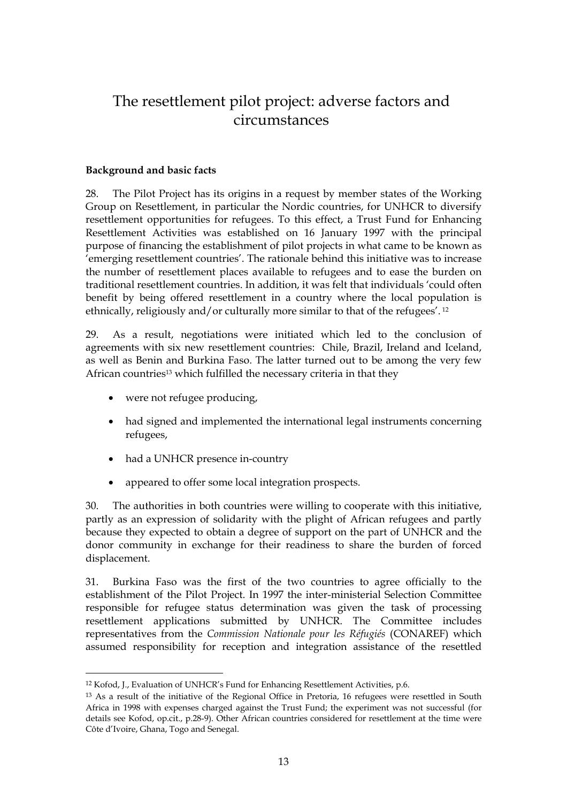## The resettlement pilot project: adverse factors and circumstances

#### **Background and basic facts**

28. The Pilot Project has its origins in a request by member states of the Working Group on Resettlement, in particular the Nordic countries, for UNHCR to diversify resettlement opportunities for refugees. To this effect, a Trust Fund for Enhancing Resettlement Activities was established on 16 January 1997 with the principal purpose of financing the establishment of pilot projects in what came to be known as 'emerging resettlement countries'. The rationale behind this initiative was to increase the number of resettlement places available to refugees and to ease the burden on traditional resettlement countries. In addition, it was felt that individuals 'could often benefit by being offered resettlement in a country where the local population is ethnically, religiously and/or culturally more similar to that of the refugees'. 12

29. As a result, negotiations were initiated which led to the conclusion of agreements with six new resettlement countries: Chile, Brazil, Ireland and Iceland, as well as Benin and Burkina Faso. The latter turned out to be among the very few African countries<sup>13</sup> which fulfilled the necessary criteria in that they

• were not refugee producing,

 $\overline{a}$ 

- had signed and implemented the international legal instruments concerning refugees,
- had a UNHCR presence in-country
- appeared to offer some local integration prospects.

30. The authorities in both countries were willing to cooperate with this initiative, partly as an expression of solidarity with the plight of African refugees and partly because they expected to obtain a degree of support on the part of UNHCR and the donor community in exchange for their readiness to share the burden of forced displacement.

31. Burkina Faso was the first of the two countries to agree officially to the establishment of the Pilot Project. In 1997 the inter-ministerial Selection Committee responsible for refugee status determination was given the task of processing resettlement applications submitted by UNHCR. The Committee includes representatives from the *Commission Nationale pour les Réfugiés* (CONAREF) which assumed responsibility for reception and integration assistance of the resettled

<sup>12</sup> Kofod, J., Evaluation of UNHCR's Fund for Enhancing Resettlement Activities, p.6.

<sup>13</sup> As a result of the initiative of the Regional Office in Pretoria, 16 refugees were resettled in South Africa in 1998 with expenses charged against the Trust Fund; the experiment was not successful (for details see Kofod, op.cit., p.28-9). Other African countries considered for resettlement at the time were Côte d'Ivoire, Ghana, Togo and Senegal.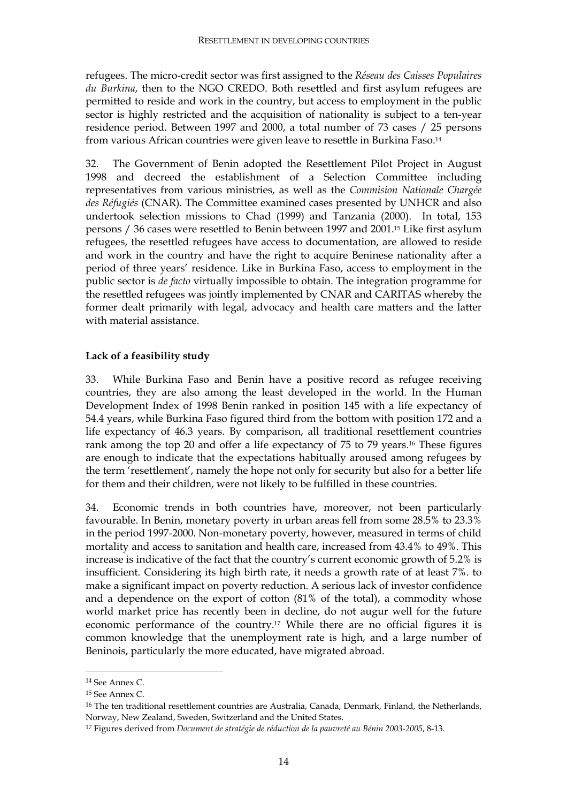refugees. The micro-credit sector was first assigned to the *Réseau des Caisses Populaires du Burkina*, then to the NGO CREDO. Both resettled and first asylum refugees are permitted to reside and work in the country, but access to employment in the public sector is highly restricted and the acquisition of nationality is subject to a ten-year residence period. Between 1997 and 2000, a total number of 73 cases / 25 persons from various African countries were given leave to resettle in Burkina Faso.14

32. The Government of Benin adopted the Resettlement Pilot Project in August 1998 and decreed the establishment of a Selection Committee including representatives from various ministries, as well as the *Commision Nationale Chargée des Réfugiés* (CNAR). The Committee examined cases presented by UNHCR and also undertook selection missions to Chad (1999) and Tanzania (2000). In total, 153 persons / 36 cases were resettled to Benin between 1997 and 2001.15 Like first asylum refugees, the resettled refugees have access to documentation, are allowed to reside and work in the country and have the right to acquire Beninese nationality after a period of three years' residence. Like in Burkina Faso, access to employment in the public sector is *de facto* virtually impossible to obtain. The integration programme for the resettled refugees was jointly implemented by CNAR and CARITAS whereby the former dealt primarily with legal, advocacy and health care matters and the latter with material assistance.

#### **Lack of a feasibility study**

33. While Burkina Faso and Benin have a positive record as refugee receiving countries, they are also among the least developed in the world. In the Human Development Index of 1998 Benin ranked in position 145 with a life expectancy of 54.4 years, while Burkina Faso figured third from the bottom with position 172 and a life expectancy of 46.3 years. By comparison, all traditional resettlement countries rank among the top 20 and offer a life expectancy of 75 to 79 years.16 These figures are enough to indicate that the expectations habitually aroused among refugees by the term 'resettlement', namely the hope not only for security but also for a better life for them and their children, were not likely to be fulfilled in these countries.

34. Economic trends in both countries have, moreover, not been particularly favourable. In Benin, monetary poverty in urban areas fell from some 28.5% to 23.3% in the period 1997-2000. Non-monetary poverty, however, measured in terms of child mortality and access to sanitation and health care, increased from 43.4% to 49%. This increase is indicative of the fact that the country's current economic growth of 5.2% is insufficient. Considering its high birth rate, it needs a growth rate of at least 7%. to make a significant impact on poverty reduction. A serious lack of investor confidence and a dependence on the export of cotton (81% of the total), a commodity whose world market price has recently been in decline, do not augur well for the future economic performance of the country.17 While there are no official figures it is common knowledge that the unemployment rate is high, and a large number of Beninois, particularly the more educated, have migrated abroad.

 $\ddot{\phantom{a}}$ 

<sup>14</sup> See Annex C.

<sup>15</sup> See Annex C.

<sup>&</sup>lt;sup>16</sup> The ten traditional resettlement countries are Australia, Canada, Denmark, Finland, the Netherlands, Norway, New Zealand, Sweden, Switzerland and the United States.

<sup>17</sup> Figures derived from *Document de stratégie de réduction de la pauvreté au Bénin 2003-2005*, 8-13.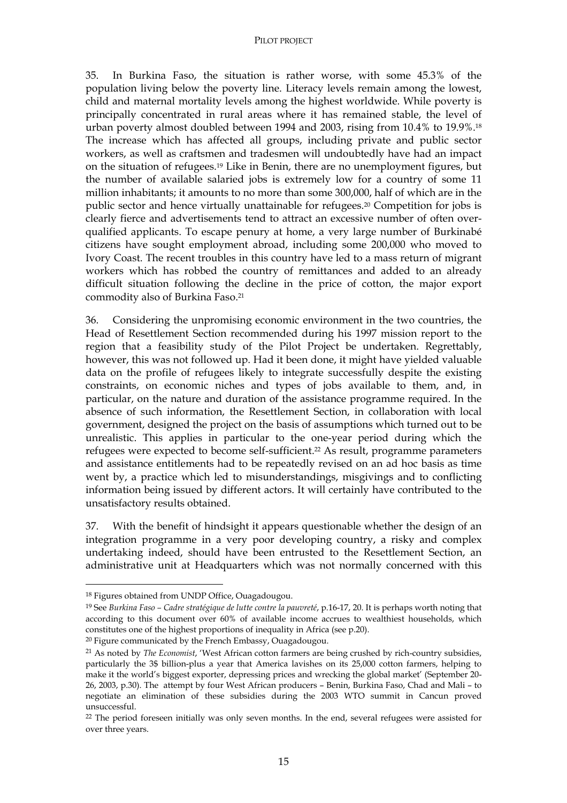#### PILOT PROJECT

35. In Burkina Faso, the situation is rather worse, with some 45.3% of the population living below the poverty line. Literacy levels remain among the lowest, child and maternal mortality levels among the highest worldwide. While poverty is principally concentrated in rural areas where it has remained stable, the level of urban poverty almost doubled between 1994 and 2003, rising from 10.4% to 19.9%.18 The increase which has affected all groups, including private and public sector workers, as well as craftsmen and tradesmen will undoubtedly have had an impact on the situation of refugees.19 Like in Benin, there are no unemployment figures, but the number of available salaried jobs is extremely low for a country of some 11 million inhabitants; it amounts to no more than some 300,000, half of which are in the public sector and hence virtually unattainable for refugees.20 Competition for jobs is clearly fierce and advertisements tend to attract an excessive number of often overqualified applicants. To escape penury at home, a very large number of Burkinabé citizens have sought employment abroad, including some 200,000 who moved to Ivory Coast. The recent troubles in this country have led to a mass return of migrant workers which has robbed the country of remittances and added to an already difficult situation following the decline in the price of cotton, the major export commodity also of Burkina Faso.21

36. Considering the unpromising economic environment in the two countries, the Head of Resettlement Section recommended during his 1997 mission report to the region that a feasibility study of the Pilot Project be undertaken. Regrettably, however, this was not followed up. Had it been done, it might have yielded valuable data on the profile of refugees likely to integrate successfully despite the existing constraints, on economic niches and types of jobs available to them, and, in particular, on the nature and duration of the assistance programme required. In the absence of such information, the Resettlement Section, in collaboration with local government, designed the project on the basis of assumptions which turned out to be unrealistic. This applies in particular to the one-year period during which the refugees were expected to become self-sufficient.22 As result, programme parameters and assistance entitlements had to be repeatedly revised on an ad hoc basis as time went by, a practice which led to misunderstandings, misgivings and to conflicting information being issued by different actors. It will certainly have contributed to the unsatisfactory results obtained.

37. With the benefit of hindsight it appears questionable whether the design of an integration programme in a very poor developing country, a risky and complex undertaking indeed, should have been entrusted to the Resettlement Section, an administrative unit at Headquarters which was not normally concerned with this

 $\ddot{\phantom{a}}$ 

<sup>18</sup> Figures obtained from UNDP Office, Ouagadougou.

<sup>19</sup> See *Burkina Faso – Cadre stratégique de lutte contre la pauvreté*, p.16-17, 20. It is perhaps worth noting that according to this document over 60% of available income accrues to wealthiest households, which constitutes one of the highest proportions of inequality in Africa (see p.20).

<sup>20</sup> Figure communicated by the French Embassy, Ouagadougou.

<sup>21</sup> As noted by *The Economist*, 'West African cotton farmers are being crushed by rich-country subsidies, particularly the 3\$ billion-plus a year that America lavishes on its 25,000 cotton farmers, helping to make it the world's biggest exporter, depressing prices and wrecking the global market' (September 20- 26, 2003, p.30). The attempt by four West African producers – Benin, Burkina Faso, Chad and Mali – to negotiate an elimination of these subsidies during the 2003 WTO summit in Cancun proved unsuccessful.

<sup>&</sup>lt;sup>22</sup> The period foreseen initially was only seven months. In the end, several refugees were assisted for over three years.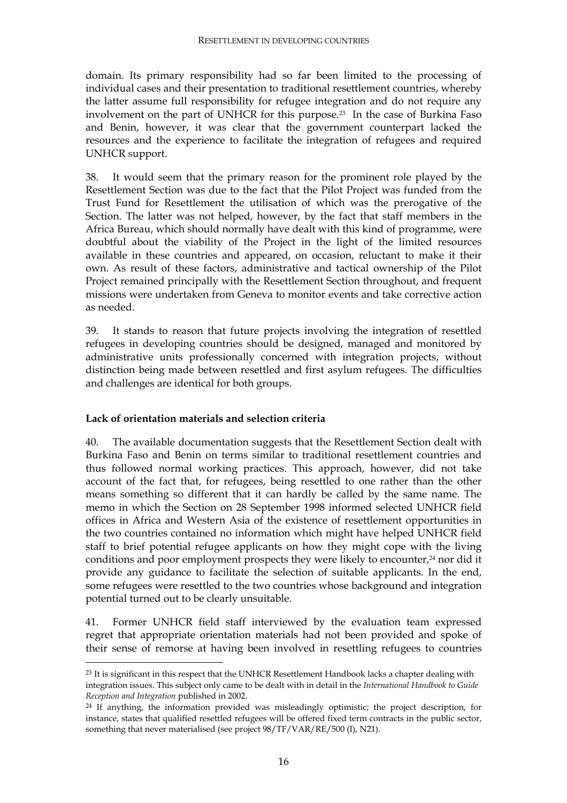domain. Its primary responsibility had so far been limited to the processing of individual cases and their presentation to traditional resettlement countries, whereby the latter assume full responsibility for refugee integration and do not require any involvement on the part of UNHCR for this purpose.23 In the case of Burkina Faso and Benin, however, it was clear that the government counterpart lacked the resources and the experience to facilitate the integration of refugees and required UNHCR support.

38. It would seem that the primary reason for the prominent role played by the Resettlement Section was due to the fact that the Pilot Project was funded from the Trust Fund for Resettlement the utilisation of which was the prerogative of the Section. The latter was not helped, however, by the fact that staff members in the Africa Bureau, which should normally have dealt with this kind of programme, were doubtful about the viability of the Project in the light of the limited resources available in these countries and appeared, on occasion, reluctant to make it their own. As result of these factors, administrative and tactical ownership of the Pilot Project remained principally with the Resettlement Section throughout, and frequent missions were undertaken from Geneva to monitor events and take corrective action as needed.

39. It stands to reason that future projects involving the integration of resettled refugees in developing countries should be designed, managed and monitored by administrative units professionally concerned with integration projects, without distinction being made between resettled and first asylum refugees. The difficulties and challenges are identical for both groups.

#### **Lack of orientation materials and selection criteria**

 $\overline{a}$ 

40. The available documentation suggests that the Resettlement Section dealt with Burkina Faso and Benin on terms similar to traditional resettlement countries and thus followed normal working practices. This approach, however, did not take account of the fact that, for refugees, being resettled to one rather than the other means something so different that it can hardly be called by the same name. The memo in which the Section on 28 September 1998 informed selected UNHCR field offices in Africa and Western Asia of the existence of resettlement opportunities in the two countries contained no information which might have helped UNHCR field staff to brief potential refugee applicants on how they might cope with the living conditions and poor employment prospects they were likely to encounter,<sup>24</sup> nor did it provide any guidance to facilitate the selection of suitable applicants. In the end, some refugees were resettled to the two countries whose background and integration potential turned out to be clearly unsuitable.

41. Former UNHCR field staff interviewed by the evaluation team expressed regret that appropriate orientation materials had not been provided and spoke of their sense of remorse at having been involved in resettling refugees to countries

 $^{23}$  It is significant in this respect that the UNHCR Resettlement Handbook lacks a chapter dealing with integration issues. This subject only came to be dealt with in detail in the *International Handbook to Guide Reception and Integration* published in 2002.

<sup>&</sup>lt;sup>24</sup> If anything, the information provided was misleadingly optimistic; the project description, for instance, states that qualified resettled refugees will be offered fixed term contracts in the public sector, something that never materialised (see project 98/TF/VAR/RE/500 (I), N21).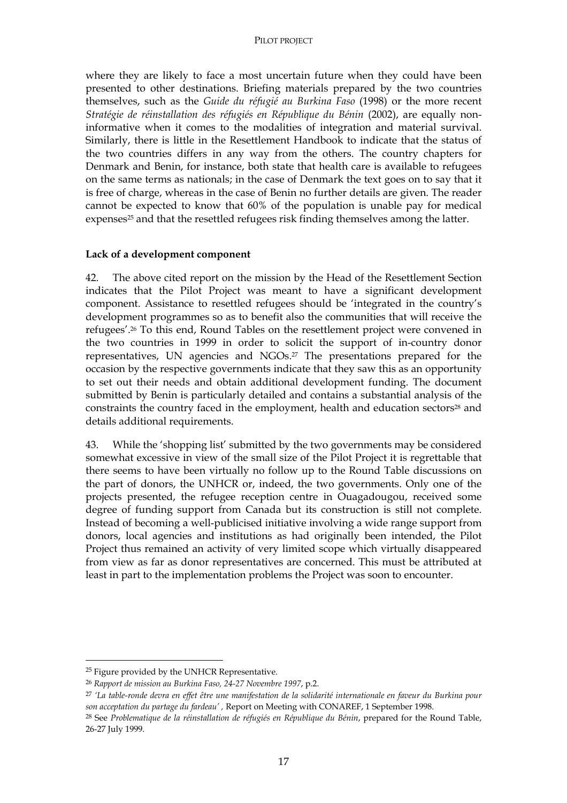where they are likely to face a most uncertain future when they could have been presented to other destinations. Briefing materials prepared by the two countries themselves, such as the *Guide du réfugié au Burkina Faso* (1998) or the more recent *Stratégie de réinstallation des réfugiés en République du Bénin* (2002), are equally noninformative when it comes to the modalities of integration and material survival. Similarly, there is little in the Resettlement Handbook to indicate that the status of the two countries differs in any way from the others. The country chapters for Denmark and Benin, for instance, both state that health care is available to refugees on the same terms as nationals; in the case of Denmark the text goes on to say that it is free of charge, whereas in the case of Benin no further details are given. The reader cannot be expected to know that 60% of the population is unable pay for medical expenses<sup>25</sup> and that the resettled refugees risk finding themselves among the latter.

#### **Lack of a development component**

42. The above cited report on the mission by the Head of the Resettlement Section indicates that the Pilot Project was meant to have a significant development component. Assistance to resettled refugees should be 'integrated in the country's development programmes so as to benefit also the communities that will receive the refugees'.26 To this end, Round Tables on the resettlement project were convened in the two countries in 1999 in order to solicit the support of in-country donor representatives, UN agencies and NGOs.27 The presentations prepared for the occasion by the respective governments indicate that they saw this as an opportunity to set out their needs and obtain additional development funding. The document submitted by Benin is particularly detailed and contains a substantial analysis of the constraints the country faced in the employment, health and education sectors<sup>28</sup> and details additional requirements.

43. While the 'shopping list' submitted by the two governments may be considered somewhat excessive in view of the small size of the Pilot Project it is regrettable that there seems to have been virtually no follow up to the Round Table discussions on the part of donors, the UNHCR or, indeed, the two governments. Only one of the projects presented, the refugee reception centre in Ouagadougou, received some degree of funding support from Canada but its construction is still not complete. Instead of becoming a well-publicised initiative involving a wide range support from donors, local agencies and institutions as had originally been intended, the Pilot Project thus remained an activity of very limited scope which virtually disappeared from view as far as donor representatives are concerned. This must be attributed at least in part to the implementation problems the Project was soon to encounter.

<sup>25</sup> Figure provided by the UNHCR Representative.

<sup>26</sup> *Rapport de mission au Burkina Faso, 24-27 Novembre 1997*, p.2.

<sup>27</sup> *'La table-ronde devra en effet être une manifestation de la solidarité internationale en faveur du Burkina pour son acceptation du partage du fardeau' ,* Report on Meeting with CONAREF, 1 September 1998.

<sup>28</sup> See *Problematique de la réinstallation de réfugiés en République du Bénin*, prepared for the Round Table, 26-27 July 1999.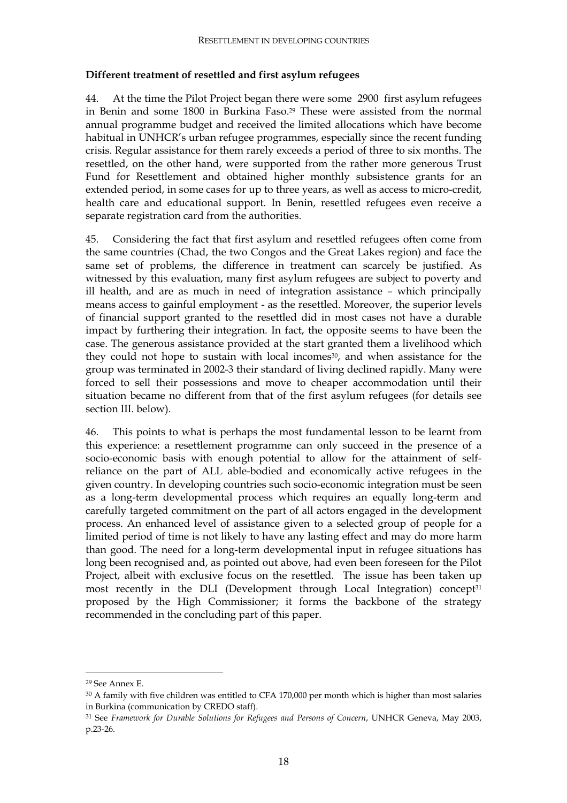#### **Different treatment of resettled and first asylum refugees**

44. At the time the Pilot Project began there were some 2900 first asylum refugees in Benin and some 1800 in Burkina Faso.29 These were assisted from the normal annual programme budget and received the limited allocations which have become habitual in UNHCR's urban refugee programmes, especially since the recent funding crisis. Regular assistance for them rarely exceeds a period of three to six months. The resettled, on the other hand, were supported from the rather more generous Trust Fund for Resettlement and obtained higher monthly subsistence grants for an extended period, in some cases for up to three years, as well as access to micro-credit, health care and educational support. In Benin, resettled refugees even receive a separate registration card from the authorities.

45. Considering the fact that first asylum and resettled refugees often come from the same countries (Chad, the two Congos and the Great Lakes region) and face the same set of problems, the difference in treatment can scarcely be justified. As witnessed by this evaluation, many first asylum refugees are subject to poverty and ill health, and are as much in need of integration assistance – which principally means access to gainful employment - as the resettled. Moreover, the superior levels of financial support granted to the resettled did in most cases not have a durable impact by furthering their integration. In fact, the opposite seems to have been the case. The generous assistance provided at the start granted them a livelihood which they could not hope to sustain with local incomes<sup>30</sup>, and when assistance for the group was terminated in 2002-3 their standard of living declined rapidly. Many were forced to sell their possessions and move to cheaper accommodation until their situation became no different from that of the first asylum refugees (for details see section III. below).

46. This points to what is perhaps the most fundamental lesson to be learnt from this experience: a resettlement programme can only succeed in the presence of a socio-economic basis with enough potential to allow for the attainment of selfreliance on the part of ALL able-bodied and economically active refugees in the given country. In developing countries such socio-economic integration must be seen as a long-term developmental process which requires an equally long-term and carefully targeted commitment on the part of all actors engaged in the development process. An enhanced level of assistance given to a selected group of people for a limited period of time is not likely to have any lasting effect and may do more harm than good. The need for a long-term developmental input in refugee situations has long been recognised and, as pointed out above, had even been foreseen for the Pilot Project, albeit with exclusive focus on the resettled. The issue has been taken up most recently in the DLI (Development through Local Integration) concept<sup>31</sup> proposed by the High Commissioner; it forms the backbone of the strategy recommended in the concluding part of this paper.

<sup>29</sup> See Annex E.

<sup>&</sup>lt;sup>30</sup> A family with five children was entitled to CFA 170,000 per month which is higher than most salaries in Burkina (communication by CREDO staff).

<sup>31</sup> See *Framework for Durable Solutions for Refugees and Persons of Concern*, UNHCR Geneva, May 2003, p.23-26.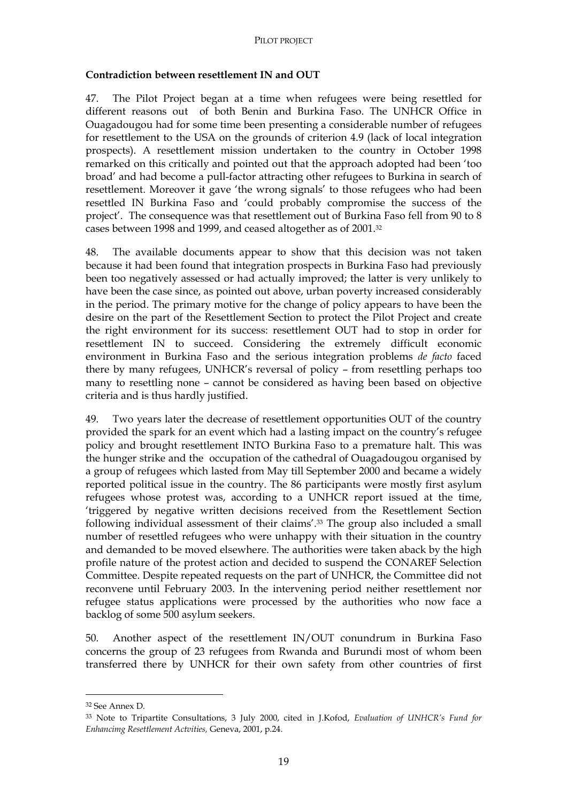#### **Contradiction between resettlement IN and OUT**

47. The Pilot Project began at a time when refugees were being resettled for different reasons out of both Benin and Burkina Faso. The UNHCR Office in Ouagadougou had for some time been presenting a considerable number of refugees for resettlement to the USA on the grounds of criterion 4.9 (lack of local integration prospects). A resettlement mission undertaken to the country in October 1998 remarked on this critically and pointed out that the approach adopted had been 'too broad' and had become a pull-factor attracting other refugees to Burkina in search of resettlement. Moreover it gave 'the wrong signals' to those refugees who had been resettled IN Burkina Faso and 'could probably compromise the success of the project'. The consequence was that resettlement out of Burkina Faso fell from 90 to 8 cases between 1998 and 1999, and ceased altogether as of 2001.32

48. The available documents appear to show that this decision was not taken because it had been found that integration prospects in Burkina Faso had previously been too negatively assessed or had actually improved; the latter is very unlikely to have been the case since, as pointed out above, urban poverty increased considerably in the period. The primary motive for the change of policy appears to have been the desire on the part of the Resettlement Section to protect the Pilot Project and create the right environment for its success: resettlement OUT had to stop in order for resettlement IN to succeed. Considering the extremely difficult economic environment in Burkina Faso and the serious integration problems *de facto* faced there by many refugees, UNHCR's reversal of policy – from resettling perhaps too many to resettling none – cannot be considered as having been based on objective criteria and is thus hardly justified.

49. Two years later the decrease of resettlement opportunities OUT of the country provided the spark for an event which had a lasting impact on the country's refugee policy and brought resettlement INTO Burkina Faso to a premature halt. This was the hunger strike and the occupation of the cathedral of Ouagadougou organised by a group of refugees which lasted from May till September 2000 and became a widely reported political issue in the country. The 86 participants were mostly first asylum refugees whose protest was, according to a UNHCR report issued at the time, 'triggered by negative written decisions received from the Resettlement Section following individual assessment of their claims'.33 The group also included a small number of resettled refugees who were unhappy with their situation in the country and demanded to be moved elsewhere. The authorities were taken aback by the high profile nature of the protest action and decided to suspend the CONAREF Selection Committee. Despite repeated requests on the part of UNHCR, the Committee did not reconvene until February 2003. In the intervening period neither resettlement nor refugee status applications were processed by the authorities who now face a backlog of some 500 asylum seekers.

50. Another aspect of the resettlement IN/OUT conundrum in Burkina Faso concerns the group of 23 refugees from Rwanda and Burundi most of whom been transferred there by UNHCR for their own safety from other countries of first

<sup>32</sup> See Annex D.

<sup>33</sup> Note to Tripartite Consultations, 3 July 2000, cited in J.Kofod, *Evaluation of UNHCR's Fund for Enhancimg Resettlement Actvities,* Geneva, 2001, p.24.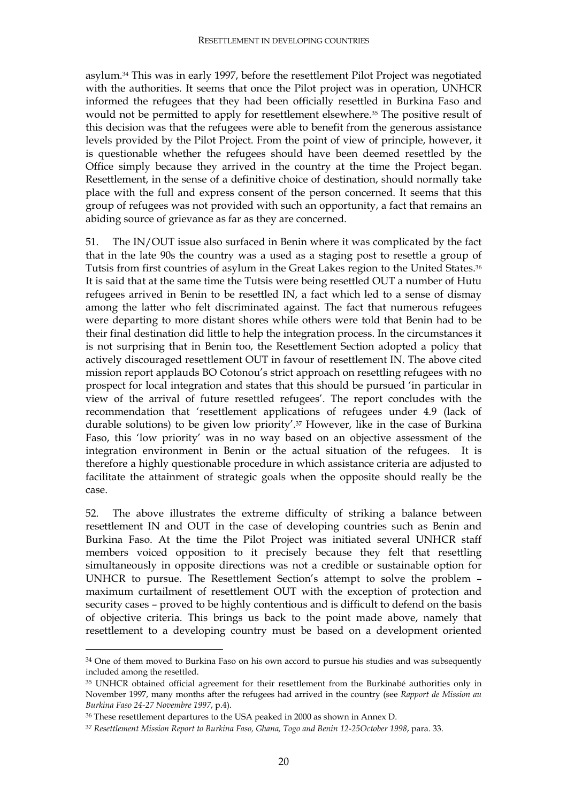asylum.34 This was in early 1997, before the resettlement Pilot Project was negotiated with the authorities. It seems that once the Pilot project was in operation, UNHCR informed the refugees that they had been officially resettled in Burkina Faso and would not be permitted to apply for resettlement elsewhere.35 The positive result of this decision was that the refugees were able to benefit from the generous assistance levels provided by the Pilot Project. From the point of view of principle, however, it is questionable whether the refugees should have been deemed resettled by the Office simply because they arrived in the country at the time the Project began. Resettlement, in the sense of a definitive choice of destination, should normally take place with the full and express consent of the person concerned. It seems that this group of refugees was not provided with such an opportunity, a fact that remains an abiding source of grievance as far as they are concerned.

51. The IN/OUT issue also surfaced in Benin where it was complicated by the fact that in the late 90s the country was a used as a staging post to resettle a group of Tutsis from first countries of asylum in the Great Lakes region to the United States.36 It is said that at the same time the Tutsis were being resettled OUT a number of Hutu refugees arrived in Benin to be resettled IN, a fact which led to a sense of dismay among the latter who felt discriminated against. The fact that numerous refugees were departing to more distant shores while others were told that Benin had to be their final destination did little to help the integration process. In the circumstances it is not surprising that in Benin too, the Resettlement Section adopted a policy that actively discouraged resettlement OUT in favour of resettlement IN. The above cited mission report applauds BO Cotonou's strict approach on resettling refugees with no prospect for local integration and states that this should be pursued 'in particular in view of the arrival of future resettled refugees'. The report concludes with the recommendation that 'resettlement applications of refugees under 4.9 (lack of durable solutions) to be given low priority'.37 However, like in the case of Burkina Faso, this 'low priority' was in no way based on an objective assessment of the integration environment in Benin or the actual situation of the refugees. It is therefore a highly questionable procedure in which assistance criteria are adjusted to facilitate the attainment of strategic goals when the opposite should really be the case.

52. The above illustrates the extreme difficulty of striking a balance between resettlement IN and OUT in the case of developing countries such as Benin and Burkina Faso. At the time the Pilot Project was initiated several UNHCR staff members voiced opposition to it precisely because they felt that resettling simultaneously in opposite directions was not a credible or sustainable option for UNHCR to pursue. The Resettlement Section's attempt to solve the problem – maximum curtailment of resettlement OUT with the exception of protection and security cases – proved to be highly contentious and is difficult to defend on the basis of objective criteria. This brings us back to the point made above, namely that resettlement to a developing country must be based on a development oriented

<sup>&</sup>lt;sup>34</sup> One of them moved to Burkina Faso on his own accord to pursue his studies and was subsequently included among the resettled.

<sup>&</sup>lt;sup>35</sup> UNHCR obtained official agreement for their resettlement from the Burkinabé authorities only in November 1997, many months after the refugees had arrived in the country (see *Rapport de Mission au Burkina Faso 24-27 Novembre 1997*, p.4).

<sup>36</sup> These resettlement departures to the USA peaked in 2000 as shown in Annex D.

<sup>37</sup> *Resettlement Mission Report to Burkina Faso, Ghana, Togo and Benin 12-25October 1998*, para. 33.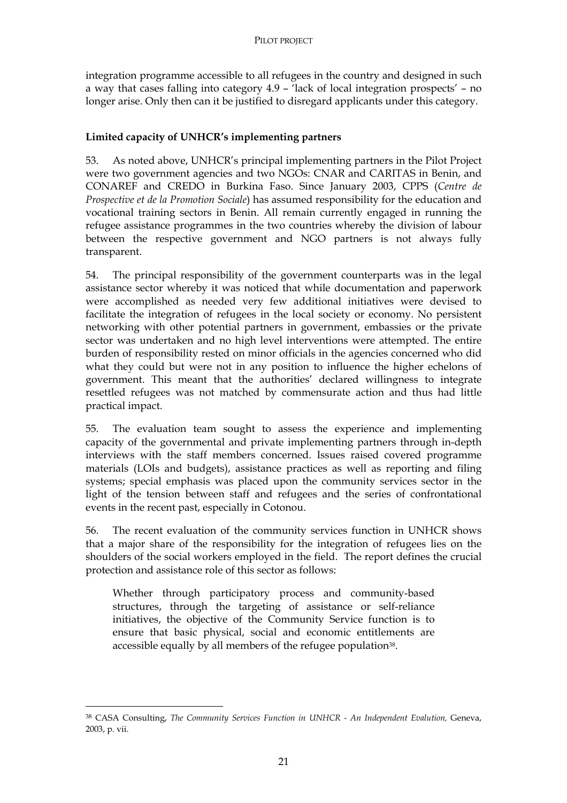integration programme accessible to all refugees in the country and designed in such a way that cases falling into category 4.9 – 'lack of local integration prospects' – no longer arise. Only then can it be justified to disregard applicants under this category.

## **Limited capacity of UNHCR's implementing partners**

53. As noted above, UNHCR's principal implementing partners in the Pilot Project were two government agencies and two NGOs: CNAR and CARITAS in Benin, and CONAREF and CREDO in Burkina Faso. Since January 2003, CPPS (*Centre de Prospective et de la Promotion Sociale*) has assumed responsibility for the education and vocational training sectors in Benin. All remain currently engaged in running the refugee assistance programmes in the two countries whereby the division of labour between the respective government and NGO partners is not always fully transparent.

54. The principal responsibility of the government counterparts was in the legal assistance sector whereby it was noticed that while documentation and paperwork were accomplished as needed very few additional initiatives were devised to facilitate the integration of refugees in the local society or economy. No persistent networking with other potential partners in government, embassies or the private sector was undertaken and no high level interventions were attempted. The entire burden of responsibility rested on minor officials in the agencies concerned who did what they could but were not in any position to influence the higher echelons of government. This meant that the authorities' declared willingness to integrate resettled refugees was not matched by commensurate action and thus had little practical impact.

55. The evaluation team sought to assess the experience and implementing capacity of the governmental and private implementing partners through in-depth interviews with the staff members concerned. Issues raised covered programme materials (LOIs and budgets), assistance practices as well as reporting and filing systems; special emphasis was placed upon the community services sector in the light of the tension between staff and refugees and the series of confrontational events in the recent past, especially in Cotonou.

56. The recent evaluation of the community services function in UNHCR shows that a major share of the responsibility for the integration of refugees lies on the shoulders of the social workers employed in the field. The report defines the crucial protection and assistance role of this sector as follows:

Whether through participatory process and community-based structures, through the targeting of assistance or self-reliance initiatives, the objective of the Community Service function is to ensure that basic physical, social and economic entitlements are accessible equally by all members of the refugee population<sup>38</sup>.

<sup>&</sup>lt;sup>38</sup> CASA Consulting, *The Community Services Function in UNHCR - An Independent Evalution*, Geneva, 2003, p. vii.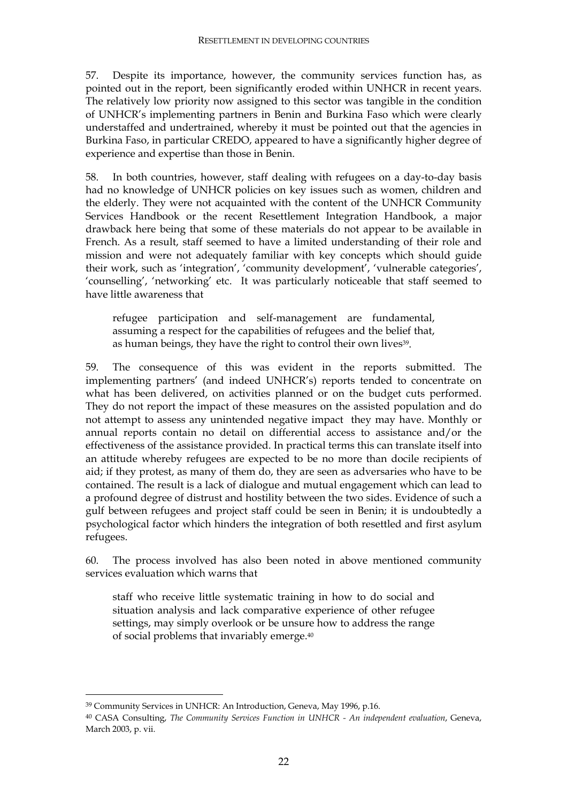57. Despite its importance, however, the community services function has, as pointed out in the report, been significantly eroded within UNHCR in recent years. The relatively low priority now assigned to this sector was tangible in the condition of UNHCR's implementing partners in Benin and Burkina Faso which were clearly understaffed and undertrained, whereby it must be pointed out that the agencies in Burkina Faso, in particular CREDO, appeared to have a significantly higher degree of experience and expertise than those in Benin.

58. In both countries, however, staff dealing with refugees on a day-to-day basis had no knowledge of UNHCR policies on key issues such as women, children and the elderly. They were not acquainted with the content of the UNHCR Community Services Handbook or the recent Resettlement Integration Handbook, a major drawback here being that some of these materials do not appear to be available in French. As a result, staff seemed to have a limited understanding of their role and mission and were not adequately familiar with key concepts which should guide their work, such as 'integration', 'community development', 'vulnerable categories', 'counselling', 'networking' etc. It was particularly noticeable that staff seemed to have little awareness that

refugee participation and self-management are fundamental, assuming a respect for the capabilities of refugees and the belief that, as human beings, they have the right to control their own lives<sup>39</sup>.

59. The consequence of this was evident in the reports submitted. The implementing partners' (and indeed UNHCR's) reports tended to concentrate on what has been delivered, on activities planned or on the budget cuts performed. They do not report the impact of these measures on the assisted population and do not attempt to assess any unintended negative impact they may have. Monthly or annual reports contain no detail on differential access to assistance and/or the effectiveness of the assistance provided. In practical terms this can translate itself into an attitude whereby refugees are expected to be no more than docile recipients of aid; if they protest, as many of them do, they are seen as adversaries who have to be contained. The result is a lack of dialogue and mutual engagement which can lead to a profound degree of distrust and hostility between the two sides. Evidence of such a gulf between refugees and project staff could be seen in Benin; it is undoubtedly a psychological factor which hinders the integration of both resettled and first asylum refugees.

60. The process involved has also been noted in above mentioned community services evaluation which warns that

staff who receive little systematic training in how to do social and situation analysis and lack comparative experience of other refugee settings, may simply overlook or be unsure how to address the range of social problems that invariably emerge.40

<sup>39</sup> Community Services in UNHCR: An Introduction, Geneva, May 1996, p.16.

<sup>40</sup> CASA Consulting, *The Community Services Function in UNHCR - An independent evaluation*, Geneva, March 2003, p. vii.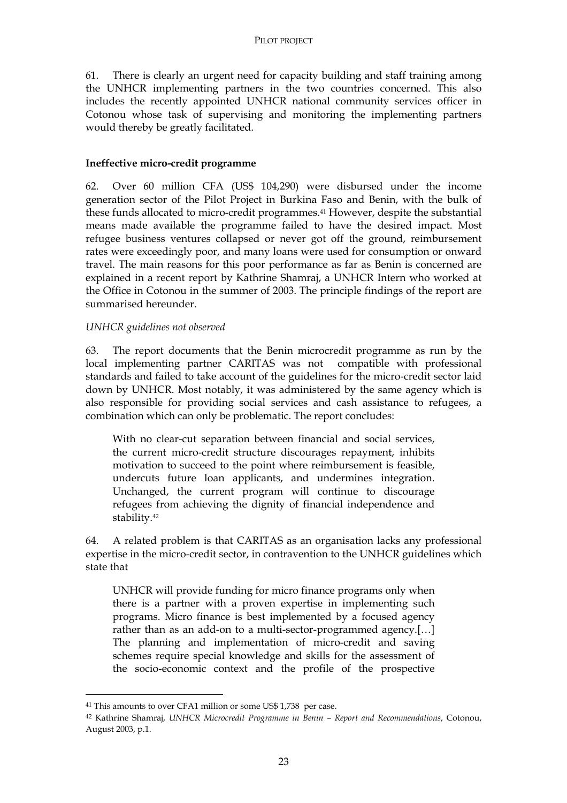61. There is clearly an urgent need for capacity building and staff training among the UNHCR implementing partners in the two countries concerned. This also includes the recently appointed UNHCR national community services officer in Cotonou whose task of supervising and monitoring the implementing partners would thereby be greatly facilitated.

#### **Ineffective micro-credit programme**

62. Over 60 million CFA (US\$ 104,290) were disbursed under the income generation sector of the Pilot Project in Burkina Faso and Benin, with the bulk of these funds allocated to micro-credit programmes.41 However, despite the substantial means made available the programme failed to have the desired impact. Most refugee business ventures collapsed or never got off the ground, reimbursement rates were exceedingly poor, and many loans were used for consumption or onward travel. The main reasons for this poor performance as far as Benin is concerned are explained in a recent report by Kathrine Shamraj, a UNHCR Intern who worked at the Office in Cotonou in the summer of 2003. The principle findings of the report are summarised hereunder.

#### *UNHCR guidelines not observed*

63. The report documents that the Benin microcredit programme as run by the local implementing partner CARITAS was not compatible with professional standards and failed to take account of the guidelines for the micro-credit sector laid down by UNHCR. Most notably, it was administered by the same agency which is also responsible for providing social services and cash assistance to refugees, a combination which can only be problematic. The report concludes:

With no clear-cut separation between financial and social services, the current micro-credit structure discourages repayment, inhibits motivation to succeed to the point where reimbursement is feasible, undercuts future loan applicants, and undermines integration. Unchanged, the current program will continue to discourage refugees from achieving the dignity of financial independence and stability.42

64. A related problem is that CARITAS as an organisation lacks any professional expertise in the micro-credit sector, in contravention to the UNHCR guidelines which state that

UNHCR will provide funding for micro finance programs only when there is a partner with a proven expertise in implementing such programs. Micro finance is best implemented by a focused agency rather than as an add-on to a multi-sector-programmed agency.[…] The planning and implementation of micro-credit and saving schemes require special knowledge and skills for the assessment of the socio-economic context and the profile of the prospective

<sup>41</sup> This amounts to over CFA1 million or some US\$ 1,738 per case.

<sup>42</sup> Kathrine Shamraj, *UNHCR Microcredit Programme in Benin – Report and Recommendations*, Cotonou, August 2003, p.1.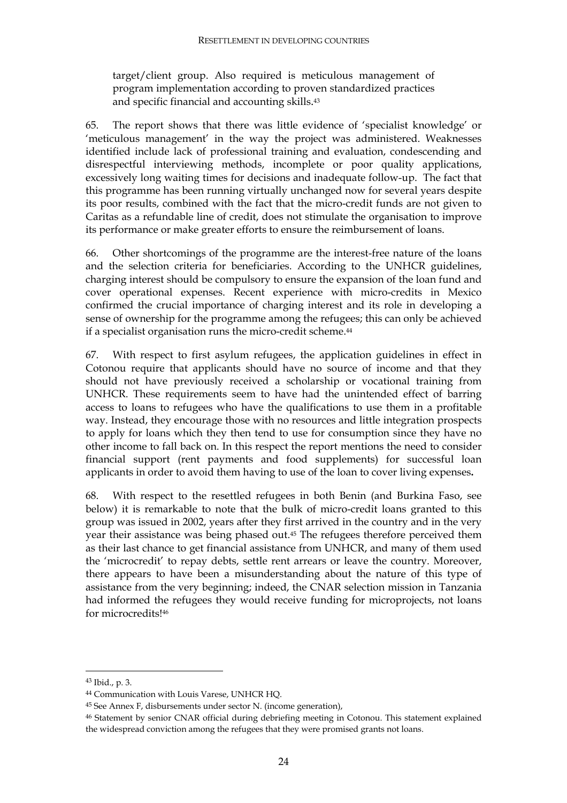target/client group. Also required is meticulous management of program implementation according to proven standardized practices and specific financial and accounting skills.<sup>43</sup>

65. The report shows that there was little evidence of 'specialist knowledge' or 'meticulous management' in the way the project was administered. Weaknesses identified include lack of professional training and evaluation, condescending and disrespectful interviewing methods, incomplete or poor quality applications, excessively long waiting times for decisions and inadequate follow-up. The fact that this programme has been running virtually unchanged now for several years despite its poor results, combined with the fact that the micro-credit funds are not given to Caritas as a refundable line of credit, does not stimulate the organisation to improve its performance or make greater efforts to ensure the reimbursement of loans.

66. Other shortcomings of the programme are the interest-free nature of the loans and the selection criteria for beneficiaries. According to the UNHCR guidelines, charging interest should be compulsory to ensure the expansion of the loan fund and cover operational expenses. Recent experience with micro-credits in Mexico confirmed the crucial importance of charging interest and its role in developing a sense of ownership for the programme among the refugees; this can only be achieved if a specialist organisation runs the micro-credit scheme.<sup>44</sup>

67. With respect to first asylum refugees, the application guidelines in effect in Cotonou require that applicants should have no source of income and that they should not have previously received a scholarship or vocational training from UNHCR. These requirements seem to have had the unintended effect of barring access to loans to refugees who have the qualifications to use them in a profitable way. Instead, they encourage those with no resources and little integration prospects to apply for loans which they then tend to use for consumption since they have no other income to fall back on. In this respect the report mentions the need to consider financial support (rent payments and food supplements) for successful loan applicants in order to avoid them having to use of the loan to cover living expenses**.**

68. With respect to the resettled refugees in both Benin (and Burkina Faso, see below) it is remarkable to note that the bulk of micro-credit loans granted to this group was issued in 2002, years after they first arrived in the country and in the very year their assistance was being phased out.45 The refugees therefore perceived them as their last chance to get financial assistance from UNHCR, and many of them used the 'microcredit' to repay debts, settle rent arrears or leave the country. Moreover, there appears to have been a misunderstanding about the nature of this type of assistance from the very beginning; indeed, the CNAR selection mission in Tanzania had informed the refugees they would receive funding for microprojects, not loans for microcredits!46

 $\ddot{\phantom{a}}$ 

<sup>43</sup> Ibid., p. 3.

<sup>44</sup> Communication with Louis Varese, UNHCR HQ.

<sup>45</sup> See Annex F, disbursements under sector N. (income generation),

<sup>46</sup> Statement by senior CNAR official during debriefing meeting in Cotonou. This statement explained the widespread conviction among the refugees that they were promised grants not loans.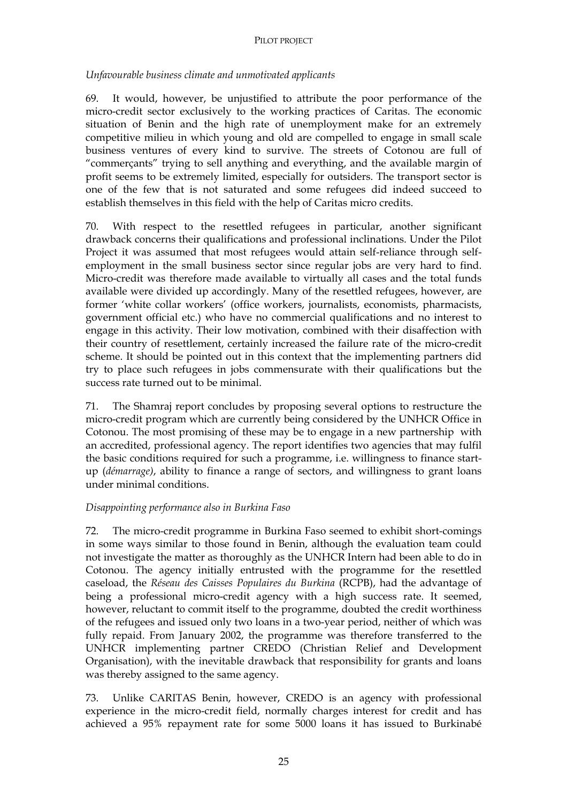#### PILOT PROJECT

*Unfavourable business climate and unmotivated applicants* 

69. It would, however, be unjustified to attribute the poor performance of the micro-credit sector exclusively to the working practices of Caritas. The economic situation of Benin and the high rate of unemployment make for an extremely competitive milieu in which young and old are compelled to engage in small scale business ventures of every kind to survive. The streets of Cotonou are full of "commerçants" trying to sell anything and everything, and the available margin of profit seems to be extremely limited, especially for outsiders. The transport sector is one of the few that is not saturated and some refugees did indeed succeed to establish themselves in this field with the help of Caritas micro credits.

70. With respect to the resettled refugees in particular, another significant drawback concerns their qualifications and professional inclinations. Under the Pilot Project it was assumed that most refugees would attain self-reliance through selfemployment in the small business sector since regular jobs are very hard to find. Micro-credit was therefore made available to virtually all cases and the total funds available were divided up accordingly. Many of the resettled refugees, however, are former 'white collar workers' (office workers, journalists, economists, pharmacists, government official etc.) who have no commercial qualifications and no interest to engage in this activity. Their low motivation, combined with their disaffection with their country of resettlement, certainly increased the failure rate of the micro-credit scheme. It should be pointed out in this context that the implementing partners did try to place such refugees in jobs commensurate with their qualifications but the success rate turned out to be minimal.

71. The Shamraj report concludes by proposing several options to restructure the micro-credit program which are currently being considered by the UNHCR Office in Cotonou. The most promising of these may be to engage in a new partnership with an accredited, professional agency. The report identifies two agencies that may fulfil the basic conditions required for such a programme, i.e. willingness to finance startup (*démarrage)*, ability to finance a range of sectors, and willingness to grant loans under minimal conditions.

## *Disappointing performance also in Burkina Faso*

72. The micro-credit programme in Burkina Faso seemed to exhibit short-comings in some ways similar to those found in Benin, although the evaluation team could not investigate the matter as thoroughly as the UNHCR Intern had been able to do in Cotonou. The agency initially entrusted with the programme for the resettled caseload, the *Réseau des Caisses Populaires du Burkina* (RCPB), had the advantage of being a professional micro-credit agency with a high success rate. It seemed, however, reluctant to commit itself to the programme, doubted the credit worthiness of the refugees and issued only two loans in a two-year period, neither of which was fully repaid. From January 2002, the programme was therefore transferred to the UNHCR implementing partner CREDO (Christian Relief and Development Organisation), with the inevitable drawback that responsibility for grants and loans was thereby assigned to the same agency.

73. Unlike CARITAS Benin, however, CREDO is an agency with professional experience in the micro-credit field, normally charges interest for credit and has achieved a 95% repayment rate for some 5000 loans it has issued to Burkinabé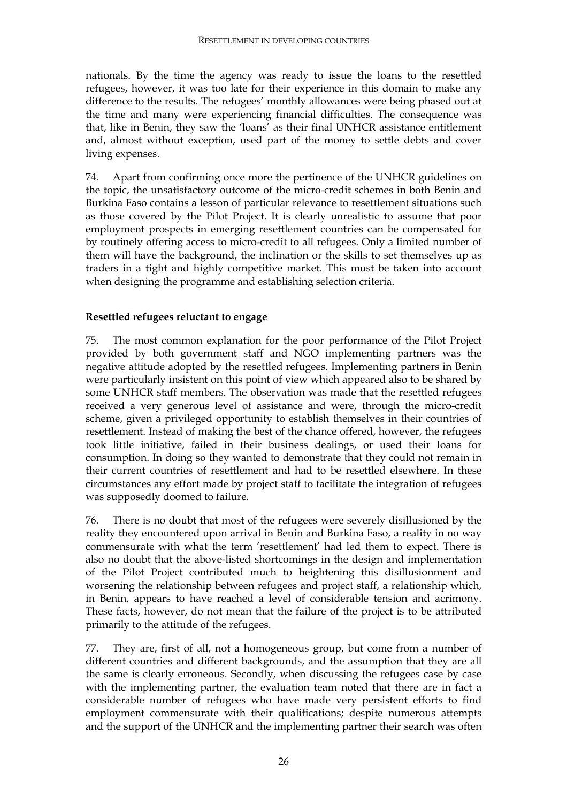nationals. By the time the agency was ready to issue the loans to the resettled refugees, however, it was too late for their experience in this domain to make any difference to the results. The refugees' monthly allowances were being phased out at the time and many were experiencing financial difficulties. The consequence was that, like in Benin, they saw the 'loans' as their final UNHCR assistance entitlement and, almost without exception, used part of the money to settle debts and cover living expenses.

74. Apart from confirming once more the pertinence of the UNHCR guidelines on the topic, the unsatisfactory outcome of the micro-credit schemes in both Benin and Burkina Faso contains a lesson of particular relevance to resettlement situations such as those covered by the Pilot Project. It is clearly unrealistic to assume that poor employment prospects in emerging resettlement countries can be compensated for by routinely offering access to micro-credit to all refugees. Only a limited number of them will have the background, the inclination or the skills to set themselves up as traders in a tight and highly competitive market. This must be taken into account when designing the programme and establishing selection criteria.

### **Resettled refugees reluctant to engage**

75. The most common explanation for the poor performance of the Pilot Project provided by both government staff and NGO implementing partners was the negative attitude adopted by the resettled refugees. Implementing partners in Benin were particularly insistent on this point of view which appeared also to be shared by some UNHCR staff members. The observation was made that the resettled refugees received a very generous level of assistance and were, through the micro-credit scheme, given a privileged opportunity to establish themselves in their countries of resettlement. Instead of making the best of the chance offered, however, the refugees took little initiative, failed in their business dealings, or used their loans for consumption. In doing so they wanted to demonstrate that they could not remain in their current countries of resettlement and had to be resettled elsewhere. In these circumstances any effort made by project staff to facilitate the integration of refugees was supposedly doomed to failure.

76. There is no doubt that most of the refugees were severely disillusioned by the reality they encountered upon arrival in Benin and Burkina Faso, a reality in no way commensurate with what the term 'resettlement' had led them to expect. There is also no doubt that the above-listed shortcomings in the design and implementation of the Pilot Project contributed much to heightening this disillusionment and worsening the relationship between refugees and project staff, a relationship which, in Benin, appears to have reached a level of considerable tension and acrimony. These facts, however, do not mean that the failure of the project is to be attributed primarily to the attitude of the refugees.

77. They are, first of all, not a homogeneous group, but come from a number of different countries and different backgrounds, and the assumption that they are all the same is clearly erroneous. Secondly, when discussing the refugees case by case with the implementing partner, the evaluation team noted that there are in fact a considerable number of refugees who have made very persistent efforts to find employment commensurate with their qualifications; despite numerous attempts and the support of the UNHCR and the implementing partner their search was often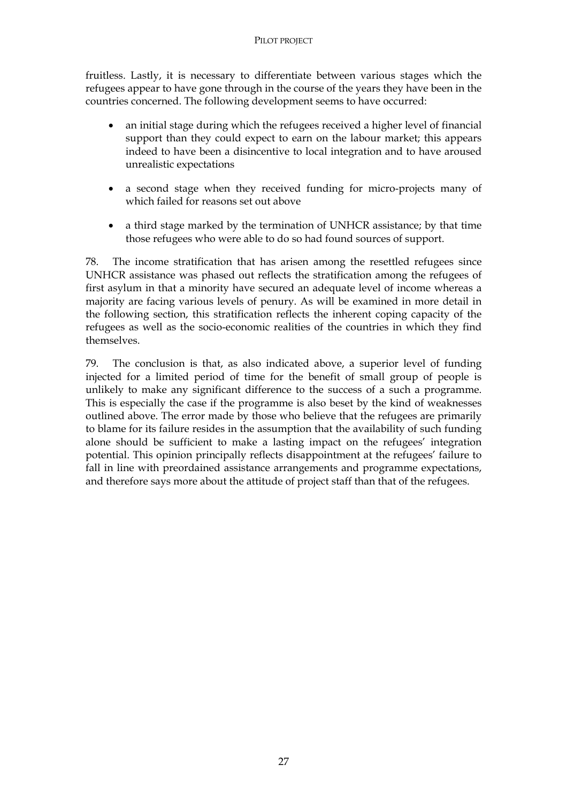fruitless. Lastly, it is necessary to differentiate between various stages which the refugees appear to have gone through in the course of the years they have been in the countries concerned. The following development seems to have occurred:

- an initial stage during which the refugees received a higher level of financial support than they could expect to earn on the labour market; this appears indeed to have been a disincentive to local integration and to have aroused unrealistic expectations
- a second stage when they received funding for micro-projects many of which failed for reasons set out above
- a third stage marked by the termination of UNHCR assistance; by that time those refugees who were able to do so had found sources of support.

78. The income stratification that has arisen among the resettled refugees since UNHCR assistance was phased out reflects the stratification among the refugees of first asylum in that a minority have secured an adequate level of income whereas a majority are facing various levels of penury. As will be examined in more detail in the following section, this stratification reflects the inherent coping capacity of the refugees as well as the socio-economic realities of the countries in which they find themselves.

79. The conclusion is that, as also indicated above, a superior level of funding injected for a limited period of time for the benefit of small group of people is unlikely to make any significant difference to the success of a such a programme. This is especially the case if the programme is also beset by the kind of weaknesses outlined above. The error made by those who believe that the refugees are primarily to blame for its failure resides in the assumption that the availability of such funding alone should be sufficient to make a lasting impact on the refugees' integration potential. This opinion principally reflects disappointment at the refugees' failure to fall in line with preordained assistance arrangements and programme expectations, and therefore says more about the attitude of project staff than that of the refugees.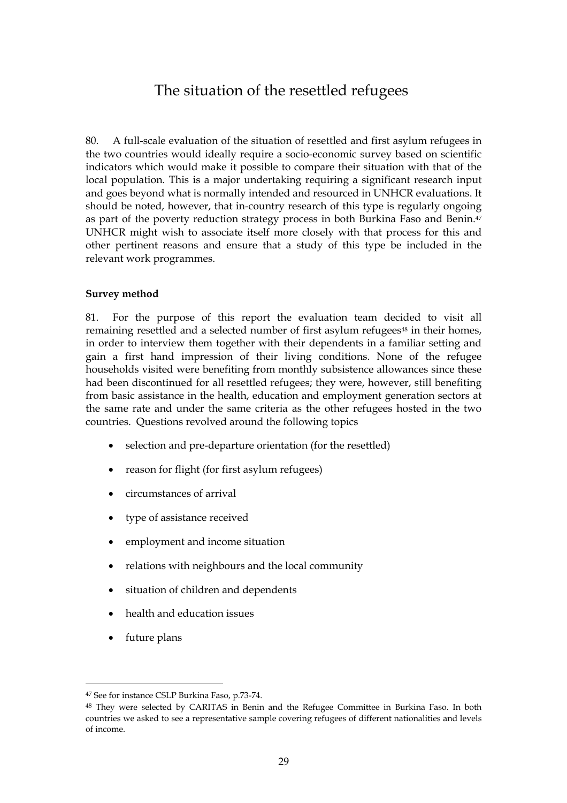## The situation of the resettled refugees

80. A full-scale evaluation of the situation of resettled and first asylum refugees in the two countries would ideally require a socio-economic survey based on scientific indicators which would make it possible to compare their situation with that of the local population. This is a major undertaking requiring a significant research input and goes beyond what is normally intended and resourced in UNHCR evaluations. It should be noted, however, that in-country research of this type is regularly ongoing as part of the poverty reduction strategy process in both Burkina Faso and Benin.47 UNHCR might wish to associate itself more closely with that process for this and other pertinent reasons and ensure that a study of this type be included in the relevant work programmes.

#### **Survey method**

81. For the purpose of this report the evaluation team decided to visit all remaining resettled and a selected number of first asylum refugees<sup>48</sup> in their homes, in order to interview them together with their dependents in a familiar setting and gain a first hand impression of their living conditions. None of the refugee households visited were benefiting from monthly subsistence allowances since these had been discontinued for all resettled refugees; they were, however, still benefiting from basic assistance in the health, education and employment generation sectors at the same rate and under the same criteria as the other refugees hosted in the two countries. Questions revolved around the following topics

- selection and pre-departure orientation (for the resettled)
- reason for flight (for first asylum refugees)
- circumstances of arrival
- type of assistance received
- employment and income situation
- relations with neighbours and the local community
- situation of children and dependents
- health and education issues
- future plans

<sup>47</sup> See for instance CSLP Burkina Faso, p.73-74.

<sup>48</sup> They were selected by CARITAS in Benin and the Refugee Committee in Burkina Faso. In both countries we asked to see a representative sample covering refugees of different nationalities and levels of income.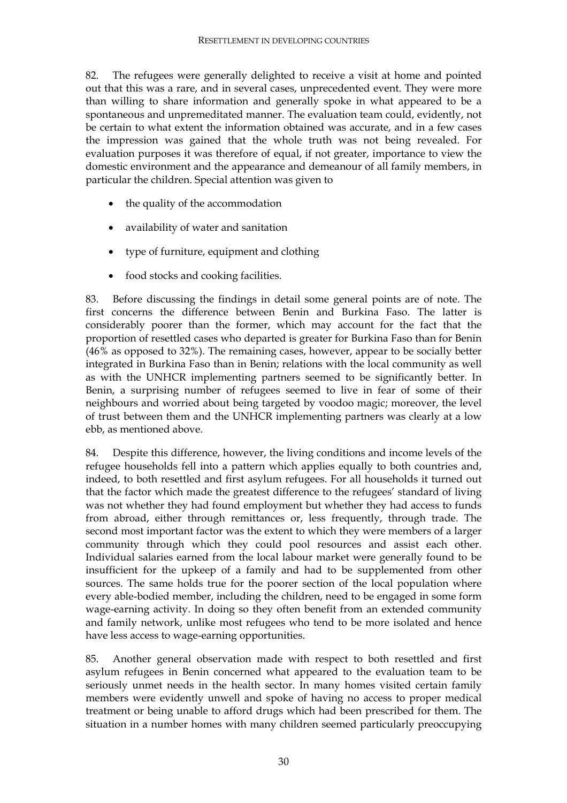82. The refugees were generally delighted to receive a visit at home and pointed out that this was a rare, and in several cases, unprecedented event. They were more than willing to share information and generally spoke in what appeared to be a spontaneous and unpremeditated manner. The evaluation team could, evidently, not be certain to what extent the information obtained was accurate, and in a few cases the impression was gained that the whole truth was not being revealed. For evaluation purposes it was therefore of equal, if not greater, importance to view the domestic environment and the appearance and demeanour of all family members, in particular the children. Special attention was given to

- the quality of the accommodation
- availability of water and sanitation
- type of furniture, equipment and clothing
- food stocks and cooking facilities.

83. Before discussing the findings in detail some general points are of note. The first concerns the difference between Benin and Burkina Faso. The latter is considerably poorer than the former, which may account for the fact that the proportion of resettled cases who departed is greater for Burkina Faso than for Benin (46% as opposed to 32%). The remaining cases, however, appear to be socially better integrated in Burkina Faso than in Benin; relations with the local community as well as with the UNHCR implementing partners seemed to be significantly better. In Benin, a surprising number of refugees seemed to live in fear of some of their neighbours and worried about being targeted by voodoo magic; moreover, the level of trust between them and the UNHCR implementing partners was clearly at a low ebb, as mentioned above.

84. Despite this difference, however, the living conditions and income levels of the refugee households fell into a pattern which applies equally to both countries and, indeed, to both resettled and first asylum refugees. For all households it turned out that the factor which made the greatest difference to the refugees' standard of living was not whether they had found employment but whether they had access to funds from abroad, either through remittances or, less frequently, through trade. The second most important factor was the extent to which they were members of a larger community through which they could pool resources and assist each other. Individual salaries earned from the local labour market were generally found to be insufficient for the upkeep of a family and had to be supplemented from other sources. The same holds true for the poorer section of the local population where every able-bodied member, including the children, need to be engaged in some form wage-earning activity. In doing so they often benefit from an extended community and family network, unlike most refugees who tend to be more isolated and hence have less access to wage-earning opportunities.

85. Another general observation made with respect to both resettled and first asylum refugees in Benin concerned what appeared to the evaluation team to be seriously unmet needs in the health sector. In many homes visited certain family members were evidently unwell and spoke of having no access to proper medical treatment or being unable to afford drugs which had been prescribed for them. The situation in a number homes with many children seemed particularly preoccupying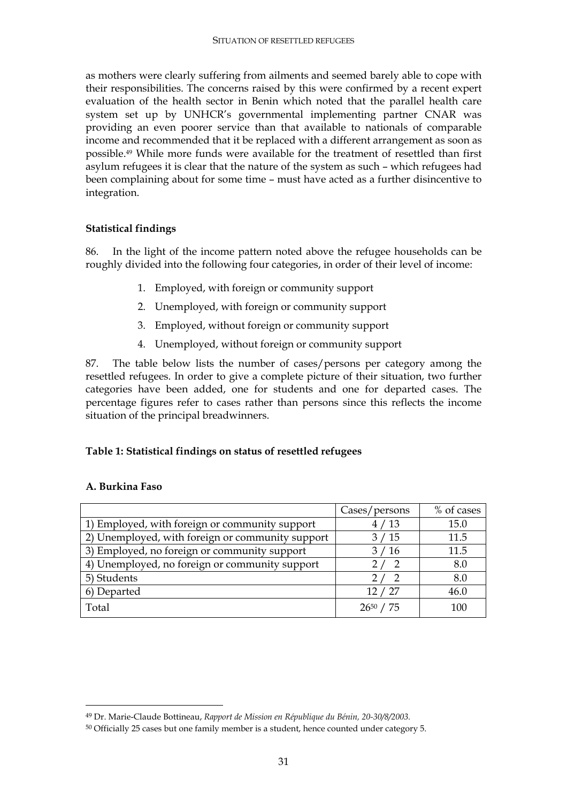as mothers were clearly suffering from ailments and seemed barely able to cope with their responsibilities. The concerns raised by this were confirmed by a recent expert evaluation of the health sector in Benin which noted that the parallel health care system set up by UNHCR's governmental implementing partner CNAR was providing an even poorer service than that available to nationals of comparable income and recommended that it be replaced with a different arrangement as soon as possible.49 While more funds were available for the treatment of resettled than first asylum refugees it is clear that the nature of the system as such – which refugees had been complaining about for some time – must have acted as a further disincentive to integration.

#### **Statistical findings**

86. In the light of the income pattern noted above the refugee households can be roughly divided into the following four categories, in order of their level of income:

- 1. Employed, with foreign or community support
- 2. Unemployed, with foreign or community support
- 3. Employed, without foreign or community support
- 4. Unemployed, without foreign or community support

87. The table below lists the number of cases/persons per category among the resettled refugees. In order to give a complete picture of their situation, two further categories have been added, one for students and one for departed cases. The percentage figures refer to cases rather than persons since this reflects the income situation of the principal breadwinners.

#### **Table 1: Statistical findings on status of resettled refugees**

|                                                  | Cases/persons | % of cases |
|--------------------------------------------------|---------------|------------|
| 1) Employed, with foreign or community support   | 4/13          | 15.0       |
| 2) Unemployed, with foreign or community support | 3/15          | 11.5       |
| 3) Employed, no foreign or community support     | 3/16          | 11.5       |
| 4) Unemployed, no foreign or community support   | 2/2           | 8.0        |
| 5) Students                                      |               | 8.0        |
| 6) Departed                                      | 12/27         | 46.0       |
| Total                                            | 2650          | 100        |

#### **A. Burkina Faso**

<sup>49</sup> Dr. Marie-Claude Bottineau, *Rapport de Mission en République du Bénin, 20-30/8/2003.*

<sup>50</sup> Officially 25 cases but one family member is a student, hence counted under category 5.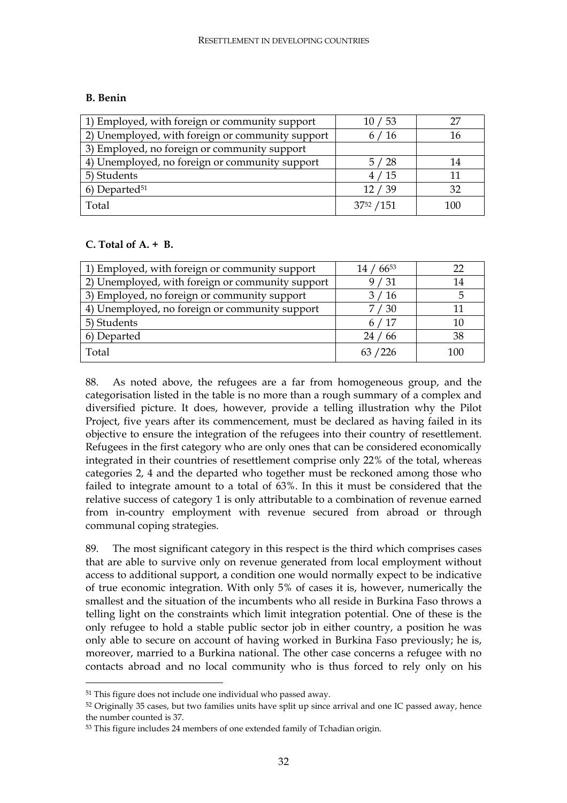#### **B. Benin**

| 1) Employed, with foreign or community support   | 10/53      |     |
|--------------------------------------------------|------------|-----|
| 2) Unemployed, with foreign or community support | 6/16       | 16  |
| 3) Employed, no foreign or community support     |            |     |
| 4) Unemployed, no foreign or community support   | 5/28       | 14  |
| 5) Students                                      | 4/15       |     |
| $6)$ Departed <sup>51</sup>                      | 12/39      | 32  |
| Total                                            | 3752 / 151 | 100 |

#### **C. Total of A. + B.**

| 1) Employed, with foreign or community support   | $, 66^{53}$ | 22  |
|--------------------------------------------------|-------------|-----|
| 2) Unemployed, with foreign or community support | 9/31        | 14  |
| 3) Employed, no foreign or community support     | 3/16        | 5   |
| 4) Unemployed, no foreign or community support   | 7 / 30      |     |
| 5) Students                                      | 6/17        | 10  |
| 6) Departed                                      | 24/66       | 38  |
| Total                                            | 63 / 226    | 100 |

88. As noted above, the refugees are a far from homogeneous group, and the categorisation listed in the table is no more than a rough summary of a complex and diversified picture. It does, however, provide a telling illustration why the Pilot Project, five years after its commencement, must be declared as having failed in its objective to ensure the integration of the refugees into their country of resettlement. Refugees in the first category who are only ones that can be considered economically integrated in their countries of resettlement comprise only 22% of the total, whereas categories 2, 4 and the departed who together must be reckoned among those who failed to integrate amount to a total of 63%. In this it must be considered that the relative success of category 1 is only attributable to a combination of revenue earned from in-country employment with revenue secured from abroad or through communal coping strategies.

89. The most significant category in this respect is the third which comprises cases that are able to survive only on revenue generated from local employment without access to additional support, a condition one would normally expect to be indicative of true economic integration. With only 5% of cases it is, however, numerically the smallest and the situation of the incumbents who all reside in Burkina Faso throws a telling light on the constraints which limit integration potential. One of these is the only refugee to hold a stable public sector job in either country, a position he was only able to secure on account of having worked in Burkina Faso previously; he is, moreover, married to a Burkina national. The other case concerns a refugee with no contacts abroad and no local community who is thus forced to rely only on his

<sup>51</sup> This figure does not include one individual who passed away.

<sup>52</sup> Originally 35 cases, but two families units have split up since arrival and one IC passed away, hence the number counted is 37.

<sup>53</sup> This figure includes 24 members of one extended family of Tchadian origin.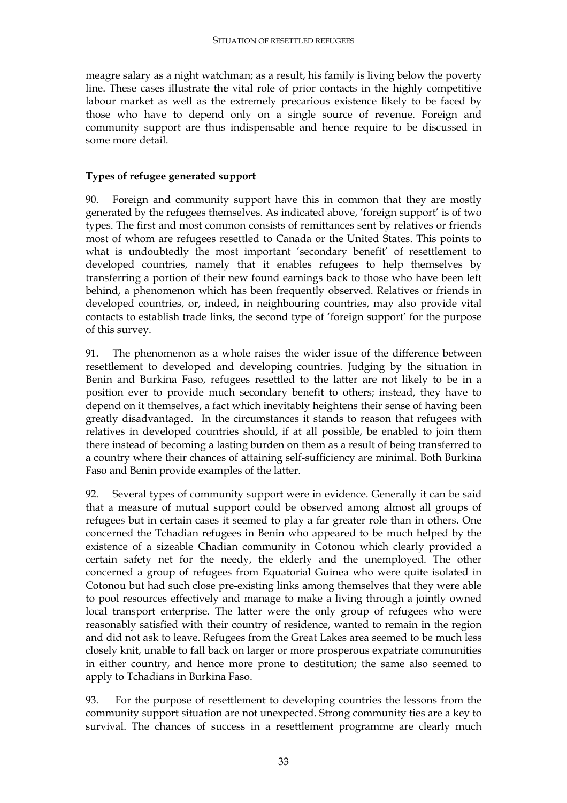meagre salary as a night watchman; as a result, his family is living below the poverty line. These cases illustrate the vital role of prior contacts in the highly competitive labour market as well as the extremely precarious existence likely to be faced by those who have to depend only on a single source of revenue. Foreign and community support are thus indispensable and hence require to be discussed in some more detail.

#### **Types of refugee generated support**

90. Foreign and community support have this in common that they are mostly generated by the refugees themselves. As indicated above, 'foreign support' is of two types. The first and most common consists of remittances sent by relatives or friends most of whom are refugees resettled to Canada or the United States. This points to what is undoubtedly the most important 'secondary benefit' of resettlement to developed countries, namely that it enables refugees to help themselves by transferring a portion of their new found earnings back to those who have been left behind, a phenomenon which has been frequently observed. Relatives or friends in developed countries, or, indeed, in neighbouring countries, may also provide vital contacts to establish trade links, the second type of 'foreign support' for the purpose of this survey.

91. The phenomenon as a whole raises the wider issue of the difference between resettlement to developed and developing countries. Judging by the situation in Benin and Burkina Faso, refugees resettled to the latter are not likely to be in a position ever to provide much secondary benefit to others; instead, they have to depend on it themselves, a fact which inevitably heightens their sense of having been greatly disadvantaged. In the circumstances it stands to reason that refugees with relatives in developed countries should, if at all possible, be enabled to join them there instead of becoming a lasting burden on them as a result of being transferred to a country where their chances of attaining self-sufficiency are minimal. Both Burkina Faso and Benin provide examples of the latter.

92. Several types of community support were in evidence. Generally it can be said that a measure of mutual support could be observed among almost all groups of refugees but in certain cases it seemed to play a far greater role than in others. One concerned the Tchadian refugees in Benin who appeared to be much helped by the existence of a sizeable Chadian community in Cotonou which clearly provided a certain safety net for the needy, the elderly and the unemployed. The other concerned a group of refugees from Equatorial Guinea who were quite isolated in Cotonou but had such close pre-existing links among themselves that they were able to pool resources effectively and manage to make a living through a jointly owned local transport enterprise. The latter were the only group of refugees who were reasonably satisfied with their country of residence, wanted to remain in the region and did not ask to leave. Refugees from the Great Lakes area seemed to be much less closely knit, unable to fall back on larger or more prosperous expatriate communities in either country, and hence more prone to destitution; the same also seemed to apply to Tchadians in Burkina Faso.

93. For the purpose of resettlement to developing countries the lessons from the community support situation are not unexpected. Strong community ties are a key to survival. The chances of success in a resettlement programme are clearly much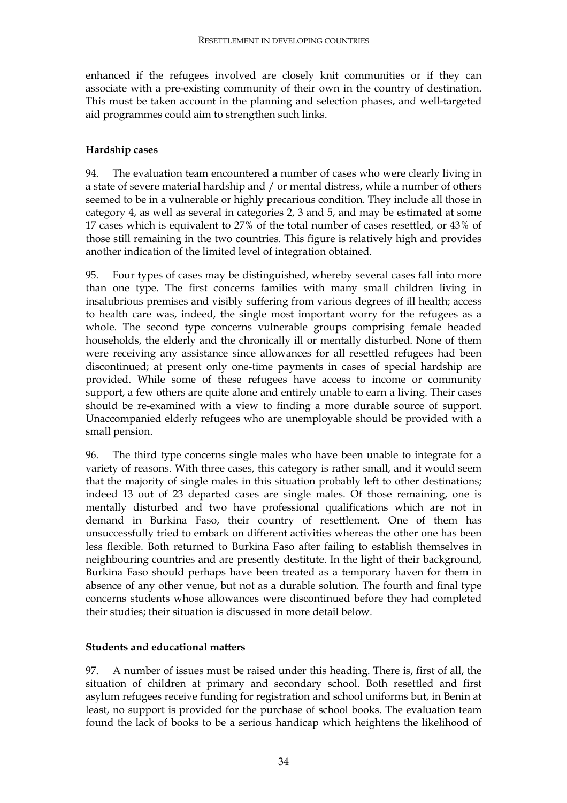enhanced if the refugees involved are closely knit communities or if they can associate with a pre-existing community of their own in the country of destination. This must be taken account in the planning and selection phases, and well-targeted aid programmes could aim to strengthen such links.

#### **Hardship cases**

94. The evaluation team encountered a number of cases who were clearly living in a state of severe material hardship and / or mental distress, while a number of others seemed to be in a vulnerable or highly precarious condition. They include all those in category 4, as well as several in categories 2, 3 and 5, and may be estimated at some 17 cases which is equivalent to 27% of the total number of cases resettled, or 43% of those still remaining in the two countries. This figure is relatively high and provides another indication of the limited level of integration obtained.

95. Four types of cases may be distinguished, whereby several cases fall into more than one type. The first concerns families with many small children living in insalubrious premises and visibly suffering from various degrees of ill health; access to health care was, indeed, the single most important worry for the refugees as a whole. The second type concerns vulnerable groups comprising female headed households, the elderly and the chronically ill or mentally disturbed. None of them were receiving any assistance since allowances for all resettled refugees had been discontinued; at present only one-time payments in cases of special hardship are provided. While some of these refugees have access to income or community support, a few others are quite alone and entirely unable to earn a living. Their cases should be re-examined with a view to finding a more durable source of support. Unaccompanied elderly refugees who are unemployable should be provided with a small pension.

96. The third type concerns single males who have been unable to integrate for a variety of reasons. With three cases, this category is rather small, and it would seem that the majority of single males in this situation probably left to other destinations; indeed 13 out of 23 departed cases are single males. Of those remaining, one is mentally disturbed and two have professional qualifications which are not in demand in Burkina Faso, their country of resettlement. One of them has unsuccessfully tried to embark on different activities whereas the other one has been less flexible. Both returned to Burkina Faso after failing to establish themselves in neighbouring countries and are presently destitute. In the light of their background, Burkina Faso should perhaps have been treated as a temporary haven for them in absence of any other venue, but not as a durable solution. The fourth and final type concerns students whose allowances were discontinued before they had completed their studies; their situation is discussed in more detail below.

#### **Students and educational matters**

97. A number of issues must be raised under this heading. There is, first of all, the situation of children at primary and secondary school. Both resettled and first asylum refugees receive funding for registration and school uniforms but, in Benin at least, no support is provided for the purchase of school books. The evaluation team found the lack of books to be a serious handicap which heightens the likelihood of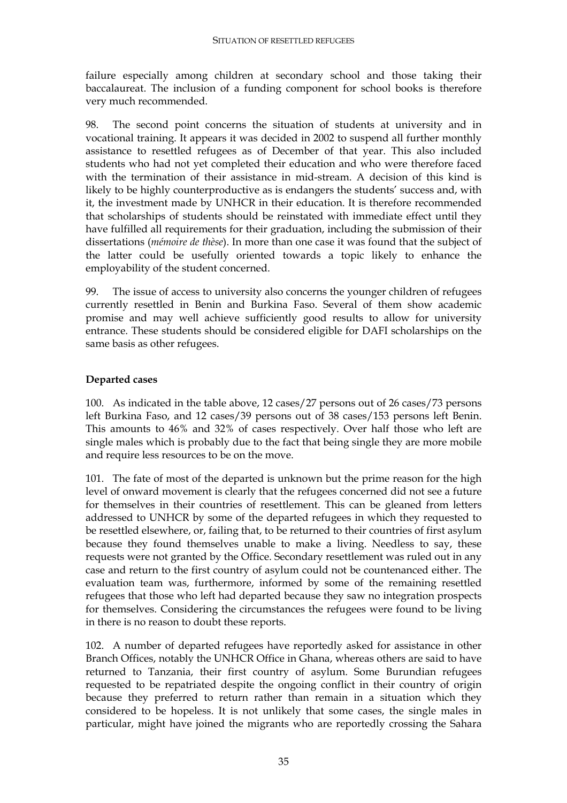failure especially among children at secondary school and those taking their baccalaureat. The inclusion of a funding component for school books is therefore very much recommended.

98. The second point concerns the situation of students at university and in vocational training. It appears it was decided in 2002 to suspend all further monthly assistance to resettled refugees as of December of that year. This also included students who had not yet completed their education and who were therefore faced with the termination of their assistance in mid-stream. A decision of this kind is likely to be highly counterproductive as is endangers the students' success and, with it, the investment made by UNHCR in their education. It is therefore recommended that scholarships of students should be reinstated with immediate effect until they have fulfilled all requirements for their graduation, including the submission of their dissertations (*mémoire de thèse*). In more than one case it was found that the subject of the latter could be usefully oriented towards a topic likely to enhance the employability of the student concerned.

99. The issue of access to university also concerns the younger children of refugees currently resettled in Benin and Burkina Faso. Several of them show academic promise and may well achieve sufficiently good results to allow for university entrance. These students should be considered eligible for DAFI scholarships on the same basis as other refugees.

#### **Departed cases**

100. As indicated in the table above, 12 cases/27 persons out of 26 cases/73 persons left Burkina Faso, and 12 cases/39 persons out of 38 cases/153 persons left Benin. This amounts to 46% and 32% of cases respectively. Over half those who left are single males which is probably due to the fact that being single they are more mobile and require less resources to be on the move.

101. The fate of most of the departed is unknown but the prime reason for the high level of onward movement is clearly that the refugees concerned did not see a future for themselves in their countries of resettlement. This can be gleaned from letters addressed to UNHCR by some of the departed refugees in which they requested to be resettled elsewhere, or, failing that, to be returned to their countries of first asylum because they found themselves unable to make a living. Needless to say, these requests were not granted by the Office. Secondary resettlement was ruled out in any case and return to the first country of asylum could not be countenanced either. The evaluation team was, furthermore, informed by some of the remaining resettled refugees that those who left had departed because they saw no integration prospects for themselves. Considering the circumstances the refugees were found to be living in there is no reason to doubt these reports.

102. A number of departed refugees have reportedly asked for assistance in other Branch Offices, notably the UNHCR Office in Ghana, whereas others are said to have returned to Tanzania, their first country of asylum. Some Burundian refugees requested to be repatriated despite the ongoing conflict in their country of origin because they preferred to return rather than remain in a situation which they considered to be hopeless. It is not unlikely that some cases, the single males in particular, might have joined the migrants who are reportedly crossing the Sahara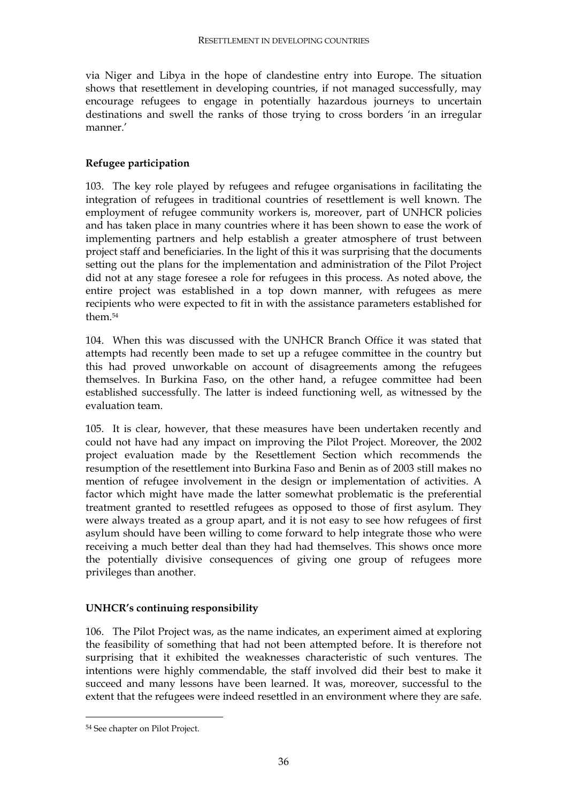via Niger and Libya in the hope of clandestine entry into Europe. The situation shows that resettlement in developing countries, if not managed successfully, may encourage refugees to engage in potentially hazardous journeys to uncertain destinations and swell the ranks of those trying to cross borders 'in an irregular manner.'

#### **Refugee participation**

103. The key role played by refugees and refugee organisations in facilitating the integration of refugees in traditional countries of resettlement is well known. The employment of refugee community workers is, moreover, part of UNHCR policies and has taken place in many countries where it has been shown to ease the work of implementing partners and help establish a greater atmosphere of trust between project staff and beneficiaries. In the light of this it was surprising that the documents setting out the plans for the implementation and administration of the Pilot Project did not at any stage foresee a role for refugees in this process. As noted above, the entire project was established in a top down manner, with refugees as mere recipients who were expected to fit in with the assistance parameters established for them<sup>54</sup>

104. When this was discussed with the UNHCR Branch Office it was stated that attempts had recently been made to set up a refugee committee in the country but this had proved unworkable on account of disagreements among the refugees themselves. In Burkina Faso, on the other hand, a refugee committee had been established successfully. The latter is indeed functioning well, as witnessed by the evaluation team.

105. It is clear, however, that these measures have been undertaken recently and could not have had any impact on improving the Pilot Project. Moreover, the 2002 project evaluation made by the Resettlement Section which recommends the resumption of the resettlement into Burkina Faso and Benin as of 2003 still makes no mention of refugee involvement in the design or implementation of activities. A factor which might have made the latter somewhat problematic is the preferential treatment granted to resettled refugees as opposed to those of first asylum. They were always treated as a group apart, and it is not easy to see how refugees of first asylum should have been willing to come forward to help integrate those who were receiving a much better deal than they had had themselves. This shows once more the potentially divisive consequences of giving one group of refugees more privileges than another.

#### **UNHCR's continuing responsibility**

106. The Pilot Project was, as the name indicates, an experiment aimed at exploring the feasibility of something that had not been attempted before. It is therefore not surprising that it exhibited the weaknesses characteristic of such ventures. The intentions were highly commendable, the staff involved did their best to make it succeed and many lessons have been learned. It was, moreover, successful to the extent that the refugees were indeed resettled in an environment where they are safe.

<sup>54</sup> See chapter on Pilot Project.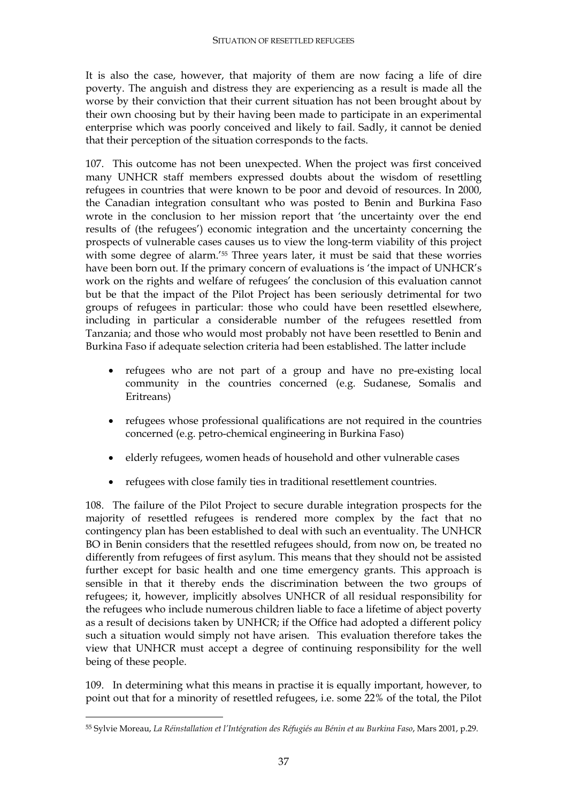It is also the case, however, that majority of them are now facing a life of dire poverty. The anguish and distress they are experiencing as a result is made all the worse by their conviction that their current situation has not been brought about by their own choosing but by their having been made to participate in an experimental enterprise which was poorly conceived and likely to fail. Sadly, it cannot be denied that their perception of the situation corresponds to the facts.

107. This outcome has not been unexpected. When the project was first conceived many UNHCR staff members expressed doubts about the wisdom of resettling refugees in countries that were known to be poor and devoid of resources. In 2000, the Canadian integration consultant who was posted to Benin and Burkina Faso wrote in the conclusion to her mission report that 'the uncertainty over the end results of (the refugees') economic integration and the uncertainty concerning the prospects of vulnerable cases causes us to view the long-term viability of this project with some degree of alarm.'55 Three years later, it must be said that these worries have been born out. If the primary concern of evaluations is 'the impact of UNHCR's work on the rights and welfare of refugees' the conclusion of this evaluation cannot but be that the impact of the Pilot Project has been seriously detrimental for two groups of refugees in particular: those who could have been resettled elsewhere, including in particular a considerable number of the refugees resettled from Tanzania; and those who would most probably not have been resettled to Benin and Burkina Faso if adequate selection criteria had been established. The latter include

- refugees who are not part of a group and have no pre-existing local community in the countries concerned (e.g. Sudanese, Somalis and Eritreans)
- refugees whose professional qualifications are not required in the countries concerned (e.g. petro-chemical engineering in Burkina Faso)
- elderly refugees, women heads of household and other vulnerable cases
- refugees with close family ties in traditional resettlement countries.

108. The failure of the Pilot Project to secure durable integration prospects for the majority of resettled refugees is rendered more complex by the fact that no contingency plan has been established to deal with such an eventuality. The UNHCR BO in Benin considers that the resettled refugees should, from now on, be treated no differently from refugees of first asylum. This means that they should not be assisted further except for basic health and one time emergency grants. This approach is sensible in that it thereby ends the discrimination between the two groups of refugees; it, however, implicitly absolves UNHCR of all residual responsibility for the refugees who include numerous children liable to face a lifetime of abject poverty as a result of decisions taken by UNHCR; if the Office had adopted a different policy such a situation would simply not have arisen. This evaluation therefore takes the view that UNHCR must accept a degree of continuing responsibility for the well being of these people.

109. In determining what this means in practise it is equally important, however, to point out that for a minority of resettled refugees, i.e. some 22% of the total, the Pilot

<sup>55</sup> Sylvie Moreau, *La Réinstallation et l'Intégration des Réfugiés au Bénin et au Burkina Faso*, Mars 2001, p.29.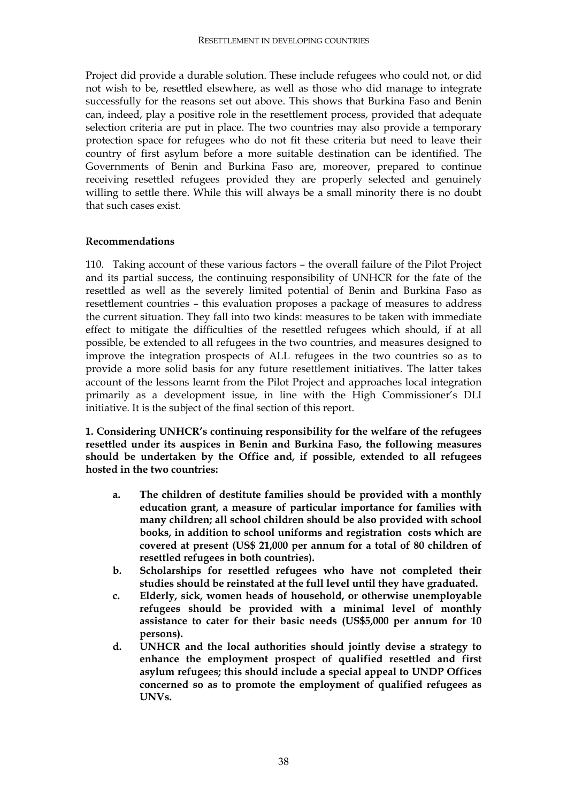Project did provide a durable solution. These include refugees who could not, or did not wish to be, resettled elsewhere, as well as those who did manage to integrate successfully for the reasons set out above. This shows that Burkina Faso and Benin can, indeed, play a positive role in the resettlement process, provided that adequate selection criteria are put in place. The two countries may also provide a temporary protection space for refugees who do not fit these criteria but need to leave their country of first asylum before a more suitable destination can be identified. The Governments of Benin and Burkina Faso are, moreover, prepared to continue receiving resettled refugees provided they are properly selected and genuinely willing to settle there. While this will always be a small minority there is no doubt that such cases exist.

#### **Recommendations**

110. Taking account of these various factors – the overall failure of the Pilot Project and its partial success, the continuing responsibility of UNHCR for the fate of the resettled as well as the severely limited potential of Benin and Burkina Faso as resettlement countries – this evaluation proposes a package of measures to address the current situation. They fall into two kinds: measures to be taken with immediate effect to mitigate the difficulties of the resettled refugees which should, if at all possible, be extended to all refugees in the two countries, and measures designed to improve the integration prospects of ALL refugees in the two countries so as to provide a more solid basis for any future resettlement initiatives. The latter takes account of the lessons learnt from the Pilot Project and approaches local integration primarily as a development issue, in line with the High Commissioner's DLI initiative. It is the subject of the final section of this report.

**1. Considering UNHCR's continuing responsibility for the welfare of the refugees resettled under its auspices in Benin and Burkina Faso, the following measures should be undertaken by the Office and, if possible, extended to all refugees hosted in the two countries:** 

- **a. The children of destitute families should be provided with a monthly education grant, a measure of particular importance for families with many children; all school children should be also provided with school books, in addition to school uniforms and registration costs which are covered at present (US\$ 21,000 per annum for a total of 80 children of resettled refugees in both countries).**
- **b. Scholarships for resettled refugees who have not completed their studies should be reinstated at the full level until they have graduated.**
- **c. Elderly, sick, women heads of household, or otherwise unemployable refugees should be provided with a minimal level of monthly assistance to cater for their basic needs (US\$5,000 per annum for 10 persons).**
- **d. UNHCR and the local authorities should jointly devise a strategy to enhance the employment prospect of qualified resettled and first asylum refugees; this should include a special appeal to UNDP Offices concerned so as to promote the employment of qualified refugees as UNVs.**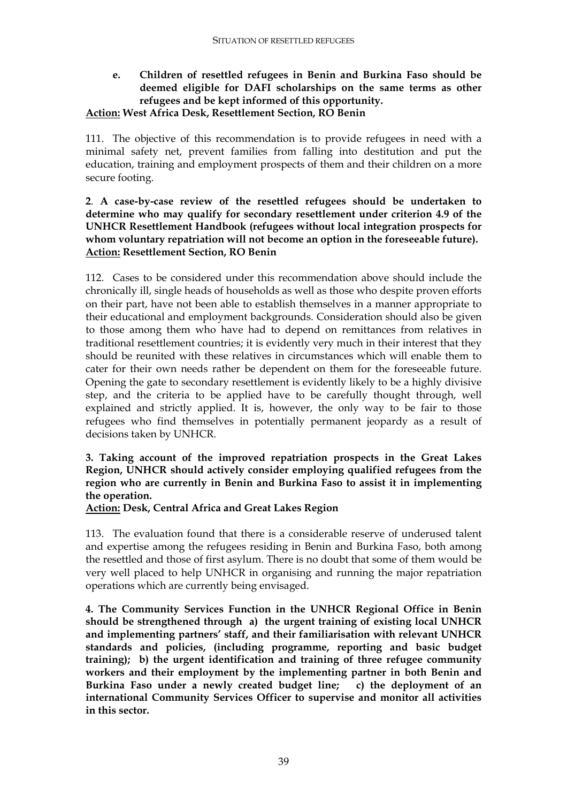### **e. Children of resettled refugees in Benin and Burkina Faso should be deemed eligible for DAFI scholarships on the same terms as other refugees and be kept informed of this opportunity.**

#### **Action: West Africa Desk, Resettlement Section, RO Benin**

111. The objective of this recommendation is to provide refugees in need with a minimal safety net, prevent families from falling into destitution and put the education, training and employment prospects of them and their children on a more secure footing.

#### **2**. **A case-by-case review of the resettled refugees should be undertaken to determine who may qualify for secondary resettlement under criterion 4.9 of the UNHCR Resettlement Handbook (refugees without local integration prospects for whom voluntary repatriation will not become an option in the foreseeable future). Action: Resettlement Section, RO Benin**

112. Cases to be considered under this recommendation above should include the chronically ill, single heads of households as well as those who despite proven efforts on their part, have not been able to establish themselves in a manner appropriate to their educational and employment backgrounds. Consideration should also be given to those among them who have had to depend on remittances from relatives in traditional resettlement countries; it is evidently very much in their interest that they should be reunited with these relatives in circumstances which will enable them to cater for their own needs rather be dependent on them for the foreseeable future. Opening the gate to secondary resettlement is evidently likely to be a highly divisive step, and the criteria to be applied have to be carefully thought through, well explained and strictly applied. It is, however, the only way to be fair to those refugees who find themselves in potentially permanent jeopardy as a result of decisions taken by UNHCR.

#### **3. Taking account of the improved repatriation prospects in the Great Lakes Region, UNHCR should actively consider employing qualified refugees from the region who are currently in Benin and Burkina Faso to assist it in implementing the operation.**

#### **Action: Desk, Central Africa and Great Lakes Region**

113. The evaluation found that there is a considerable reserve of underused talent and expertise among the refugees residing in Benin and Burkina Faso, both among the resettled and those of first asylum. There is no doubt that some of them would be very well placed to help UNHCR in organising and running the major repatriation operations which are currently being envisaged.

**4. The Community Services Function in the UNHCR Regional Office in Benin should be strengthened through a) the urgent training of existing local UNHCR and implementing partners' staff, and their familiarisation with relevant UNHCR standards and policies, (including programme, reporting and basic budget training); b) the urgent identification and training of three refugee community workers and their employment by the implementing partner in both Benin and Burkina Faso under a newly created budget line; c) the deployment of an international Community Services Officer to supervise and monitor all activities in this sector.**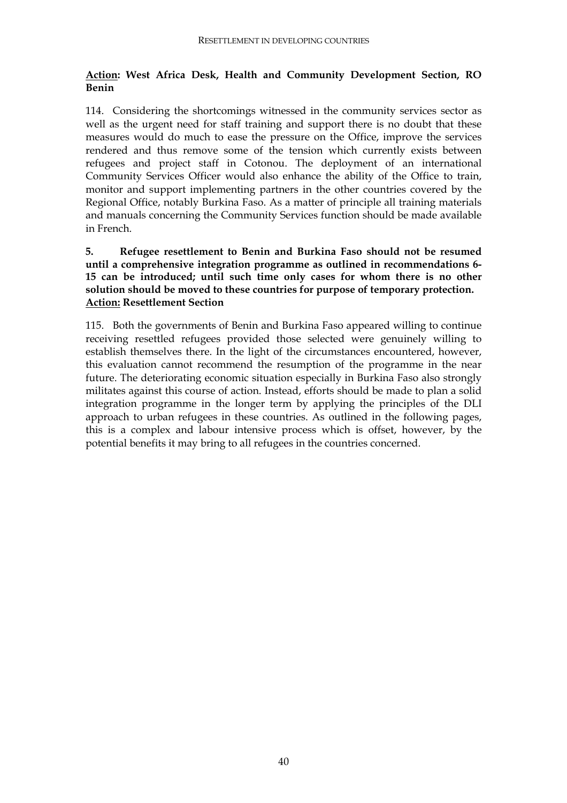#### **Action: West Africa Desk, Health and Community Development Section, RO Benin**

114. Considering the shortcomings witnessed in the community services sector as well as the urgent need for staff training and support there is no doubt that these measures would do much to ease the pressure on the Office, improve the services rendered and thus remove some of the tension which currently exists between refugees and project staff in Cotonou. The deployment of an international Community Services Officer would also enhance the ability of the Office to train, monitor and support implementing partners in the other countries covered by the Regional Office, notably Burkina Faso. As a matter of principle all training materials and manuals concerning the Community Services function should be made available in French.

#### **5. Refugee resettlement to Benin and Burkina Faso should not be resumed until a comprehensive integration programme as outlined in recommendations 6- 15 can be introduced; until such time only cases for whom there is no other solution should be moved to these countries for purpose of temporary protection. Action: Resettlement Section**

115. Both the governments of Benin and Burkina Faso appeared willing to continue receiving resettled refugees provided those selected were genuinely willing to establish themselves there. In the light of the circumstances encountered, however, this evaluation cannot recommend the resumption of the programme in the near future. The deteriorating economic situation especially in Burkina Faso also strongly militates against this course of action. Instead, efforts should be made to plan a solid integration programme in the longer term by applying the principles of the DLI approach to urban refugees in these countries. As outlined in the following pages, this is a complex and labour intensive process which is offset, however, by the potential benefits it may bring to all refugees in the countries concerned.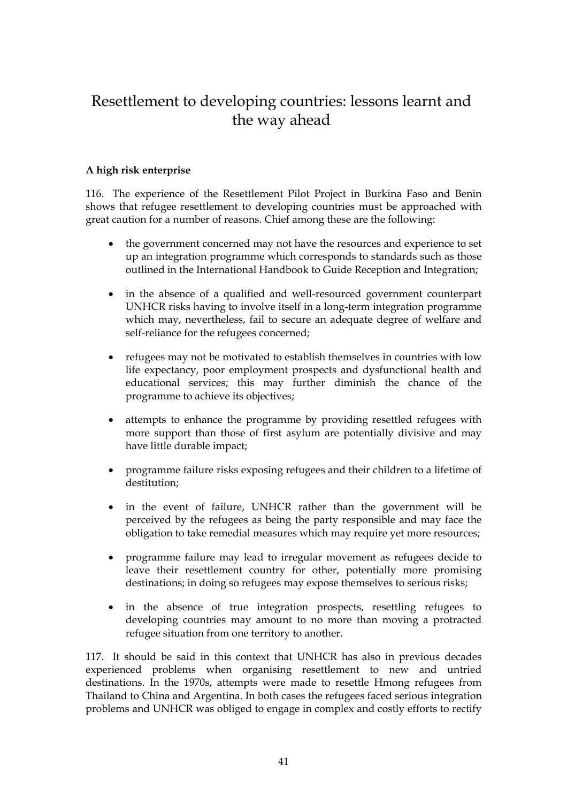## Resettlement to developing countries: lessons learnt and the way ahead

#### **A high risk enterprise**

116. The experience of the Resettlement Pilot Project in Burkina Faso and Benin shows that refugee resettlement to developing countries must be approached with great caution for a number of reasons. Chief among these are the following:

- the government concerned may not have the resources and experience to set up an integration programme which corresponds to standards such as those outlined in the International Handbook to Guide Reception and Integration;
- in the absence of a qualified and well-resourced government counterpart UNHCR risks having to involve itself in a long-term integration programme which may, nevertheless, fail to secure an adequate degree of welfare and self-reliance for the refugees concerned;
- refugees may not be motivated to establish themselves in countries with low life expectancy, poor employment prospects and dysfunctional health and educational services; this may further diminish the chance of the programme to achieve its objectives;
- attempts to enhance the programme by providing resettled refugees with more support than those of first asylum are potentially divisive and may have little durable impact;
- programme failure risks exposing refugees and their children to a lifetime of destitution;
- in the event of failure, UNHCR rather than the government will be perceived by the refugees as being the party responsible and may face the obligation to take remedial measures which may require yet more resources;
- programme failure may lead to irregular movement as refugees decide to leave their resettlement country for other, potentially more promising destinations; in doing so refugees may expose themselves to serious risks;
- in the absence of true integration prospects, resettling refugees to developing countries may amount to no more than moving a protracted refugee situation from one territory to another.

117. It should be said in this context that UNHCR has also in previous decades experienced problems when organising resettlement to new and untried destinations. In the 1970s, attempts were made to resettle Hmong refugees from Thailand to China and Argentina. In both cases the refugees faced serious integration problems and UNHCR was obliged to engage in complex and costly efforts to rectify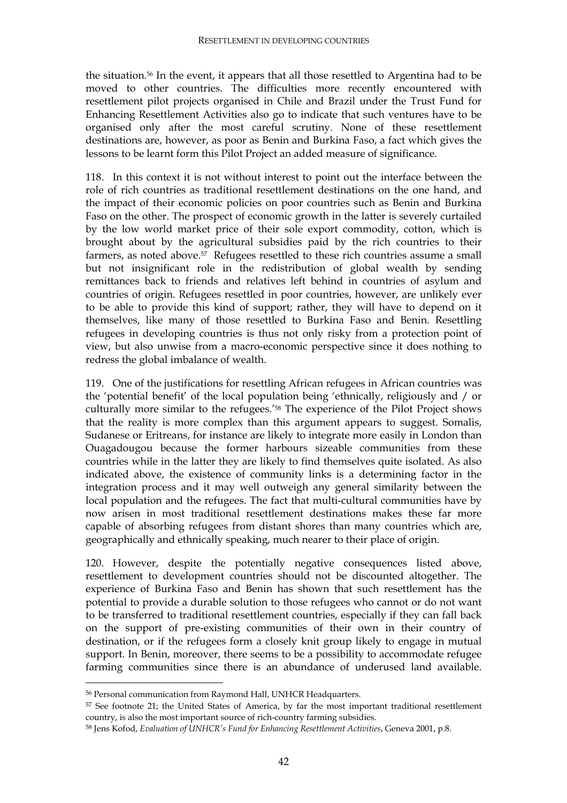the situation.56 In the event, it appears that all those resettled to Argentina had to be moved to other countries. The difficulties more recently encountered with resettlement pilot projects organised in Chile and Brazil under the Trust Fund for Enhancing Resettlement Activities also go to indicate that such ventures have to be organised only after the most careful scrutiny. None of these resettlement destinations are, however, as poor as Benin and Burkina Faso, a fact which gives the lessons to be learnt form this Pilot Project an added measure of significance.

118. In this context it is not without interest to point out the interface between the role of rich countries as traditional resettlement destinations on the one hand, and the impact of their economic policies on poor countries such as Benin and Burkina Faso on the other. The prospect of economic growth in the latter is severely curtailed by the low world market price of their sole export commodity, cotton, which is brought about by the agricultural subsidies paid by the rich countries to their farmers, as noted above.57 Refugees resettled to these rich countries assume a small but not insignificant role in the redistribution of global wealth by sending remittances back to friends and relatives left behind in countries of asylum and countries of origin. Refugees resettled in poor countries, however, are unlikely ever to be able to provide this kind of support; rather, they will have to depend on it themselves, like many of those resettled to Burkina Faso and Benin. Resettling refugees in developing countries is thus not only risky from a protection point of view, but also unwise from a macro-economic perspective since it does nothing to redress the global imbalance of wealth.

119. One of the justifications for resettling African refugees in African countries was the 'potential benefit' of the local population being 'ethnically, religiously and / or culturally more similar to the refugees.'58 The experience of the Pilot Project shows that the reality is more complex than this argument appears to suggest. Somalis, Sudanese or Eritreans, for instance are likely to integrate more easily in London than Ouagadougou because the former harbours sizeable communities from these countries while in the latter they are likely to find themselves quite isolated. As also indicated above, the existence of community links is a determining factor in the integration process and it may well outweigh any general similarity between the local population and the refugees. The fact that multi-cultural communities have by now arisen in most traditional resettlement destinations makes these far more capable of absorbing refugees from distant shores than many countries which are, geographically and ethnically speaking, much nearer to their place of origin.

120. However, despite the potentially negative consequences listed above, resettlement to development countries should not be discounted altogether. The experience of Burkina Faso and Benin has shown that such resettlement has the potential to provide a durable solution to those refugees who cannot or do not want to be transferred to traditional resettlement countries, especially if they can fall back on the support of pre-existing communities of their own in their country of destination, or if the refugees form a closely knit group likely to engage in mutual support. In Benin, moreover, there seems to be a possibility to accommodate refugee farming communities since there is an abundance of underused land available.

<sup>56</sup> Personal communication from Raymond Hall, UNHCR Headquarters.

<sup>57</sup> See footnote 21; the United States of America, by far the most important traditional resettlement country, is also the most important source of rich-country farming subsidies.

<sup>58</sup> Jens Kofod, *Evaluation of UNHCR's Fund for Enhancing Resettlement Activities*, Geneva 2001, p.8.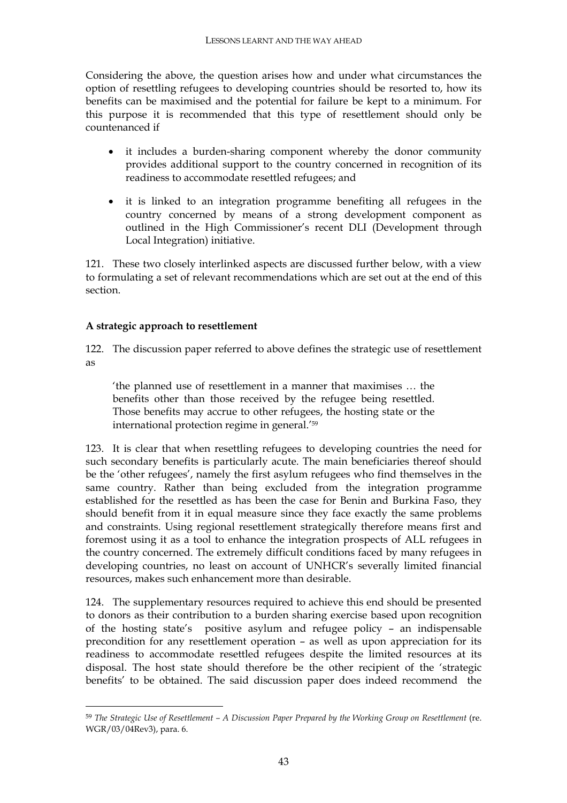Considering the above, the question arises how and under what circumstances the option of resettling refugees to developing countries should be resorted to, how its benefits can be maximised and the potential for failure be kept to a minimum. For this purpose it is recommended that this type of resettlement should only be countenanced if

- it includes a burden-sharing component whereby the donor community provides additional support to the country concerned in recognition of its readiness to accommodate resettled refugees; and
- it is linked to an integration programme benefiting all refugees in the country concerned by means of a strong development component as outlined in the High Commissioner's recent DLI (Development through Local Integration) initiative.

121. These two closely interlinked aspects are discussed further below, with a view to formulating a set of relevant recommendations which are set out at the end of this section.

#### **A strategic approach to resettlement**

 $\overline{a}$ 

122. The discussion paper referred to above defines the strategic use of resettlement as

'the planned use of resettlement in a manner that maximises … the benefits other than those received by the refugee being resettled. Those benefits may accrue to other refugees, the hosting state or the international protection regime in general.'59

123. It is clear that when resettling refugees to developing countries the need for such secondary benefits is particularly acute. The main beneficiaries thereof should be the 'other refugees', namely the first asylum refugees who find themselves in the same country. Rather than being excluded from the integration programme established for the resettled as has been the case for Benin and Burkina Faso, they should benefit from it in equal measure since they face exactly the same problems and constraints. Using regional resettlement strategically therefore means first and foremost using it as a tool to enhance the integration prospects of ALL refugees in the country concerned. The extremely difficult conditions faced by many refugees in developing countries, no least on account of UNHCR's severally limited financial resources, makes such enhancement more than desirable.

124. The supplementary resources required to achieve this end should be presented to donors as their contribution to a burden sharing exercise based upon recognition of the hosting state's positive asylum and refugee policy – an indispensable precondition for any resettlement operation – as well as upon appreciation for its readiness to accommodate resettled refugees despite the limited resources at its disposal. The host state should therefore be the other recipient of the 'strategic benefits' to be obtained. The said discussion paper does indeed recommend the

<sup>59</sup> *The Strategic Use of Resettlement – A Discussion Paper Prepared by the Working Group on Resettlement* (re. WGR/03/04Rev3), para. 6.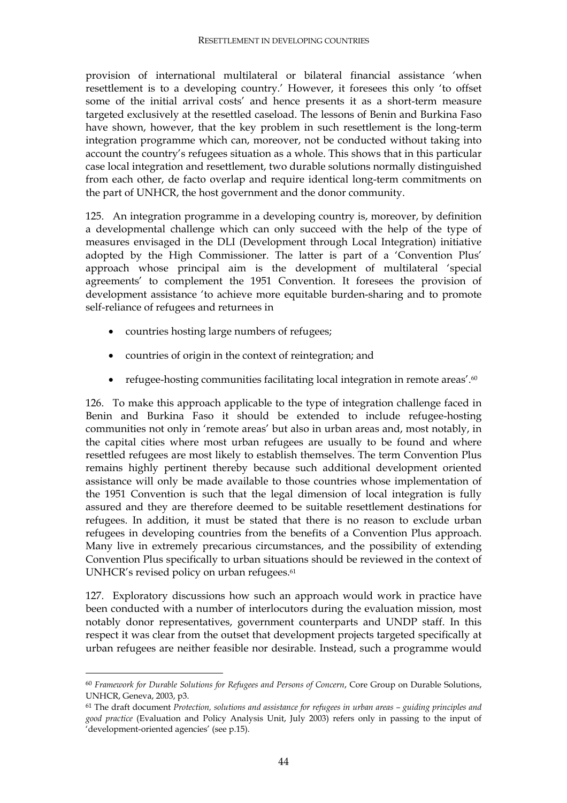provision of international multilateral or bilateral financial assistance 'when resettlement is to a developing country.' However, it foresees this only 'to offset some of the initial arrival costs' and hence presents it as a short-term measure targeted exclusively at the resettled caseload. The lessons of Benin and Burkina Faso have shown, however, that the key problem in such resettlement is the long-term integration programme which can, moreover, not be conducted without taking into account the country's refugees situation as a whole. This shows that in this particular case local integration and resettlement, two durable solutions normally distinguished from each other, de facto overlap and require identical long-term commitments on the part of UNHCR, the host government and the donor community.

125. An integration programme in a developing country is, moreover, by definition a developmental challenge which can only succeed with the help of the type of measures envisaged in the DLI (Development through Local Integration) initiative adopted by the High Commissioner. The latter is part of a 'Convention Plus' approach whose principal aim is the development of multilateral 'special agreements' to complement the 1951 Convention. It foresees the provision of development assistance 'to achieve more equitable burden-sharing and to promote self-reliance of refugees and returnees in

- countries hosting large numbers of refugees;
- countries of origin in the context of reintegration; and
- refugee-hosting communities facilitating local integration in remote areas'.<sup>60</sup>

126. To make this approach applicable to the type of integration challenge faced in Benin and Burkina Faso it should be extended to include refugee-hosting communities not only in 'remote areas' but also in urban areas and, most notably, in the capital cities where most urban refugees are usually to be found and where resettled refugees are most likely to establish themselves. The term Convention Plus remains highly pertinent thereby because such additional development oriented assistance will only be made available to those countries whose implementation of the 1951 Convention is such that the legal dimension of local integration is fully assured and they are therefore deemed to be suitable resettlement destinations for refugees. In addition, it must be stated that there is no reason to exclude urban refugees in developing countries from the benefits of a Convention Plus approach. Many live in extremely precarious circumstances, and the possibility of extending Convention Plus specifically to urban situations should be reviewed in the context of UNHCR's revised policy on urban refugees.<sup>61</sup>

127. Exploratory discussions how such an approach would work in practice have been conducted with a number of interlocutors during the evaluation mission, most notably donor representatives, government counterparts and UNDP staff. In this respect it was clear from the outset that development projects targeted specifically at urban refugees are neither feasible nor desirable. Instead, such a programme would

<sup>60</sup> *Framework for Durable Solutions for Refugees and Persons of Concern*, Core Group on Durable Solutions, UNHCR, Geneva, 2003, p3.

<sup>61</sup> The draft document *Protection, solutions and assistance for refugees in urban areas – guiding principles and good practice* (Evaluation and Policy Analysis Unit, July 2003) refers only in passing to the input of 'development-oriented agencies' (see p.15).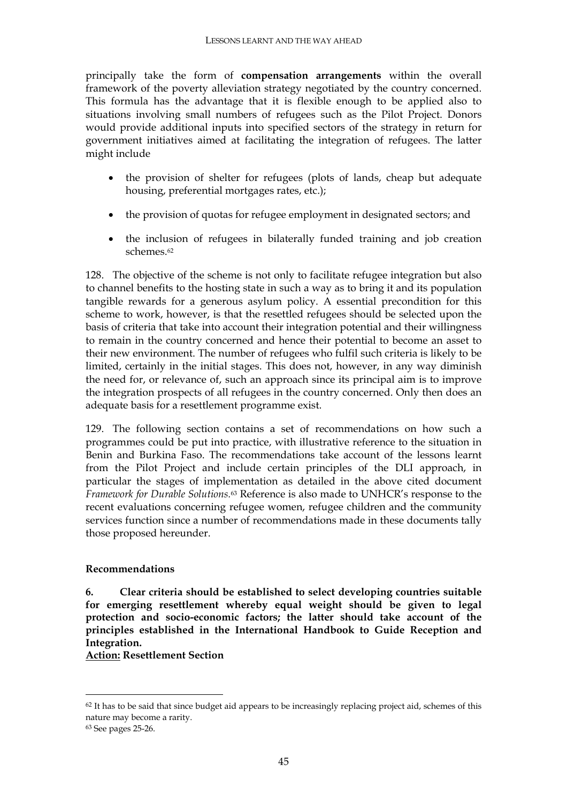principally take the form of **compensation arrangements** within the overall framework of the poverty alleviation strategy negotiated by the country concerned. This formula has the advantage that it is flexible enough to be applied also to situations involving small numbers of refugees such as the Pilot Project. Donors would provide additional inputs into specified sectors of the strategy in return for government initiatives aimed at facilitating the integration of refugees. The latter might include

- the provision of shelter for refugees (plots of lands, cheap but adequate housing, preferential mortgages rates, etc.);
- the provision of quotas for refugee employment in designated sectors; and
- the inclusion of refugees in bilaterally funded training and job creation schemes.62

128. The objective of the scheme is not only to facilitate refugee integration but also to channel benefits to the hosting state in such a way as to bring it and its population tangible rewards for a generous asylum policy. A essential precondition for this scheme to work, however, is that the resettled refugees should be selected upon the basis of criteria that take into account their integration potential and their willingness to remain in the country concerned and hence their potential to become an asset to their new environment. The number of refugees who fulfil such criteria is likely to be limited, certainly in the initial stages. This does not, however, in any way diminish the need for, or relevance of, such an approach since its principal aim is to improve the integration prospects of all refugees in the country concerned. Only then does an adequate basis for a resettlement programme exist.

129. The following section contains a set of recommendations on how such a programmes could be put into practice, with illustrative reference to the situation in Benin and Burkina Faso. The recommendations take account of the lessons learnt from the Pilot Project and include certain principles of the DLI approach, in particular the stages of implementation as detailed in the above cited document *Framework for Durable Solutions.*<sup>63</sup> Reference is also made to UNHCR's response to the recent evaluations concerning refugee women, refugee children and the community services function since a number of recommendations made in these documents tally those proposed hereunder.

#### **Recommendations**

**6. Clear criteria should be established to select developing countries suitable for emerging resettlement whereby equal weight should be given to legal protection and socio-economic factors; the latter should take account of the principles established in the International Handbook to Guide Reception and Integration.** 

**Action: Resettlement Section** 

<sup>&</sup>lt;sup>62</sup> It has to be said that since budget aid appears to be increasingly replacing project aid, schemes of this nature may become a rarity.

<sup>63</sup> See pages 25-26.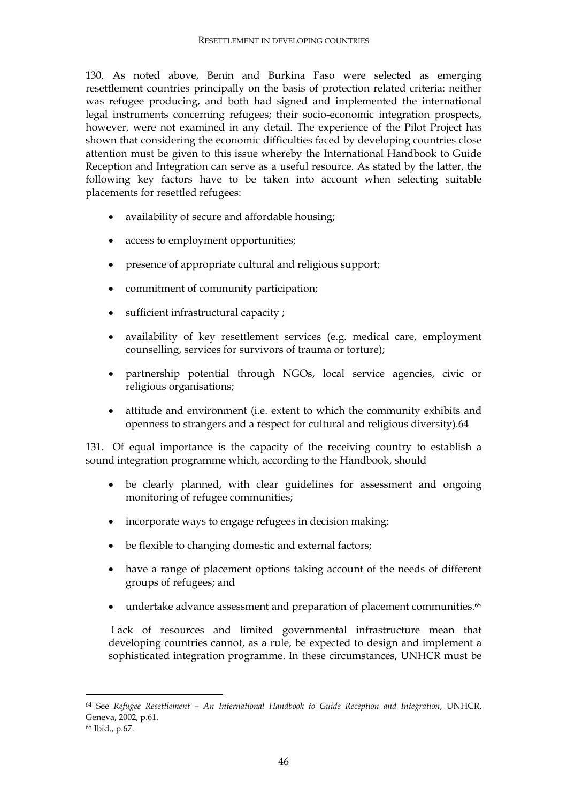130. As noted above, Benin and Burkina Faso were selected as emerging resettlement countries principally on the basis of protection related criteria: neither was refugee producing, and both had signed and implemented the international legal instruments concerning refugees; their socio-economic integration prospects, however, were not examined in any detail. The experience of the Pilot Project has shown that considering the economic difficulties faced by developing countries close attention must be given to this issue whereby the International Handbook to Guide Reception and Integration can serve as a useful resource. As stated by the latter, the following key factors have to be taken into account when selecting suitable placements for resettled refugees:

- availability of secure and affordable housing;
- access to employment opportunities;
- presence of appropriate cultural and religious support;
- commitment of community participation;
- sufficient infrastructural capacity ;
- availability of key resettlement services (e.g. medical care, employment counselling, services for survivors of trauma or torture);
- partnership potential through NGOs, local service agencies, civic or religious organisations;
- attitude and environment (i.e. extent to which the community exhibits and openness to strangers and a respect for cultural and religious diversity).64

131. Of equal importance is the capacity of the receiving country to establish a sound integration programme which, according to the Handbook, should

- be clearly planned, with clear guidelines for assessment and ongoing monitoring of refugee communities;
- incorporate ways to engage refugees in decision making;
- be flexible to changing domestic and external factors;
- have a range of placement options taking account of the needs of different groups of refugees; and
- undertake advance assessment and preparation of placement communities.<sup>65</sup>

 Lack of resources and limited governmental infrastructure mean that developing countries cannot, as a rule, be expected to design and implement a sophisticated integration programme. In these circumstances, UNHCR must be

<sup>64</sup> See *Refugee Resettlement – An International Handbook to Guide Reception and Integration*, UNHCR, Geneva, 2002, p.61.

<sup>65</sup> Ibid., p.67.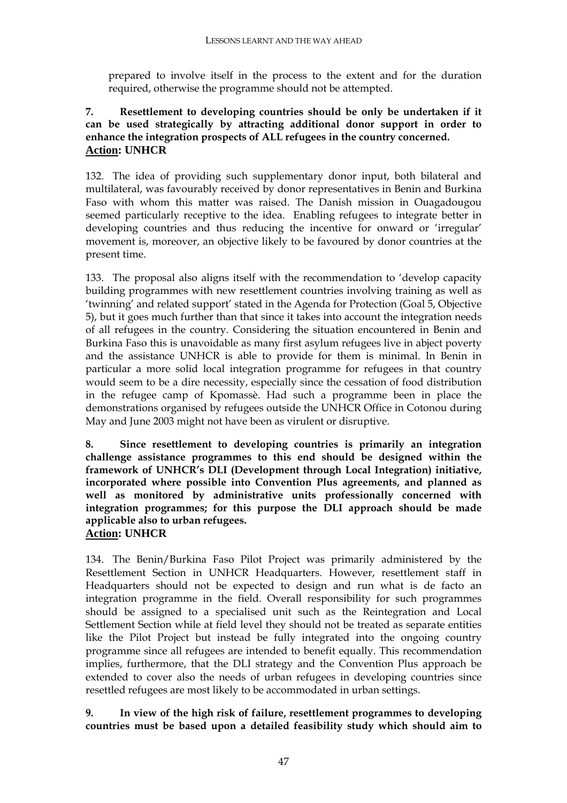prepared to involve itself in the process to the extent and for the duration required, otherwise the programme should not be attempted.

#### **7. Resettlement to developing countries should be only be undertaken if it can be used strategically by attracting additional donor support in order to enhance the integration prospects of ALL refugees in the country concerned. Action: UNHCR**

132. The idea of providing such supplementary donor input, both bilateral and multilateral, was favourably received by donor representatives in Benin and Burkina Faso with whom this matter was raised. The Danish mission in Ouagadougou seemed particularly receptive to the idea. Enabling refugees to integrate better in developing countries and thus reducing the incentive for onward or 'irregular' movement is, moreover, an objective likely to be favoured by donor countries at the present time.

133. The proposal also aligns itself with the recommendation to 'develop capacity building programmes with new resettlement countries involving training as well as 'twinning' and related support' stated in the Agenda for Protection (Goal 5, Objective 5), but it goes much further than that since it takes into account the integration needs of all refugees in the country. Considering the situation encountered in Benin and Burkina Faso this is unavoidable as many first asylum refugees live in abject poverty and the assistance UNHCR is able to provide for them is minimal. In Benin in particular a more solid local integration programme for refugees in that country would seem to be a dire necessity, especially since the cessation of food distribution in the refugee camp of Kpomassè. Had such a programme been in place the demonstrations organised by refugees outside the UNHCR Office in Cotonou during May and June 2003 might not have been as virulent or disruptive.

**8. Since resettlement to developing countries is primarily an integration challenge assistance programmes to this end should be designed within the framework of UNHCR's DLI (Development through Local Integration) initiative, incorporated where possible into Convention Plus agreements, and planned as well as monitored by administrative units professionally concerned with integration programmes; for this purpose the DLI approach should be made applicable also to urban refugees. Action: UNHCR** 

134. The Benin/Burkina Faso Pilot Project was primarily administered by the Resettlement Section in UNHCR Headquarters. However, resettlement staff in Headquarters should not be expected to design and run what is de facto an integration programme in the field. Overall responsibility for such programmes should be assigned to a specialised unit such as the Reintegration and Local Settlement Section while at field level they should not be treated as separate entities like the Pilot Project but instead be fully integrated into the ongoing country programme since all refugees are intended to benefit equally. This recommendation implies, furthermore, that the DLI strategy and the Convention Plus approach be extended to cover also the needs of urban refugees in developing countries since resettled refugees are most likely to be accommodated in urban settings.

**9. In view of the high risk of failure, resettlement programmes to developing countries must be based upon a detailed feasibility study which should aim to**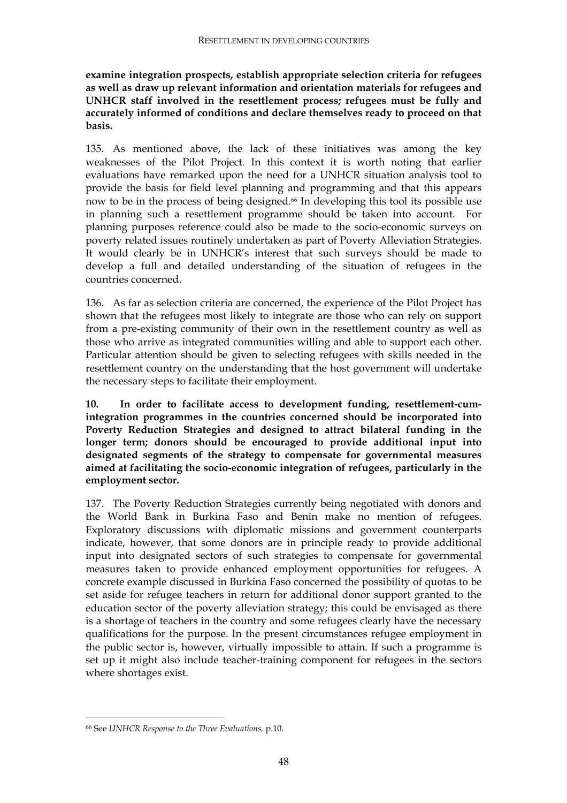**examine integration prospects, establish appropriate selection criteria for refugees as well as draw up relevant information and orientation materials for refugees and UNHCR staff involved in the resettlement process; refugees must be fully and accurately informed of conditions and declare themselves ready to proceed on that basis.** 

135. As mentioned above, the lack of these initiatives was among the key weaknesses of the Pilot Project. In this context it is worth noting that earlier evaluations have remarked upon the need for a UNHCR situation analysis tool to provide the basis for field level planning and programming and that this appears now to be in the process of being designed.66 In developing this tool its possible use in planning such a resettlement programme should be taken into account. For planning purposes reference could also be made to the socio-economic surveys on poverty related issues routinely undertaken as part of Poverty Alleviation Strategies. It would clearly be in UNHCR's interest that such surveys should be made to develop a full and detailed understanding of the situation of refugees in the countries concerned.

136. As far as selection criteria are concerned, the experience of the Pilot Project has shown that the refugees most likely to integrate are those who can rely on support from a pre-existing community of their own in the resettlement country as well as those who arrive as integrated communities willing and able to support each other. Particular attention should be given to selecting refugees with skills needed in the resettlement country on the understanding that the host government will undertake the necessary steps to facilitate their employment.

**10. In order to facilitate access to development funding, resettlement-cumintegration programmes in the countries concerned should be incorporated into Poverty Reduction Strategies and designed to attract bilateral funding in the longer term; donors should be encouraged to provide additional input into designated segments of the strategy to compensate for governmental measures aimed at facilitating the socio-economic integration of refugees, particularly in the employment sector.** 

137. The Poverty Reduction Strategies currently being negotiated with donors and the World Bank in Burkina Faso and Benin make no mention of refugees. Exploratory discussions with diplomatic missions and government counterparts indicate, however, that some donors are in principle ready to provide additional input into designated sectors of such strategies to compensate for governmental measures taken to provide enhanced employment opportunities for refugees. A concrete example discussed in Burkina Faso concerned the possibility of quotas to be set aside for refugee teachers in return for additional donor support granted to the education sector of the poverty alleviation strategy; this could be envisaged as there is a shortage of teachers in the country and some refugees clearly have the necessary qualifications for the purpose. In the present circumstances refugee employment in the public sector is, however, virtually impossible to attain. If such a programme is set up it might also include teacher-training component for refugees in the sectors where shortages exist.

<sup>66</sup> See *UNHCR Response to the Three Evaluations,* p.10.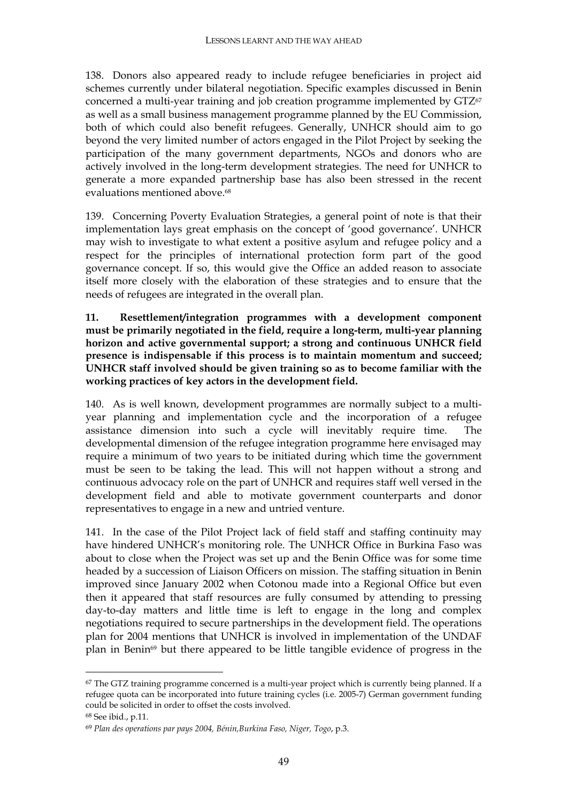138. Donors also appeared ready to include refugee beneficiaries in project aid schemes currently under bilateral negotiation. Specific examples discussed in Benin concerned a multi-year training and job creation programme implemented by GTZ67 as well as a small business management programme planned by the EU Commission, both of which could also benefit refugees. Generally, UNHCR should aim to go beyond the very limited number of actors engaged in the Pilot Project by seeking the participation of the many government departments, NGOs and donors who are actively involved in the long-term development strategies. The need for UNHCR to generate a more expanded partnership base has also been stressed in the recent evaluations mentioned above.<sup>68</sup>

139. Concerning Poverty Evaluation Strategies, a general point of note is that their implementation lays great emphasis on the concept of 'good governance'. UNHCR may wish to investigate to what extent a positive asylum and refugee policy and a respect for the principles of international protection form part of the good governance concept. If so, this would give the Office an added reason to associate itself more closely with the elaboration of these strategies and to ensure that the needs of refugees are integrated in the overall plan.

**11. Resettlement/integration programmes with a development component must be primarily negotiated in the field, require a long-term, multi-year planning horizon and active governmental support; a strong and continuous UNHCR field presence is indispensable if this process is to maintain momentum and succeed; UNHCR staff involved should be given training so as to become familiar with the working practices of key actors in the development field.** 

140. As is well known, development programmes are normally subject to a multiyear planning and implementation cycle and the incorporation of a refugee assistance dimension into such a cycle will inevitably require time. The developmental dimension of the refugee integration programme here envisaged may require a minimum of two years to be initiated during which time the government must be seen to be taking the lead. This will not happen without a strong and continuous advocacy role on the part of UNHCR and requires staff well versed in the development field and able to motivate government counterparts and donor representatives to engage in a new and untried venture.

141. In the case of the Pilot Project lack of field staff and staffing continuity may have hindered UNHCR's monitoring role. The UNHCR Office in Burkina Faso was about to close when the Project was set up and the Benin Office was for some time headed by a succession of Liaison Officers on mission. The staffing situation in Benin improved since January 2002 when Cotonou made into a Regional Office but even then it appeared that staff resources are fully consumed by attending to pressing day-to-day matters and little time is left to engage in the long and complex negotiations required to secure partnerships in the development field. The operations plan for 2004 mentions that UNHCR is involved in implementation of the UNDAF plan in Benin<sup>69</sup> but there appeared to be little tangible evidence of progress in the

<sup>&</sup>lt;sup>67</sup> The GTZ training programme concerned is a multi-year project which is currently being planned. If a refugee quota can be incorporated into future training cycles (i.e. 2005-7) German government funding could be solicited in order to offset the costs involved.

<sup>68</sup> See ibid., p.11.

<sup>69</sup> *Plan des operations par pays 2004, Bénin,Burkina Faso, Niger, Togo*, p.3.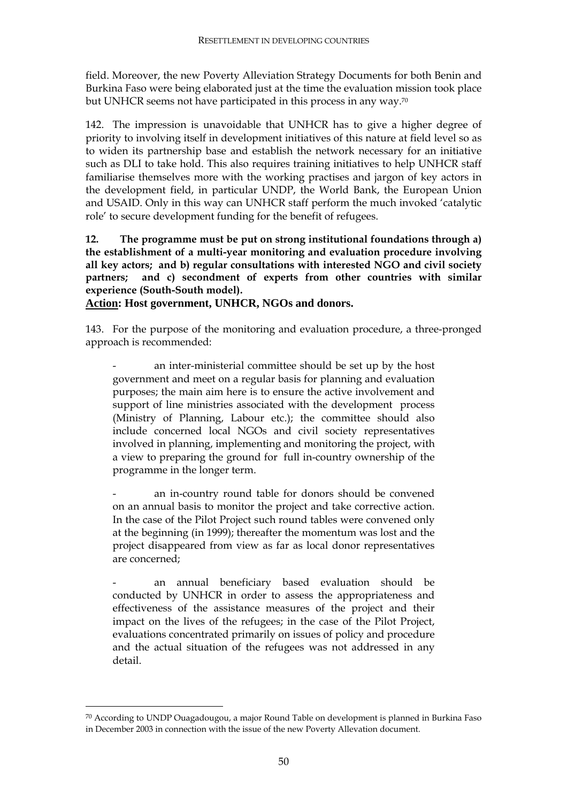field. Moreover, the new Poverty Alleviation Strategy Documents for both Benin and Burkina Faso were being elaborated just at the time the evaluation mission took place but UNHCR seems not have participated in this process in any way.70

142. The impression is unavoidable that UNHCR has to give a higher degree of priority to involving itself in development initiatives of this nature at field level so as to widen its partnership base and establish the network necessary for an initiative such as DLI to take hold. This also requires training initiatives to help UNHCR staff familiarise themselves more with the working practises and jargon of key actors in the development field, in particular UNDP, the World Bank, the European Union and USAID. Only in this way can UNHCR staff perform the much invoked 'catalytic role' to secure development funding for the benefit of refugees.

**12. The programme must be put on strong institutional foundations through a) the establishment of a multi-year monitoring and evaluation procedure involving all key actors; and b) regular consultations with interested NGO and civil society partners; and c) secondment of experts from other countries with similar experience (South-South model).** 

**Action: Host government, UNHCR, NGOs and donors.** 

143. For the purpose of the monitoring and evaluation procedure, a three-pronged approach is recommended:

an inter-ministerial committee should be set up by the host government and meet on a regular basis for planning and evaluation purposes; the main aim here is to ensure the active involvement and support of line ministries associated with the development process (Ministry of Planning, Labour etc.); the committee should also include concerned local NGOs and civil society representatives involved in planning, implementing and monitoring the project, with a view to preparing the ground for full in-country ownership of the programme in the longer term.

an in-country round table for donors should be convened on an annual basis to monitor the project and take corrective action. In the case of the Pilot Project such round tables were convened only at the beginning (in 1999); thereafter the momentum was lost and the project disappeared from view as far as local donor representatives are concerned;

an annual beneficiary based evaluation should be conducted by UNHCR in order to assess the appropriateness and effectiveness of the assistance measures of the project and their impact on the lives of the refugees; in the case of the Pilot Project, evaluations concentrated primarily on issues of policy and procedure and the actual situation of the refugees was not addressed in any detail.

 $70$  According to UNDP Ouagadougou, a major Round Table on development is planned in Burkina Faso in December 2003 in connection with the issue of the new Poverty Allevation document.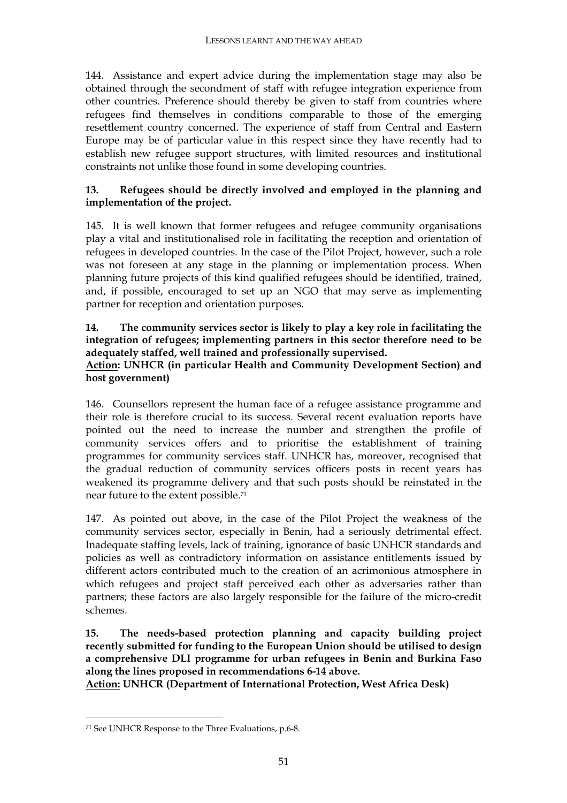144. Assistance and expert advice during the implementation stage may also be obtained through the secondment of staff with refugee integration experience from other countries. Preference should thereby be given to staff from countries where refugees find themselves in conditions comparable to those of the emerging resettlement country concerned. The experience of staff from Central and Eastern Europe may be of particular value in this respect since they have recently had to establish new refugee support structures, with limited resources and institutional constraints not unlike those found in some developing countries.

#### **13. Refugees should be directly involved and employed in the planning and implementation of the project.**

145. It is well known that former refugees and refugee community organisations play a vital and institutionalised role in facilitating the reception and orientation of refugees in developed countries. In the case of the Pilot Project, however, such a role was not foreseen at any stage in the planning or implementation process. When planning future projects of this kind qualified refugees should be identified, trained, and, if possible, encouraged to set up an NGO that may serve as implementing partner for reception and orientation purposes.

#### **14. The community services sector is likely to play a key role in facilitating the integration of refugees; implementing partners in this sector therefore need to be adequately staffed, well trained and professionally supervised.**

#### **Action: UNHCR (in particular Health and Community Development Section) and host government)**

146. Counsellors represent the human face of a refugee assistance programme and their role is therefore crucial to its success. Several recent evaluation reports have pointed out the need to increase the number and strengthen the profile of community services offers and to prioritise the establishment of training programmes for community services staff. UNHCR has, moreover, recognised that the gradual reduction of community services officers posts in recent years has weakened its programme delivery and that such posts should be reinstated in the near future to the extent possible.71

147. As pointed out above, in the case of the Pilot Project the weakness of the community services sector, especially in Benin, had a seriously detrimental effect. Inadequate staffing levels, lack of training, ignorance of basic UNHCR standards and policies as well as contradictory information on assistance entitlements issued by different actors contributed much to the creation of an acrimonious atmosphere in which refugees and project staff perceived each other as adversaries rather than partners; these factors are also largely responsible for the failure of the micro-credit schemes.

**15. The needs-based protection planning and capacity building project recently submitted for funding to the European Union should be utilised to design a comprehensive DLI programme for urban refugees in Benin and Burkina Faso along the lines proposed in recommendations 6-14 above.** 

**Action: UNHCR (Department of International Protection, West Africa Desk)** 

<sup>71</sup> See UNHCR Response to the Three Evaluations, p.6-8.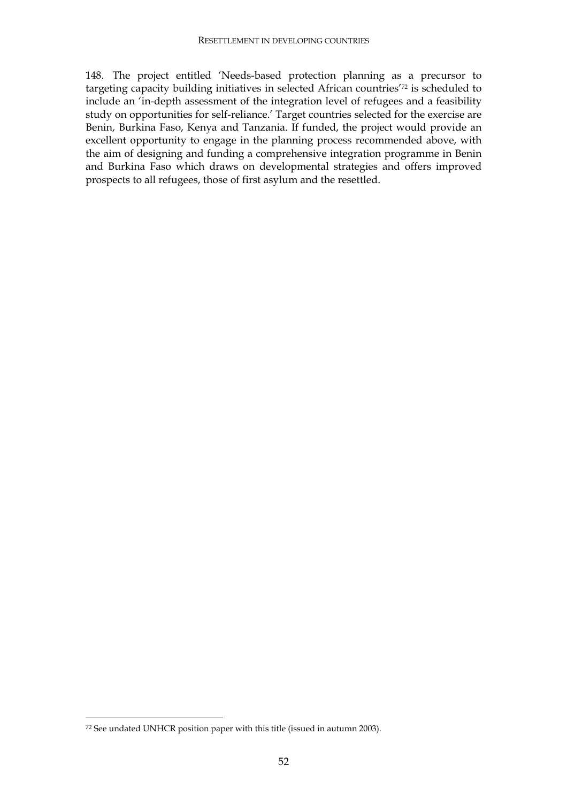148. The project entitled 'Needs-based protection planning as a precursor to targeting capacity building initiatives in selected African countries'72 is scheduled to include an 'in-depth assessment of the integration level of refugees and a feasibility study on opportunities for self-reliance.' Target countries selected for the exercise are Benin, Burkina Faso, Kenya and Tanzania. If funded, the project would provide an excellent opportunity to engage in the planning process recommended above, with the aim of designing and funding a comprehensive integration programme in Benin and Burkina Faso which draws on developmental strategies and offers improved prospects to all refugees, those of first asylum and the resettled.

<sup>72</sup> See undated UNHCR position paper with this title (issued in autumn 2003).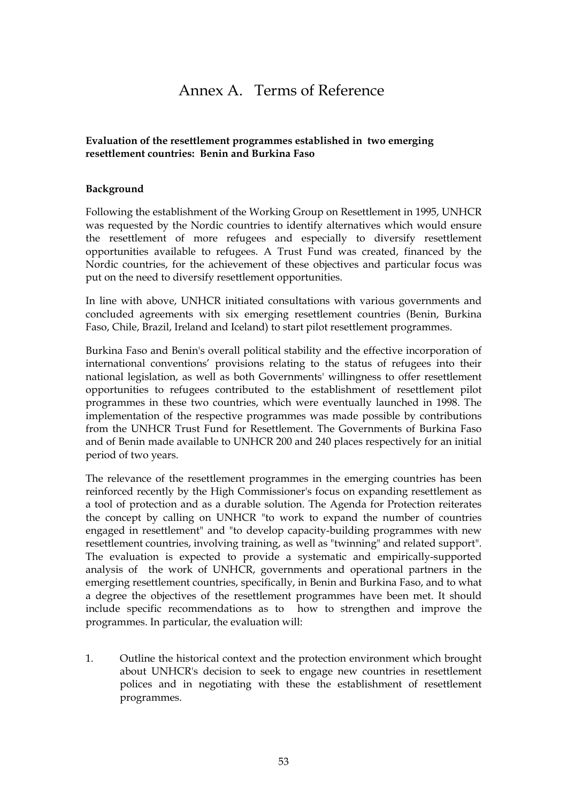## Annex A. Terms of Reference

#### **Evaluation of the resettlement programmes established in two emerging resettlement countries: Benin and Burkina Faso**

#### **Background**

Following the establishment of the Working Group on Resettlement in 1995, UNHCR was requested by the Nordic countries to identify alternatives which would ensure the resettlement of more refugees and especially to diversify resettlement opportunities available to refugees. A Trust Fund was created, financed by the Nordic countries, for the achievement of these objectives and particular focus was put on the need to diversify resettlement opportunities.

In line with above, UNHCR initiated consultations with various governments and concluded agreements with six emerging resettlement countries (Benin, Burkina Faso, Chile, Brazil, Ireland and Iceland) to start pilot resettlement programmes.

Burkina Faso and Benin's overall political stability and the effective incorporation of international conventions' provisions relating to the status of refugees into their national legislation, as well as both Governments' willingness to offer resettlement opportunities to refugees contributed to the establishment of resettlement pilot programmes in these two countries, which were eventually launched in 1998. The implementation of the respective programmes was made possible by contributions from the UNHCR Trust Fund for Resettlement. The Governments of Burkina Faso and of Benin made available to UNHCR 200 and 240 places respectively for an initial period of two years.

The relevance of the resettlement programmes in the emerging countries has been reinforced recently by the High Commissioner's focus on expanding resettlement as a tool of protection and as a durable solution. The Agenda for Protection reiterates the concept by calling on UNHCR "to work to expand the number of countries engaged in resettlement" and "to develop capacity-building programmes with new resettlement countries, involving training, as well as "twinning" and related support". The evaluation is expected to provide a systematic and empirically-supported analysis of the work of UNHCR, governments and operational partners in the emerging resettlement countries, specifically, in Benin and Burkina Faso, and to what a degree the objectives of the resettlement programmes have been met. It should include specific recommendations as to how to strengthen and improve the programmes. In particular, the evaluation will:

1. Outline the historical context and the protection environment which brought about UNHCR's decision to seek to engage new countries in resettlement polices and in negotiating with these the establishment of resettlement programmes.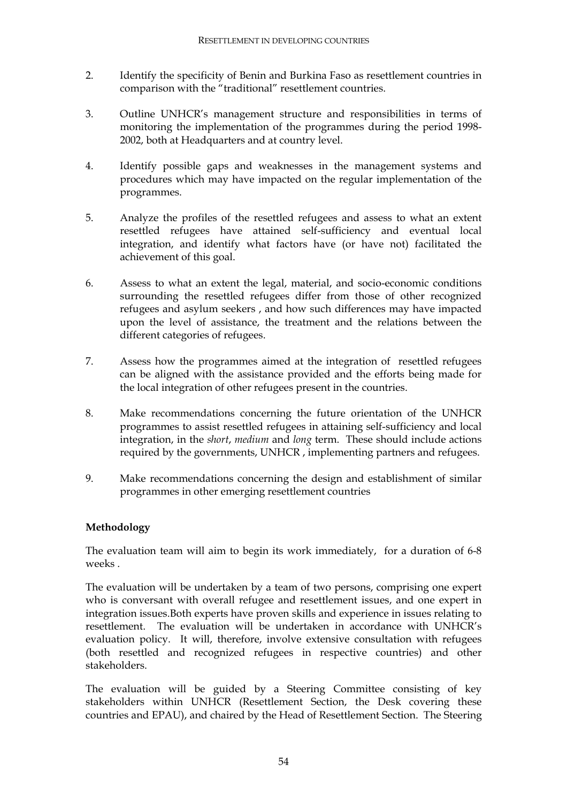- 2. Identify the specificity of Benin and Burkina Faso as resettlement countries in comparison with the "traditional" resettlement countries.
- 3. Outline UNHCR's management structure and responsibilities in terms of monitoring the implementation of the programmes during the period 1998- 2002, both at Headquarters and at country level.
- 4. Identify possible gaps and weaknesses in the management systems and procedures which may have impacted on the regular implementation of the programmes.
- 5. Analyze the profiles of the resettled refugees and assess to what an extent resettled refugees have attained self-sufficiency and eventual local integration, and identify what factors have (or have not) facilitated the achievement of this goal.
- 6. Assess to what an extent the legal, material, and socio-economic conditions surrounding the resettled refugees differ from those of other recognized refugees and asylum seekers , and how such differences may have impacted upon the level of assistance, the treatment and the relations between the different categories of refugees.
- 7. Assess how the programmes aimed at the integration of resettled refugees can be aligned with the assistance provided and the efforts being made for the local integration of other refugees present in the countries.
- 8. Make recommendations concerning the future orientation of the UNHCR programmes to assist resettled refugees in attaining self-sufficiency and local integration, in the *short*, *medium* and *long* term. These should include actions required by the governments, UNHCR , implementing partners and refugees.
- 9. Make recommendations concerning the design and establishment of similar programmes in other emerging resettlement countries

#### **Methodology**

The evaluation team will aim to begin its work immediately, for a duration of 6-8 weeks .

The evaluation will be undertaken by a team of two persons, comprising one expert who is conversant with overall refugee and resettlement issues, and one expert in integration issues.Both experts have proven skills and experience in issues relating to resettlement. The evaluation will be undertaken in accordance with UNHCR's evaluation policy. It will, therefore, involve extensive consultation with refugees (both resettled and recognized refugees in respective countries) and other stakeholders.

The evaluation will be guided by a Steering Committee consisting of key stakeholders within UNHCR (Resettlement Section, the Desk covering these countries and EPAU), and chaired by the Head of Resettlement Section. The Steering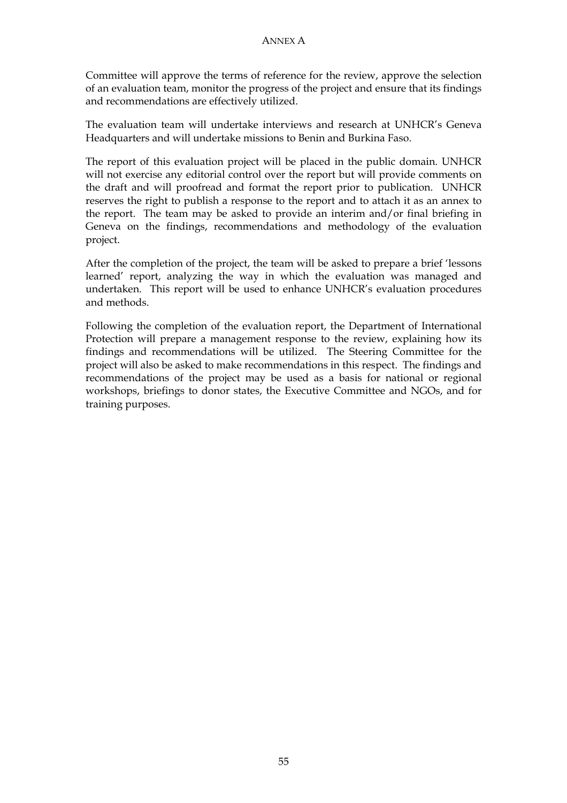Committee will approve the terms of reference for the review, approve the selection of an evaluation team, monitor the progress of the project and ensure that its findings and recommendations are effectively utilized.

The evaluation team will undertake interviews and research at UNHCR's Geneva Headquarters and will undertake missions to Benin and Burkina Faso.

The report of this evaluation project will be placed in the public domain. UNHCR will not exercise any editorial control over the report but will provide comments on the draft and will proofread and format the report prior to publication. UNHCR reserves the right to publish a response to the report and to attach it as an annex to the report. The team may be asked to provide an interim and/or final briefing in Geneva on the findings, recommendations and methodology of the evaluation project.

After the completion of the project, the team will be asked to prepare a brief 'lessons learned' report, analyzing the way in which the evaluation was managed and undertaken. This report will be used to enhance UNHCR's evaluation procedures and methods.

Following the completion of the evaluation report, the Department of International Protection will prepare a management response to the review, explaining how its findings and recommendations will be utilized. The Steering Committee for the project will also be asked to make recommendations in this respect. The findings and recommendations of the project may be used as a basis for national or regional workshops, briefings to donor states, the Executive Committee and NGOs, and for training purposes.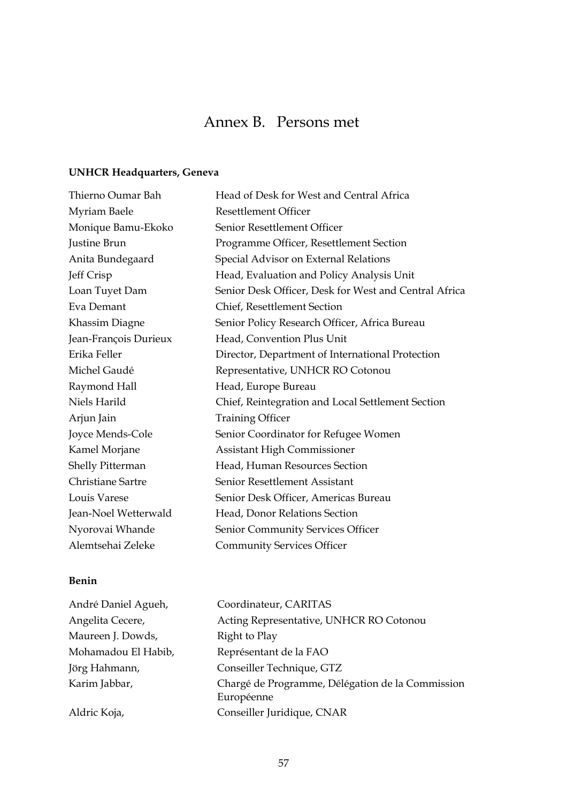## Annex B. Persons met

### **UNHCR Headquarters, Geneva**

| Thierno Oumar Bah       | Head of Desk for West and Central Africa              |
|-------------------------|-------------------------------------------------------|
| Myriam Baele            | <b>Resettlement Officer</b>                           |
| Monique Bamu-Ekoko      | Senior Resettlement Officer                           |
| Justine Brun            | Programme Officer, Resettlement Section               |
| Anita Bundegaard        | Special Advisor on External Relations                 |
| Jeff Crisp              | Head, Evaluation and Policy Analysis Unit             |
| Loan Tuyet Dam          | Senior Desk Officer, Desk for West and Central Africa |
| Eva Demant              | Chief, Resettlement Section                           |
| Khassim Diagne          | Senior Policy Research Officer, Africa Bureau         |
| Jean-François Durieux   | Head, Convention Plus Unit                            |
| Erika Feller            | Director, Department of International Protection      |
| Michel Gaudé            | Representative, UNHCR RO Cotonou                      |
| Raymond Hall            | Head, Europe Bureau                                   |
| Niels Harild            | Chief, Reintegration and Local Settlement Section     |
| Arjun Jain              | <b>Training Officer</b>                               |
| Joyce Mends-Cole        | Senior Coordinator for Refugee Women                  |
| Kamel Morjane           | <b>Assistant High Commissioner</b>                    |
| <b>Shelly Pitterman</b> | Head, Human Resources Section                         |
| Christiane Sartre       | Senior Resettlement Assistant                         |
| Louis Varese            | Senior Desk Officer, Americas Bureau                  |
| Jean-Noel Wetterwald    | Head, Donor Relations Section                         |
| Nyorovai Whande         | Senior Community Services Officer                     |
| Alemtsehai Zeleke       | <b>Community Services Officer</b>                     |

### **Benin**

| André Daniel Agueh, | Coordinateur, CARITAS                                          |
|---------------------|----------------------------------------------------------------|
| Angelita Cecere,    | Acting Representative, UNHCR RO Cotonou                        |
| Maureen J. Dowds,   | Right to Play                                                  |
| Mohamadou El Habib, | Représentant de la FAO                                         |
| Jörg Hahmann,       | Conseiller Technique, GTZ                                      |
| Karim Jabbar,       | Chargé de Programme, Délégation de la Commission<br>Européenne |
| Aldric Koja,        | Conseiller Juridique, CNAR                                     |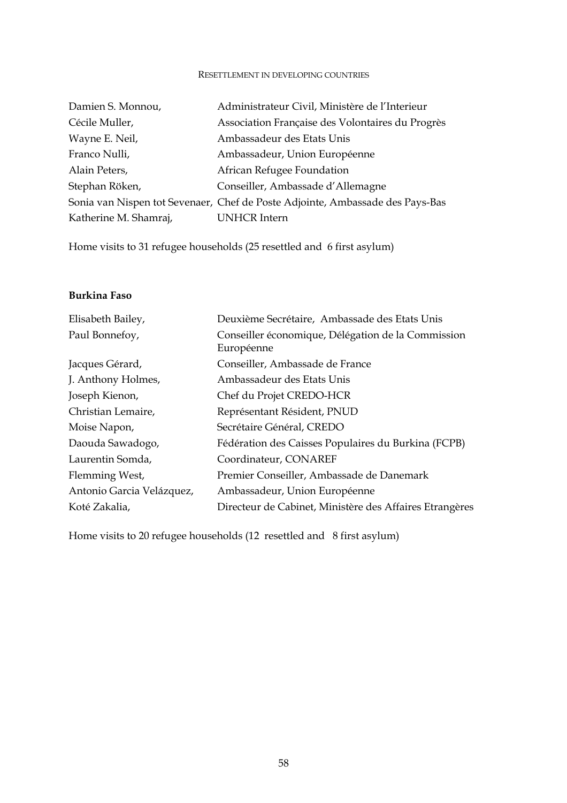#### RESETTLEMENT IN DEVELOPING COUNTRIES

| Damien S. Monnou,     | Administrateur Civil, Ministère de l'Interieur                                |
|-----------------------|-------------------------------------------------------------------------------|
| Cécile Muller,        | Association Française des Volontaires du Progrès                              |
| Wayne E. Neil,        | Ambassadeur des Etats Unis                                                    |
| Franco Nulli,         | Ambassadeur, Union Européenne                                                 |
| Alain Peters,         | African Refugee Foundation                                                    |
| Stephan Röken,        | Conseiller, Ambassade d'Allemagne                                             |
|                       | Sonia van Nispen tot Sevenaer, Chef de Poste Adjointe, Ambassade des Pays-Bas |
| Katherine M. Shamraj, | <b>UNHCR</b> Intern                                                           |

Home visits to 31 refugee households (25 resettled and 6 first asylum)

#### **Burkina Faso**

| Elisabeth Bailey,         | Deuxième Secrétaire, Ambassade des Etats Unis           |
|---------------------------|---------------------------------------------------------|
| Paul Bonnefoy,            | Conseiller économique, Délégation de la Commission      |
|                           | Européenne                                              |
| Jacques Gérard,           | Conseiller, Ambassade de France                         |
| J. Anthony Holmes,        | Ambassadeur des Etats Unis                              |
| Joseph Kienon,            | Chef du Projet CREDO-HCR                                |
| Christian Lemaire,        | Représentant Résident, PNUD                             |
| Moise Napon,              | Secrétaire Général, CREDO                               |
| Daouda Sawadogo,          | Fédération des Caisses Populaires du Burkina (FCPB)     |
| Laurentin Somda,          | Coordinateur, CONAREF                                   |
| Flemming West,            | Premier Conseiller, Ambassade de Danemark               |
| Antonio Garcia Velázquez, | Ambassadeur, Union Européenne                           |
| Koté Zakalia,             | Directeur de Cabinet, Ministère des Affaires Etrangères |

Home visits to 20 refugee households (12 resettled and 8 first asylum)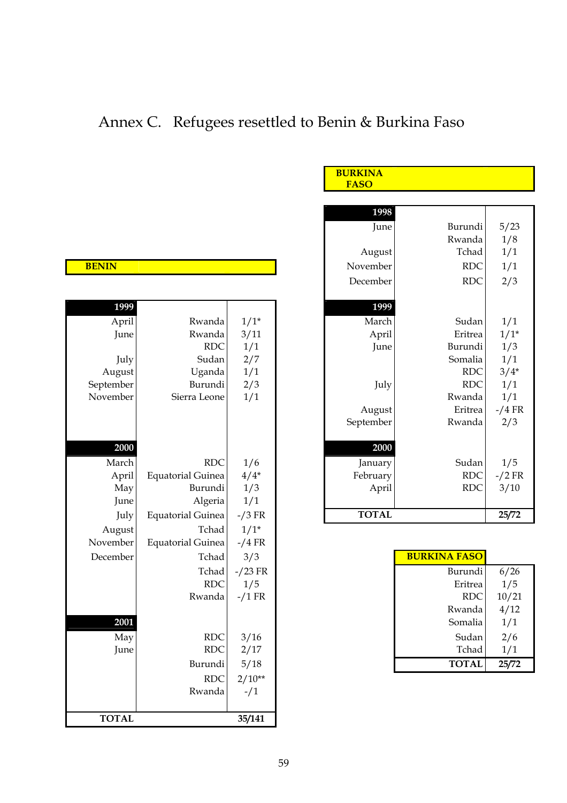# Annex C. Refugees resettled to Benin & Burkina Faso

 **BURKINA** 

|              |                          |           | <b>FASO</b>  |            |           |
|--------------|--------------------------|-----------|--------------|------------|-----------|
|              |                          |           |              |            |           |
|              |                          |           | 1998         |            |           |
|              |                          |           | June         | Burundi    | 5/23      |
|              |                          |           |              | Rwanda     | 1/8       |
|              |                          |           | August       | Tchad      | 1/1       |
| <b>BENIN</b> |                          |           | November     | $\rm RDC$  | 1/1       |
|              |                          |           | December     | <b>RDC</b> | 2/3       |
|              |                          |           |              |            |           |
| 1999         |                          |           | 1999         |            |           |
| April        | Rwanda                   | $1/1*$    | March        | Sudan      | 1/1       |
| June         | Rwanda                   | 3/11      | April        | Eritrea    | $1/1*$    |
|              | RDC                      | 1/1       | June         | Burundi    | 1/3       |
| July         | Sudan                    | 2/7       |              | Somalia    | 1/1       |
| August       | Uganda                   | 1/1       |              | <b>RDC</b> | $3/4*$    |
| September    | Burundi                  | 2/3       | July         | <b>RDC</b> | 1/1       |
| November     | Sierra Leone             | 1/1       |              | Rwanda     | 1/1       |
|              |                          |           | August       | Eritrea    | $-$ /4 FR |
|              |                          |           | September    | Rwanda     | 2/3       |
|              |                          |           |              |            |           |
| 2000         |                          |           | 2000         |            |           |
| March        | <b>RDC</b>               | 1/6       | January      | Sudan      | 1/5       |
| April        | <b>Equatorial Guinea</b> | $4/4*$    | February     | <b>RDC</b> | $-2$ FR   |
| May          | Burundi                  | 1/3       | April        | <b>RDC</b> | 3/10      |
| June         | Algeria                  | 1/1       |              |            |           |
| July         | <b>Equatorial Guinea</b> | $-$ /3 FR | <b>TOTAL</b> |            | 25/72     |
|              | $-1$ $1$                 | $A$ $A$   |              |            |           |

| <b>BURKINA FASO</b> |       |
|---------------------|-------|
| Burundi             | 6/26  |
| Eritrea             | 1/5   |
| <b>RDC</b>          | 10/21 |
| Rwanda              | 4/12  |
| Somalia             | 1/1   |
| Sudan               | 2/6   |
| Tchad               | 1/1   |
| <b>TOTAL</b>        | 25/72 |

| <b>Contract Contract Contract Contract Contract Contract Contract Contract Contract Contract Contract Contract Co</b><br><b>Service Service</b><br><b>Contract Contract Contract Contract Contract Contract Contract Contract Contract Contract Contract Contract Co</b> |
|--------------------------------------------------------------------------------------------------------------------------------------------------------------------------------------------------------------------------------------------------------------------------|
|--------------------------------------------------------------------------------------------------------------------------------------------------------------------------------------------------------------------------------------------------------------------------|

| $1/1*$<br>March<br>April<br>Rwanda<br>Sudan<br>Rwanda<br>Eritrea<br>3/11<br>April<br>June<br><b>RDC</b><br>1/1<br>Burundi<br>June<br>Sudan<br>2/7<br>Somalia<br>July<br>August<br>1/1<br><b>RDC</b><br>Uganda<br>2/3<br>September<br>Burundi<br><b>RDC</b><br>July<br>November<br>Sierra Leone<br>1/1<br>Rwanda<br>August<br>Eritrea<br>September<br>Rwanda | 1/1<br>$1/1*$<br>1/3<br>1/1<br>$3/4*$<br>1/1<br>1/1<br>$-$ /4 FR<br>2/3<br>1/5 |
|-------------------------------------------------------------------------------------------------------------------------------------------------------------------------------------------------------------------------------------------------------------------------------------------------------------------------------------------------------------|--------------------------------------------------------------------------------|
|                                                                                                                                                                                                                                                                                                                                                             |                                                                                |
|                                                                                                                                                                                                                                                                                                                                                             |                                                                                |
|                                                                                                                                                                                                                                                                                                                                                             |                                                                                |
|                                                                                                                                                                                                                                                                                                                                                             |                                                                                |
|                                                                                                                                                                                                                                                                                                                                                             |                                                                                |
|                                                                                                                                                                                                                                                                                                                                                             |                                                                                |
|                                                                                                                                                                                                                                                                                                                                                             |                                                                                |
|                                                                                                                                                                                                                                                                                                                                                             |                                                                                |
|                                                                                                                                                                                                                                                                                                                                                             |                                                                                |
|                                                                                                                                                                                                                                                                                                                                                             |                                                                                |
| 2000<br>2000                                                                                                                                                                                                                                                                                                                                                |                                                                                |
| 1/6<br>March<br><b>RDC</b><br>Sudan<br>January                                                                                                                                                                                                                                                                                                              |                                                                                |
| $4/4*$<br><b>Equatorial Guinea</b><br><b>RDC</b><br>February<br>April                                                                                                                                                                                                                                                                                       | $-2$ FR                                                                        |
| Burundi<br>1/3<br><b>RDC</b><br>May<br>April                                                                                                                                                                                                                                                                                                                | 3/10                                                                           |
| 1/1<br>Algeria<br>June                                                                                                                                                                                                                                                                                                                                      |                                                                                |
| <b>TOTAL</b><br><b>Equatorial Guinea</b><br>$-$ /3 FR<br>July                                                                                                                                                                                                                                                                                               | 25/72                                                                          |
| $1/1*$<br>August<br>Tchad                                                                                                                                                                                                                                                                                                                                   |                                                                                |
| November<br><b>Equatorial Guinea</b><br>$-$ /4 FR                                                                                                                                                                                                                                                                                                           |                                                                                |
| <b>BURKINA FASO</b><br>December<br>Tchad<br>3/3                                                                                                                                                                                                                                                                                                             |                                                                                |
| $-$ /23 FR<br>Tchad<br>Burundi                                                                                                                                                                                                                                                                                                                              | 6/26                                                                           |
| <b>RDC</b><br>1/5<br>Eritrea                                                                                                                                                                                                                                                                                                                                | 1/5                                                                            |
| <b>RDC</b><br>$-$ /1 FR<br>Rwanda                                                                                                                                                                                                                                                                                                                           | 10/21                                                                          |
| Rwanda                                                                                                                                                                                                                                                                                                                                                      | 4/12                                                                           |
| 2001<br>Somalia                                                                                                                                                                                                                                                                                                                                             | 1/1                                                                            |
| <b>RDC</b><br>3/16<br>Sudan<br>May                                                                                                                                                                                                                                                                                                                          | 2/6                                                                            |
| <b>RDC</b><br>Tchad<br>2/17<br>June                                                                                                                                                                                                                                                                                                                         | 1/1                                                                            |
| <b>TOTAL</b><br>5/18<br>Burundi                                                                                                                                                                                                                                                                                                                             | 25/72                                                                          |
| $2/10**$<br><b>RDC</b>                                                                                                                                                                                                                                                                                                                                      |                                                                                |
| Rwanda<br>$-1/1$                                                                                                                                                                                                                                                                                                                                            |                                                                                |
|                                                                                                                                                                                                                                                                                                                                                             |                                                                                |
| <b>TOTAL</b><br>35/141                                                                                                                                                                                                                                                                                                                                      |                                                                                |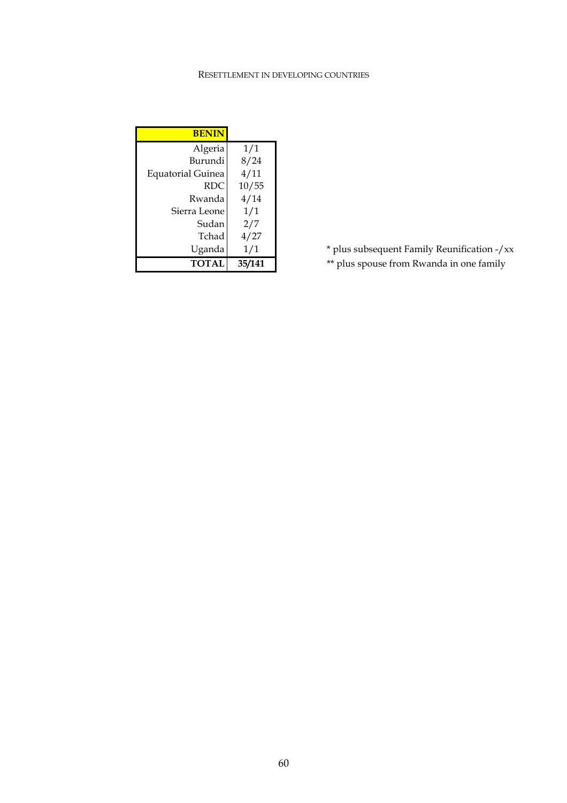#### RESETTLEMENT IN DEVELOPING COUNTRIES

| <b>BENIN</b>             |        |
|--------------------------|--------|
| Algeria                  | 1/1    |
| Burundi                  | 8/24   |
| <b>Equatorial Guinea</b> | 4/11   |
| <b>RDC</b>               | 10/55  |
| Rwanda                   | 4/14   |
| Sierra Leone             | 1/1    |
| Sudan                    | 2/7    |
| Tchad                    | 4/27   |
| Uganda                   | 1/1    |
| <b>TOTAL</b>             | 35/141 |

Uganda 1/1 **\*** plus subsequent Family Reunification -/xx

**TOTAL** 35/141 **\*\*** plus spouse from Rwanda in one family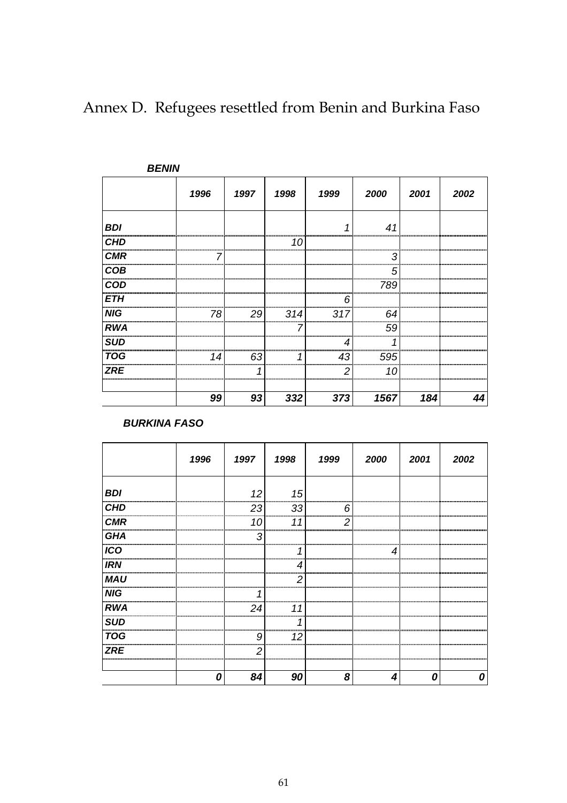|            | <b>BENIN</b> |        |         |         |         |                             |      |
|------------|--------------|--------|---------|---------|---------|-----------------------------|------|
|            | 1996         | 1997   | 1998    | 1999    | 2000    | 2001                        | 2002 |
| <b>BDI</b> |              |        |         |         | 41      |                             |      |
| <b>CHD</b> |              |        | <br>10  |         |         |                             |      |
| <b>CMR</b> |              |        |         |         |         |                             |      |
| COB        |              |        |         |         | <br>5   |                             |      |
| <b>COD</b> |              |        |         |         | <br>789 |                             |      |
| ETH        |              |        |         |         |         |                             |      |
| <b>NIG</b> | 78           | <br>29 | <br>314 | <br>317 | <br>64  |                             |      |
| <b>RWA</b> |              |        |         |         | <br>59  | ,,,,,,,,,,,,,,,,,,,,,,,,,,, |      |
| SUD        |              |        |         |         |         |                             |      |
| <b>TOG</b> | 14           | <br>63 |         | 43      | <br>595 |                             |      |
| <b>ZRE</b> |              |        |         | ς<br>   | <br>10  |                             |      |
|            | 99           | 93     | 332     | 373     | 1567    | 184                         |      |

Annex D. Refugees resettled from Benin and Burkina Faso

*BURKINA FASO* 

|                  | 1996 | 1997  | 1998   | 1999 | 2000                           | 2001 | 2002 |
|------------------|------|-------|--------|------|--------------------------------|------|------|
| <b>BDI</b>       |      | 12    | 15     |      |                                |      |      |
| <b>CHD</b>       |      | 23    | 33     | 6    |                                |      |      |
| <b>CMR</b>       |      | 10    | 11     | 2    |                                |      |      |
| GHA              |      | З     |        |      |                                |      |      |
| $\overline{ICO}$ |      |       |        |      |                                |      |      |
| <b>IRN</b>       |      |       |        |      |                                |      |      |
| <b>MAU</b>       |      |       | 2      |      |                                |      |      |
| NIG              |      |       |        |      | ,,,,,,,,,,,,,,,,,,,,,,,,,,,,,, |      |      |
| <b>RWA</b>       |      | 24    |        |      |                                |      |      |
| <b>SUD</b>       |      |       |        |      |                                |      |      |
| <b>TOG</b>       |      | g     | <br>12 |      |                                |      |      |
| ZRE              |      | 2<br> | <br>   |      |                                |      |      |
|                  |      | 84    | 90     | 8    |                                |      |      |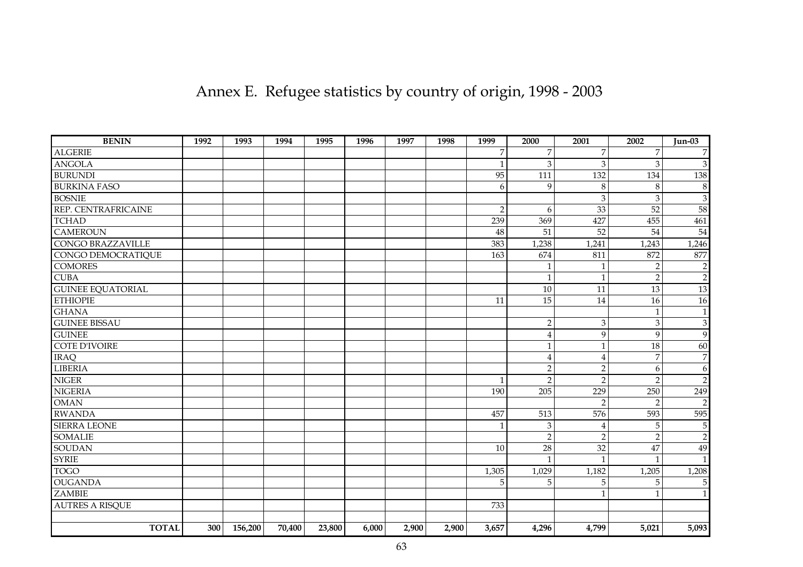| Annex E. Refugee statistics by country of origin, 1998 - 2003 |  |  |  |  |  |  |  |  |
|---------------------------------------------------------------|--|--|--|--|--|--|--|--|
|---------------------------------------------------------------|--|--|--|--|--|--|--|--|

| <b>BENIN</b>             | 1992 | 1993    | 1994   | 1995   | 1996  | 1997  | 1998  | 1999           | 2000           | 2001            | 2002            | <b>Jun-03</b>   |
|--------------------------|------|---------|--------|--------|-------|-------|-------|----------------|----------------|-----------------|-----------------|-----------------|
| <b>ALGERIE</b>           |      |         |        |        |       |       |       | 7              | $\overline{7}$ | 7               | 7               |                 |
| <b>ANGOLA</b>            |      |         |        |        |       |       |       | 1              | $\mathfrak{Z}$ | 3               | 3               | 3               |
| <b>BURUNDI</b>           |      |         |        |        |       |       |       | 95             | 111            | 132             | 134             | 138             |
| <b>BURKINA FASO</b>      |      |         |        |        |       |       |       | 6              | 9              | $\,8\,$         | 8               | 8               |
| <b>BOSNIE</b>            |      |         |        |        |       |       |       |                |                | $\mathfrak{Z}$  | $\mathfrak{Z}$  | 3               |
| REP. CENTRAFRICAINE      |      |         |        |        |       |       |       | $\overline{2}$ | 6              | 33              | 52              | 58              |
| <b>TCHAD</b>             |      |         |        |        |       |       |       | 239            | 369            | 427             | 455             | 461             |
| <b>CAMEROUN</b>          |      |         |        |        |       |       |       | 48             | 51             | $\overline{52}$ | $\overline{54}$ | $\overline{54}$ |
| <b>CONGO BRAZZAVILLE</b> |      |         |        |        |       |       |       | 383            | 1,238          | 1,241           | 1,243           | 1,246           |
| CONGO DEMOCRATIQUE       |      |         |        |        |       |       |       | 163            | 674            | 811             | 872             | 877             |
| <b>COMORES</b>           |      |         |        |        |       |       |       |                | $\mathbf{1}$   | $\mathbf{1}$    | $\overline{2}$  | $\overline{2}$  |
| <b>CUBA</b>              |      |         |        |        |       |       |       |                | $\mathbf{1}$   | $\mathbf{1}$    | $\overline{2}$  | $\overline{2}$  |
| <b>GUINEE EQUATORIAL</b> |      |         |        |        |       |       |       |                | 10             | 11              | 13              | 13              |
| <b>ETHIOPIE</b>          |      |         |        |        |       |       |       | 11             | 15             | 14              | 16              | 16              |
| <b>GHANA</b>             |      |         |        |        |       |       |       |                |                |                 | $\mathbf{1}$    | $\mathbf{1}$    |
| <b>GUINEE BISSAU</b>     |      |         |        |        |       |       |       |                | $\sqrt{2}$     | $\mathfrak{B}$  | $\mathfrak{Z}$  | $\mathfrak{B}$  |
| <b>GUINEE</b>            |      |         |        |        |       |       |       |                | $\bf 4$        | 9               | 9               | 9               |
| <b>COTE D'IVOIRE</b>     |      |         |        |        |       |       |       |                | $\mathbf{1}$   | $\mathbf{1}$    | 18              | 60              |
| <b>IRAQ</b>              |      |         |        |        |       |       |       |                | $\overline{4}$ | $\overline{4}$  | $\overline{7}$  | $\overline{7}$  |
| <b>LIBERIA</b>           |      |         |        |        |       |       |       |                | $\overline{2}$ | $\overline{2}$  | 6               | 6               |
| <b>NIGER</b>             |      |         |        |        |       |       |       | $\mathbf{1}$   | $\overline{2}$ | $\overline{2}$  | $\mathcal{P}$   | $\mathfrak{D}$  |
| <b>NIGERIA</b>           |      |         |        |        |       |       |       | 190            | 205            | 229             | 250             | 249             |
| <b>OMAN</b>              |      |         |        |        |       |       |       |                |                | $\overline{2}$  | $\overline{2}$  | $\mathcal{D}$   |
| <b>RWANDA</b>            |      |         |        |        |       |       |       | 457            | 513            | 576             | 593             | 595             |
| <b>SIERRA LEONE</b>      |      |         |        |        |       |       |       | $\mathbf{1}$   | $\mathfrak{Z}$ | $\overline{4}$  | 5               | 5               |
| <b>SOMALIE</b>           |      |         |        |        |       |       |       |                | $\overline{2}$ | $\overline{2}$  | $\overline{2}$  | $\overline{c}$  |
| <b>SOUDAN</b>            |      |         |        |        |       |       |       | 10             | 28             | 32              | 47              | 49              |
| <b>SYRIE</b>             |      |         |        |        |       |       |       |                | $\mathbf{1}$   | $\mathbf{1}$    | $\mathbf{1}$    | $\mathbf{1}$    |
| <b>TOGO</b>              |      |         |        |        |       |       |       | 1,305          | 1,029          | 1,182           | 1,205           | 1,208           |
| <b>OUGANDA</b>           |      |         |        |        |       |       |       | 5              | 5              | 5               | 5               | 5               |
| <b>ZAMBIE</b>            |      |         |        |        |       |       |       |                |                | $\mathbf{1}$    |                 | $\mathbf{1}$    |
| <b>AUTRES A RISQUE</b>   |      |         |        |        |       |       |       | 733            |                |                 |                 |                 |
|                          |      |         |        |        |       |       |       |                |                |                 |                 |                 |
| <b>TOTAL</b>             | 300  | 156,200 | 70,400 | 23,800 | 6,000 | 2,900 | 2,900 | 3,657          | 4,296          | 4,799           | 5,021           | 5,093           |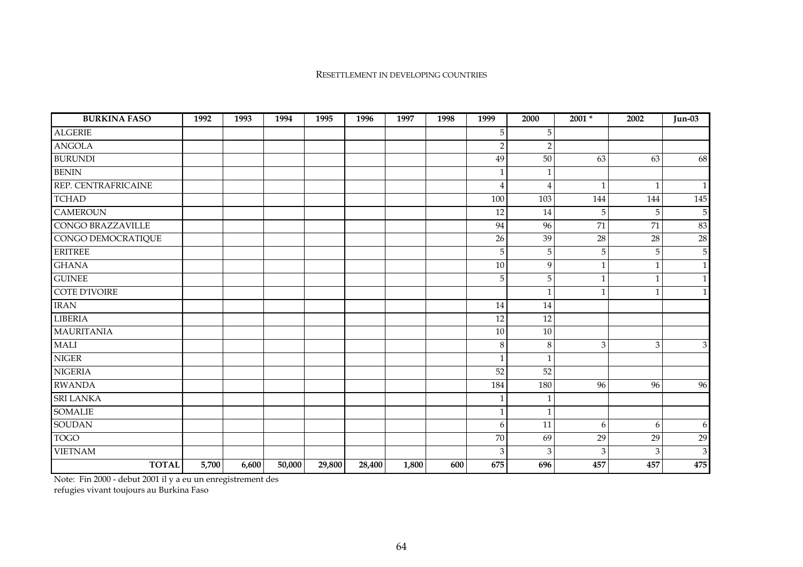#### RESETTLEMENT IN DEVELOPING COUNTRIES

| <b>BURKINA FASO</b>      | 1992  | 1993  | 1994   | 1995   | 1996   | 1997  | 1998 | 1999           | 2000         | $2001 *$     | 2002         | $Jun-03$       |
|--------------------------|-------|-------|--------|--------|--------|-------|------|----------------|--------------|--------------|--------------|----------------|
| <b>ALGERIE</b>           |       |       |        |        |        |       |      | 5              | 5            |              |              |                |
| <b>ANGOLA</b>            |       |       |        |        |        |       |      | $\overline{2}$ | $\sqrt{2}$   |              |              |                |
| <b>BURUNDI</b>           |       |       |        |        |        |       |      | 49             | 50           | 63           | 63           | 68             |
| <b>BENIN</b>             |       |       |        |        |        |       |      | $\mathbf{1}$   | $\mathbf{1}$ |              |              |                |
| REP. CENTRAFRICAINE      |       |       |        |        |        |       |      | $\overline{4}$ | 4            | $\mathbf{1}$ | $\mathbf{1}$ | $1\vert$       |
| <b>TCHAD</b>             |       |       |        |        |        |       |      | 100            | 103          | 144          | 144          | 145            |
| <b>CAMEROUN</b>          |       |       |        |        |        |       |      | 12             | 14           | 5            | 5            | $\mathbf 5$    |
| <b>CONGO BRAZZAVILLE</b> |       |       |        |        |        |       |      | 94             | 96           | 71           | 71           | 83             |
| CONGO DEMOCRATIQUE       |       |       |        |        |        |       |      | 26             | 39           | 28           | $28\,$       | $28\,$         |
| <b>ERITREE</b>           |       |       |        |        |        |       |      | 5              | 5            | 5            | 5            | $\mathbf 5$    |
| <b>GHANA</b>             |       |       |        |        |        |       |      | 10             | 9            | $\mathbf{1}$ | $\mathbf{1}$ | $\mathbf{1}$   |
| <b>GUINEE</b>            |       |       |        |        |        |       |      | 5              | 5            | $\mathbf{1}$ | $\mathbf{1}$ | $\mathbf{1}$   |
| <b>COTE D'IVOIRE</b>     |       |       |        |        |        |       |      |                | $\mathbf{1}$ | $\mathbf{1}$ | $\mathbf 1$  | $1\vert$       |
| <b>IRAN</b>              |       |       |        |        |        |       |      | 14             | 14           |              |              |                |
| <b>LIBERIA</b>           |       |       |        |        |        |       |      | 12             | 12           |              |              |                |
| <b>MAURITANIA</b>        |       |       |        |        |        |       |      | 10             | 10           |              |              |                |
| <b>MALI</b>              |       |       |        |        |        |       |      | 8              | $\,8\,$      | 3            | 3            | 3 <sup>1</sup> |
| $NIGER$                  |       |       |        |        |        |       |      | $\mathbf{1}$   | $\mathbf{1}$ |              |              |                |
| <b>NIGERIA</b>           |       |       |        |        |        |       |      | 52             | 52           |              |              |                |
| <b>RWANDA</b>            |       |       |        |        |        |       |      | 184            | 180          | 96           | 96           | 96             |
| <b>SRI LANKA</b>         |       |       |        |        |        |       |      | -1             | 1            |              |              |                |
| <b>SOMALIE</b>           |       |       |        |        |        |       |      | $\mathbf{1}$   | $\mathbf{1}$ |              |              |                |
| <b>SOUDAN</b>            |       |       |        |        |        |       |      | 6              | 11           | 6            | 6            | 6              |
| <b>TOGO</b>              |       |       |        |        |        |       |      | 70             | 69           | 29           | 29           | 29             |
| <b>VIETNAM</b>           |       |       |        |        |        |       |      | 3              | 3            | 3            | 3            | $\mathbf{3}$   |
| <b>TOTAL</b>             | 5,700 | 6,600 | 50,000 | 29,800 | 28,400 | 1,800 | 600  | 675            | 696          | 457          | 457          | 475            |

Note: Fin 2000 - debut 2001 il y a eu un enregistrement des

refugies vivant toujours au Burkina Faso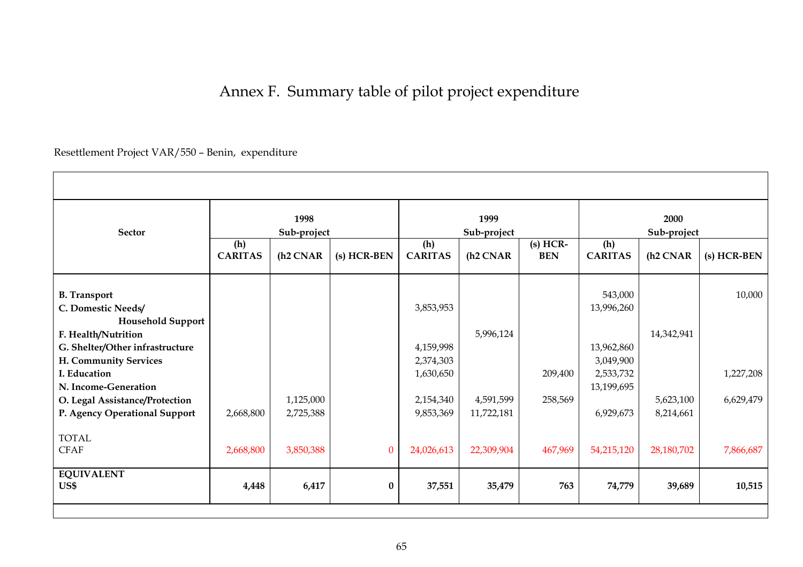# Annex F. Summary table of pilot project expenditure

Resettlement Project VAR/550 – Benin, expenditure

| <b>Sector</b>                                                   | 1998<br>Sub-project   |                        |             |                        | 1999<br>Sub-project     |                          | 2000<br>Sub-project   |                        |             |  |
|-----------------------------------------------------------------|-----------------------|------------------------|-------------|------------------------|-------------------------|--------------------------|-----------------------|------------------------|-------------|--|
|                                                                 | (h)<br><b>CARITAS</b> | (h <sub>2</sub> CNAR   | (s) HCR-BEN | (h)<br><b>CARITAS</b>  | (h <sub>2</sub> CNAR    | $(s)$ HCR-<br><b>BEN</b> | (h)<br><b>CARITAS</b> | (h <sub>2</sub> CNAR   | (s) HCR-BEN |  |
| <b>B.</b> Transport                                             |                       |                        |             |                        |                         |                          | 543,000               |                        | 10,000      |  |
| C. Domestic Needs/<br><b>Household Support</b>                  |                       |                        |             | 3,853,953              |                         |                          | 13,996,260            |                        |             |  |
| F. Health/Nutrition                                             |                       |                        |             |                        | 5,996,124               |                          |                       | 14,342,941             |             |  |
| G. Shelter/Other infrastructure                                 |                       |                        |             | 4,159,998              |                         |                          | 13,962,860            |                        |             |  |
| H. Community Services                                           |                       |                        |             | 2,374,303              |                         |                          | 3,049,900             |                        |             |  |
| I. Education                                                    |                       |                        |             | 1,630,650              |                         | 209,400                  | 2,533,732             |                        | 1,227,208   |  |
| N. Income-Generation                                            |                       |                        |             |                        |                         |                          | 13,199,695            |                        |             |  |
| O. Legal Assistance/Protection<br>P. Agency Operational Support | 2,668,800             | 1,125,000<br>2,725,388 |             | 2,154,340<br>9,853,369 | 4,591,599<br>11,722,181 | 258,569                  | 6,929,673             | 5,623,100<br>8,214,661 | 6,629,479   |  |
|                                                                 |                       |                        |             |                        |                         |                          |                       |                        |             |  |
| <b>TOTAL</b>                                                    |                       |                        |             |                        |                         |                          |                       |                        |             |  |
| <b>CFAF</b>                                                     | 2,668,800             | 3,850,388              | $\Omega$    | 24,026,613             | 22,309,904              | 467,969                  | 54,215,120            | 28,180,702             | 7,866,687   |  |
| <b>EQUIVALENT</b>                                               |                       |                        |             |                        |                         |                          |                       |                        |             |  |
| US\$                                                            | 4,448                 | 6,417                  | $\bf{0}$    | 37,551                 | 35,479                  | 763                      | 74,779                | 39,689                 | 10,515      |  |
|                                                                 |                       |                        |             |                        |                         |                          |                       |                        |             |  |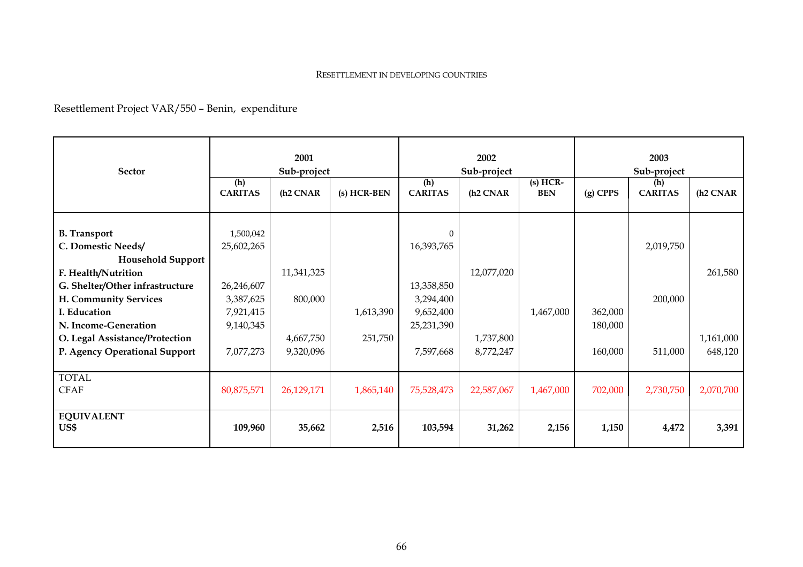#### RESETTLEMENT IN DEVELOPING COUNTRIES

Resettlement Project VAR/550 – Benin, expenditure

| <b>Sector</b>                                                                                                                    |                                                  | 2001<br>Sub-project               |                      |                                                   | 2002<br>Sub-project    |                          | 2003<br>Sub-project           |                       |                      |  |
|----------------------------------------------------------------------------------------------------------------------------------|--------------------------------------------------|-----------------------------------|----------------------|---------------------------------------------------|------------------------|--------------------------|-------------------------------|-----------------------|----------------------|--|
|                                                                                                                                  | (h)<br><b>CARITAS</b>                            | (h <sub>2</sub> CNAR              | (s) HCR-BEN          | (h)<br><b>CARITAS</b>                             | (h <sub>2</sub> CNAR   | $(s)$ HCR-<br><b>BEN</b> | $(g)$ CPPS                    | (h)<br><b>CARITAS</b> | $(h2 \text{ CNAR})$  |  |
| <b>B.</b> Transport<br>C. Domestic Needs/<br><b>Household Support</b><br>F. Health/Nutrition<br>G. Shelter/Other infrastructure  | 1,500,042<br>25,602,265<br>26,246,607            | 11,341,325                        |                      | 0<br>16,393,765<br>13,358,850                     | 12,077,020             |                          |                               | 2,019,750             | 261,580              |  |
| H. Community Services<br>I. Education<br>N. Income-Generation<br>O. Legal Assistance/Protection<br>P. Agency Operational Support | 3,387,625<br>7,921,415<br>9,140,345<br>7,077,273 | 800,000<br>4,667,750<br>9,320,096 | 1,613,390<br>251,750 | 3,294,400<br>9,652,400<br>25,231,390<br>7,597,668 | 1,737,800<br>8,772,247 | 1,467,000                | 362,000<br>180,000<br>160,000 | 200,000<br>511,000    | 1,161,000<br>648,120 |  |
| <b>TOTAL</b><br><b>CFAF</b>                                                                                                      | 80,875,571                                       | 26,129,171                        | 1,865,140            | 75,528,473                                        | 22,587,067             | 1,467,000                | 702,000                       | 2,730,750             | 2,070,700            |  |
| <b>EQUIVALENT</b><br>US\$                                                                                                        | 109,960                                          | 35,662                            | 2,516                | 103,594                                           | 31,262                 | 2,156                    | 1,150                         | 4,472                 | 3,391                |  |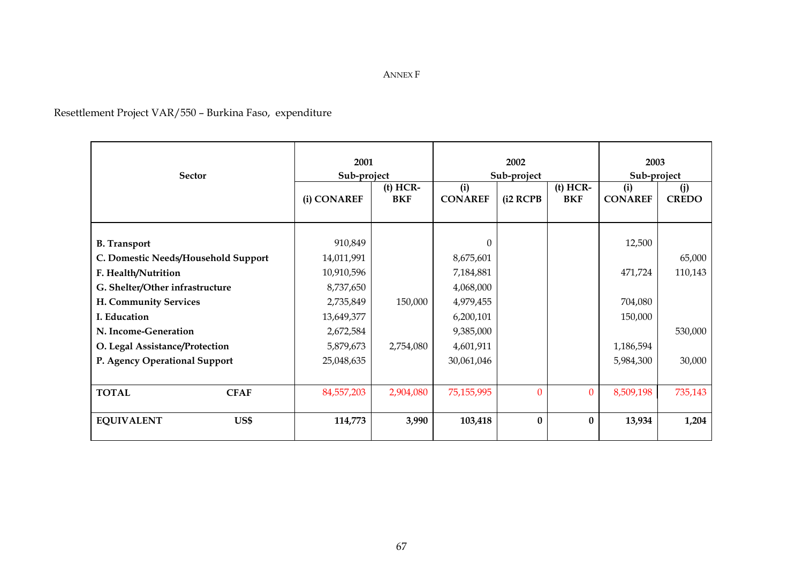## Resettlement Project VAR/550 – Burkina Faso, expenditure

| <b>Sector</b>                       | 2001<br>Sub-project |                          | 2002<br>Sub-project   |          |                          | 2003<br>Sub-project   |                     |
|-------------------------------------|---------------------|--------------------------|-----------------------|----------|--------------------------|-----------------------|---------------------|
|                                     | (i) CONAREF         | $(t)$ HCR-<br><b>BKF</b> | (i)<br><b>CONAREF</b> | (i2 RCPB | $(t)$ HCR-<br><b>BKF</b> | (i)<br><b>CONAREF</b> | (i)<br><b>CREDO</b> |
| <b>B.</b> Transport                 | 910,849             |                          | $\overline{0}$        |          |                          | 12,500                |                     |
| C. Domestic Needs/Household Support | 14,011,991          |                          | 8,675,601             |          |                          |                       | 65,000              |
| F. Health/Nutrition                 | 10,910,596          |                          | 7,184,881             |          |                          | 471,724               | 110,143             |
| G. Shelter/Other infrastructure     | 8,737,650           |                          | 4,068,000             |          |                          |                       |                     |
| H. Community Services               | 2,735,849           | 150,000                  | 4,979,455             |          |                          | 704,080               |                     |
| I. Education                        | 13,649,377          |                          | 6,200,101             |          |                          | 150,000               |                     |
| N. Income-Generation                | 2,672,584           |                          | 9,385,000             |          |                          |                       | 530,000             |
| O. Legal Assistance/Protection      | 5,879,673           | 2,754,080                | 4,601,911             |          |                          | 1,186,594             |                     |
| P. Agency Operational Support       | 25,048,635          |                          | 30,061,046            |          |                          | 5,984,300             | 30,000              |
|                                     |                     |                          |                       |          |                          |                       |                     |
| <b>TOTAL</b><br><b>CFAF</b>         | 84,557,203          | 2,904,080                | 75,155,995            | $\Omega$ | $\overline{0}$           | 8,509,198             | 735,143             |
| <b>EQUIVALENT</b><br>US\$           | 114,773             | 3,990                    | 103,418               | $\bf{0}$ | $\bf{0}$                 | 13,934                | 1,204               |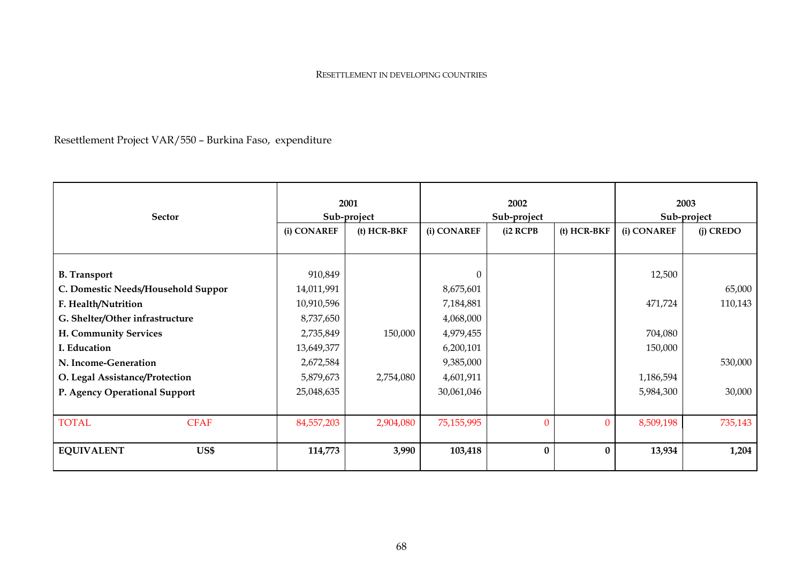#### RESETTLEMENT IN DEVELOPING COUNTRIES

Resettlement Project VAR/550 – Burkina Faso, expenditure

| <b>Sector</b>                      | 2001<br>Sub-project |               | 2002<br>Sub-project |                     |               | 2003<br>Sub-project |             |
|------------------------------------|---------------------|---------------|---------------------|---------------------|---------------|---------------------|-------------|
|                                    | (i) CONAREF         | $(t)$ HCR-BKF | (i) CONAREF         | $(i2 \text{ RCPB})$ | $(t)$ HCR-BKF | (i) CONAREF         | $(i)$ CREDO |
|                                    |                     |               |                     |                     |               |                     |             |
| <b>B.</b> Transport                | 910,849             |               | $\Omega$            |                     |               | 12,500              |             |
| C. Domestic Needs/Household Suppor | 14,011,991          |               | 8,675,601           |                     |               |                     | 65,000      |
| F. Health/Nutrition                | 10,910,596          |               | 7,184,881           |                     |               | 471,724             | 110,143     |
| G. Shelter/Other infrastructure    | 8,737,650           |               | 4,068,000           |                     |               |                     |             |
| H. Community Services              | 2,735,849           | 150,000       | 4,979,455           |                     |               | 704,080             |             |
| I. Education                       | 13,649,377          |               | 6,200,101           |                     |               | 150,000             |             |
| N. Income-Generation               | 2,672,584           |               | 9,385,000           |                     |               |                     | 530,000     |
| O. Legal Assistance/Protection     | 5,879,673           | 2,754,080     | 4,601,911           |                     |               | 1,186,594           |             |
| P. Agency Operational Support      | 25,048,635          |               | 30,061,046          |                     |               | 5,984,300           | 30,000      |
|                                    |                     |               |                     |                     |               |                     |             |
| <b>TOTAL</b><br><b>CFAF</b>        | 84,557,203          | 2,904,080     | 75,155,995          | $\mathbf{0}$        | $\Omega$      | 8,509,198           | 735,143     |
| <b>EQUIVALENT</b><br>US\$          | 114,773             | 3,990         | 103,418             | $\bf{0}$            | $\mathbf{0}$  | 13,934              | 1,204       |
|                                    |                     |               |                     |                     |               |                     |             |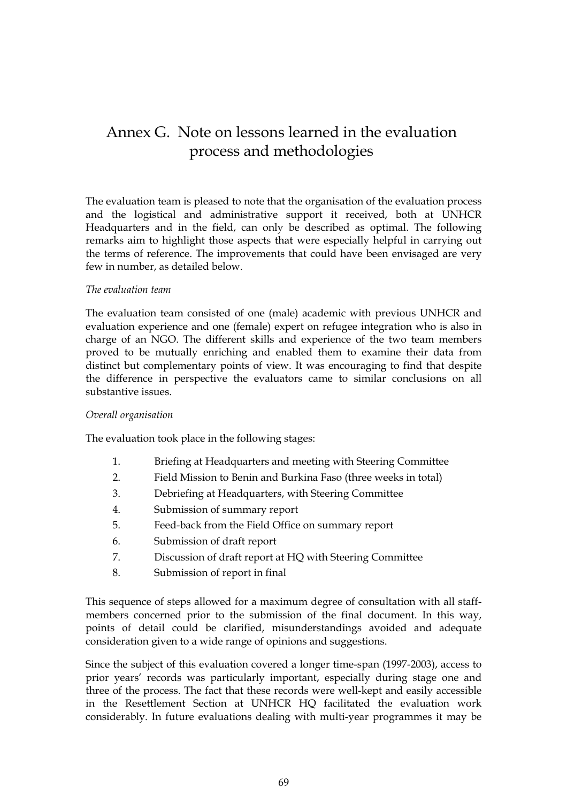# Annex G. Note on lessons learned in the evaluation process and methodologies

The evaluation team is pleased to note that the organisation of the evaluation process and the logistical and administrative support it received, both at UNHCR Headquarters and in the field, can only be described as optimal. The following remarks aim to highlight those aspects that were especially helpful in carrying out the terms of reference. The improvements that could have been envisaged are very few in number, as detailed below.

#### *The evaluation team*

The evaluation team consisted of one (male) academic with previous UNHCR and evaluation experience and one (female) expert on refugee integration who is also in charge of an NGO. The different skills and experience of the two team members proved to be mutually enriching and enabled them to examine their data from distinct but complementary points of view. It was encouraging to find that despite the difference in perspective the evaluators came to similar conclusions on all substantive issues.

#### *Overall organisation*

The evaluation took place in the following stages:

- 1. Briefing at Headquarters and meeting with Steering Committee
- 2. Field Mission to Benin and Burkina Faso (three weeks in total)
- 3. Debriefing at Headquarters, with Steering Committee
- 4. Submission of summary report
- 5. Feed-back from the Field Office on summary report
- 6. Submission of draft report
- 7. Discussion of draft report at HQ with Steering Committee
- 8. Submission of report in final

This sequence of steps allowed for a maximum degree of consultation with all staffmembers concerned prior to the submission of the final document. In this way, points of detail could be clarified, misunderstandings avoided and adequate consideration given to a wide range of opinions and suggestions.

Since the subject of this evaluation covered a longer time-span (1997-2003), access to prior years' records was particularly important, especially during stage one and three of the process. The fact that these records were well-kept and easily accessible in the Resettlement Section at UNHCR HQ facilitated the evaluation work considerably. In future evaluations dealing with multi-year programmes it may be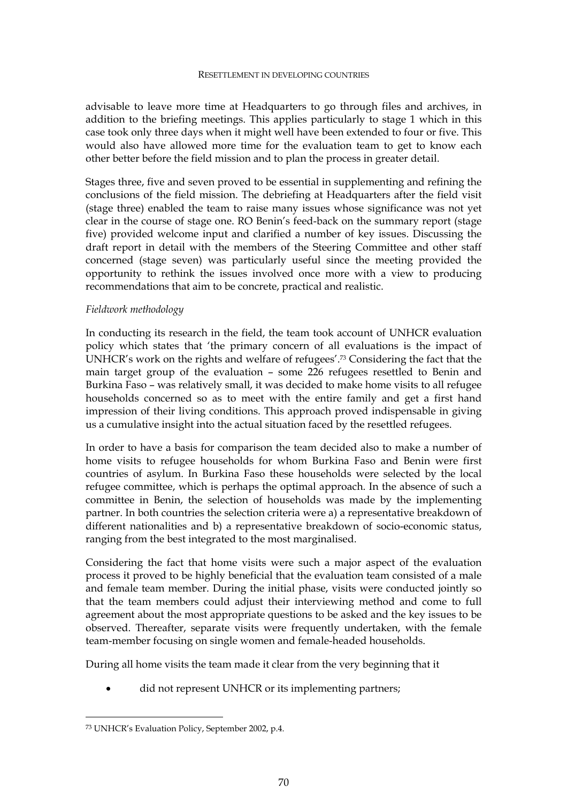#### RESETTLEMENT IN DEVELOPING COUNTRIES

advisable to leave more time at Headquarters to go through files and archives, in addition to the briefing meetings. This applies particularly to stage 1 which in this case took only three days when it might well have been extended to four or five. This would also have allowed more time for the evaluation team to get to know each other better before the field mission and to plan the process in greater detail.

Stages three, five and seven proved to be essential in supplementing and refining the conclusions of the field mission. The debriefing at Headquarters after the field visit (stage three) enabled the team to raise many issues whose significance was not yet clear in the course of stage one. RO Benin's feed-back on the summary report (stage five) provided welcome input and clarified a number of key issues. Discussing the draft report in detail with the members of the Steering Committee and other staff concerned (stage seven) was particularly useful since the meeting provided the opportunity to rethink the issues involved once more with a view to producing recommendations that aim to be concrete, practical and realistic.

#### *Fieldwork methodology*

In conducting its research in the field, the team took account of UNHCR evaluation policy which states that 'the primary concern of all evaluations is the impact of UNHCR's work on the rights and welfare of refugees'.73 Considering the fact that the main target group of the evaluation – some 226 refugees resettled to Benin and Burkina Faso – was relatively small, it was decided to make home visits to all refugee households concerned so as to meet with the entire family and get a first hand impression of their living conditions. This approach proved indispensable in giving us a cumulative insight into the actual situation faced by the resettled refugees.

In order to have a basis for comparison the team decided also to make a number of home visits to refugee households for whom Burkina Faso and Benin were first countries of asylum. In Burkina Faso these households were selected by the local refugee committee, which is perhaps the optimal approach. In the absence of such a committee in Benin, the selection of households was made by the implementing partner. In both countries the selection criteria were a) a representative breakdown of different nationalities and b) a representative breakdown of socio-economic status, ranging from the best integrated to the most marginalised.

Considering the fact that home visits were such a major aspect of the evaluation process it proved to be highly beneficial that the evaluation team consisted of a male and female team member. During the initial phase, visits were conducted jointly so that the team members could adjust their interviewing method and come to full agreement about the most appropriate questions to be asked and the key issues to be observed. Thereafter, separate visits were frequently undertaken, with the female team-member focusing on single women and female-headed households.

During all home visits the team made it clear from the very beginning that it

did not represent UNHCR or its implementing partners;

 $\overline{a}$ 

<sup>73</sup> UNHCR's Evaluation Policy, September 2002, p.4.